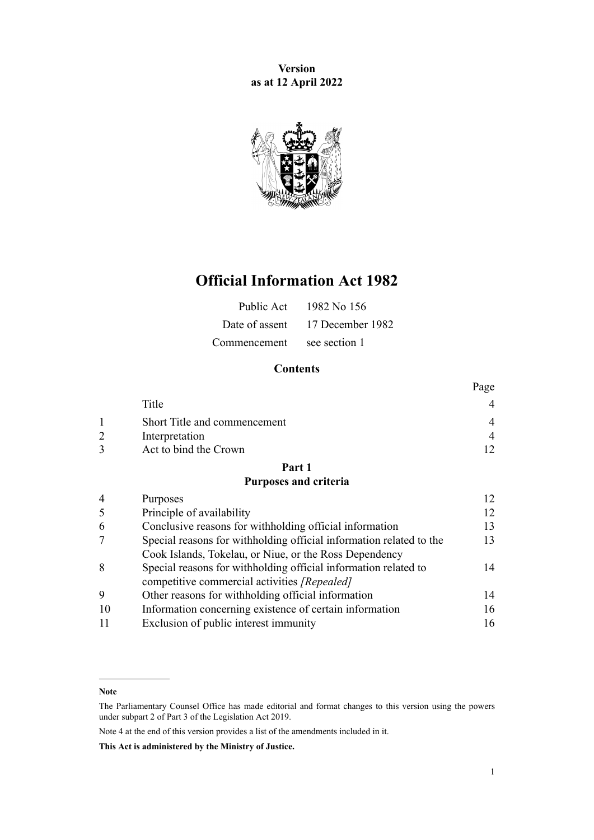**Version as at 12 April 2022**



## **Official Information Act 1982**

|                            | Public Act $1982$ No 156        |
|----------------------------|---------------------------------|
|                            | Date of assent 17 December 1982 |
| Commencement see section 1 |                                 |

## **Contents**

|                              | Page     |
|------------------------------|----------|
| Title                        |          |
| Short Title and commencement | 4        |
| Interpretation               | $\Delta$ |
| Act to bind the Crown        |          |

## **[Part 1](#page-11-0)**

#### **[Purposes and criteria](#page-11-0)**

| $\overline{4}$ | Purposes                                                            |    |
|----------------|---------------------------------------------------------------------|----|
| 5              | Principle of availability                                           | 12 |
| 6              | Conclusive reasons for withholding official information             | 13 |
| 7              | Special reasons for withholding official information related to the | 13 |
|                | Cook Islands, Tokelau, or Niue, or the Ross Dependency              |    |
| 8              | Special reasons for withholding official information related to     | 14 |
|                | competitive commercial activities [Repealed]                        |    |
| 9              | Other reasons for withholding official information                  | 14 |
| 10             | Information concerning existence of certain information             | 16 |
| 11             | Exclusion of public interest immunity                               | 16 |
|                |                                                                     |    |

Note 4 at the end of this version provides a list of the amendments included in it.

**This Act is administered by the Ministry of Justice.**

**Note**

The Parliamentary Counsel Office has made editorial and format changes to this version using the powers under [subpart 2](http://legislation.govt.nz/pdflink.aspx?id=DLM7298371) of Part 3 of the Legislation Act 2019.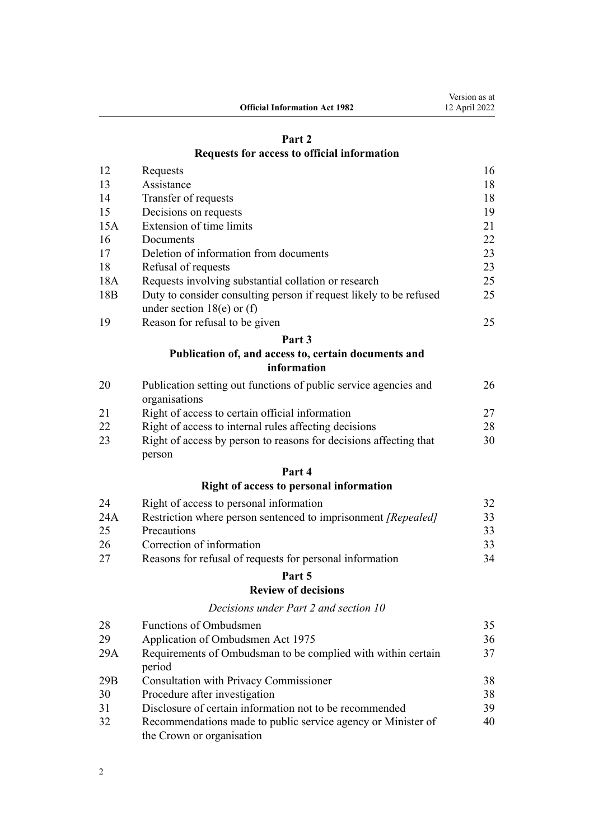# **[Part 2](#page-15-0)**

**Official Information Act 1982**

## **[Requests for access to official information](#page-15-0)**

| 12  | Requests                                                                          | 16 |
|-----|-----------------------------------------------------------------------------------|----|
| 13  | Assistance                                                                        | 18 |
| 14  | Transfer of requests                                                              | 18 |
| 15  | Decisions on requests                                                             | 19 |
| 15A | Extension of time limits                                                          | 21 |
| 16  | Documents                                                                         | 22 |
| 17  | Deletion of information from documents                                            | 23 |
| 18  | Refusal of requests                                                               | 23 |
| 18A | Requests involving substantial collation or research                              | 25 |
| 18B | Duty to consider consulting person if request likely to be refused                | 25 |
|     | under section $18(e)$ or (f)                                                      |    |
| 19  | Reason for refusal to be given                                                    | 25 |
|     | Part 3                                                                            |    |
|     | Publication of, and access to, certain documents and                              |    |
|     | information                                                                       |    |
| 20  | Publication setting out functions of public service agencies and<br>organisations | 26 |
| 21  | Right of access to certain official information                                   | 27 |
| 22  | Right of access to internal rules affecting decisions                             | 28 |
| 23  | Right of access by person to reasons for decisions affecting that<br>person       | 30 |

## **[Part 4](#page-31-0)**

## **[Right of access to personal information](#page-31-0)**

| 24  | Right of access to personal information                              |    |
|-----|----------------------------------------------------------------------|----|
| 24A | Restriction where person sentenced to imprisonment <i>[Repealed]</i> | 33 |
| 25  | <b>Precautions</b>                                                   |    |
| 26  | Correction of information                                            |    |
| 27  | Reasons for refusal of requests for personal information             | 34 |

## **[Part 5](#page-34-0)**

## **[Review of decisions](#page-34-0)**

*[Decisions under Part 2 and section 10](#page-34-0)*

| 28  | Functions of Ombudsmen                                                                    | 35 |
|-----|-------------------------------------------------------------------------------------------|----|
| 29  | Application of Ombudsmen Act 1975                                                         | 36 |
| 29A | Requirements of Ombudsman to be complied with within certain<br>period                    | 37 |
| 29B | Consultation with Privacy Commissioner                                                    | 38 |
| 30  | Procedure after investigation                                                             | 38 |
| 31  | Disclosure of certain information not to be recommended                                   | 39 |
| 32  | Recommendations made to public service agency or Minister of<br>the Crown or organisation | 40 |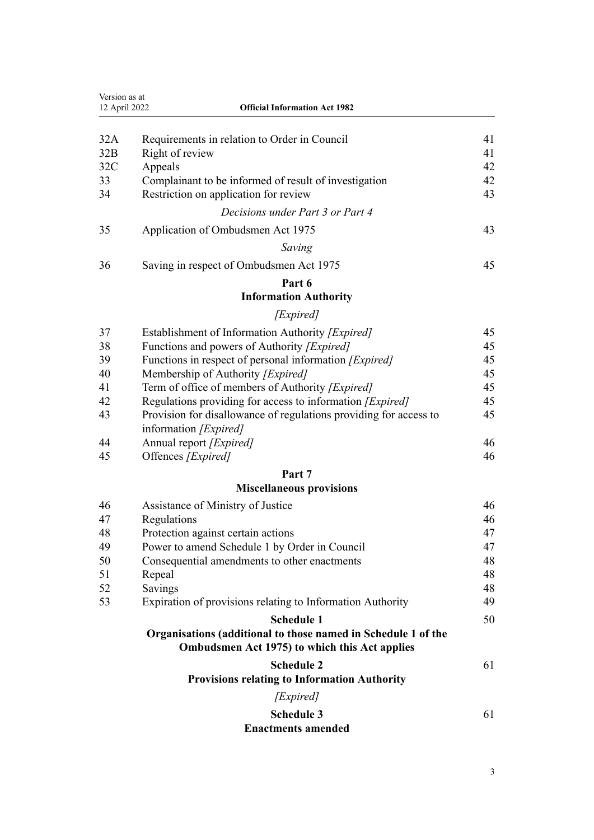| Version as at<br>12 April 2022 | <b>Official Information Act 1982</b>                                                                           |    |
|--------------------------------|----------------------------------------------------------------------------------------------------------------|----|
|                                |                                                                                                                | 41 |
| 32A<br>32B                     | Requirements in relation to Order in Council<br>Right of review                                                | 41 |
| 32C                            | Appeals                                                                                                        | 42 |
| 33                             | Complainant to be informed of result of investigation                                                          | 42 |
| 34                             | Restriction on application for review                                                                          | 43 |
|                                | Decisions under Part 3 or Part 4                                                                               |    |
| 35                             | Application of Ombudsmen Act 1975                                                                              | 43 |
|                                | Saving                                                                                                         |    |
| 36                             | Saving in respect of Ombudsmen Act 1975                                                                        | 45 |
|                                | Part 6                                                                                                         |    |
|                                | <b>Information Authority</b>                                                                                   |    |
|                                | [Expired]                                                                                                      |    |
| 37                             | Establishment of Information Authority [Expired]                                                               | 45 |
| 38                             | Functions and powers of Authority [ <i>Expired</i> ]                                                           | 45 |
| 39                             | Functions in respect of personal information [Expired]                                                         | 45 |
| 40                             | Membership of Authority [Expired]                                                                              | 45 |
| 41                             | Term of office of members of Authority [Expired]                                                               | 45 |
| 42                             | Regulations providing for access to information [Expired]                                                      | 45 |
| 43                             | Provision for disallowance of regulations providing for access to<br>information [Expired]                     | 45 |
| 44                             | Annual report [Expired]                                                                                        | 46 |
| 45                             | Offences [Expired]                                                                                             | 46 |
|                                | Part 7<br><b>Miscellaneous provisions</b>                                                                      |    |
| 46                             | Assistance of Ministry of Justice                                                                              | 46 |
| 47                             | Regulations                                                                                                    | 46 |
| 48                             | Protection against certain actions                                                                             | 47 |
| 49                             | Power to amend Schedule 1 by Order in Council                                                                  | 47 |
| 50                             | Consequential amendments to other enactments                                                                   | 48 |
| 51                             | Repeal                                                                                                         | 48 |
| 52                             | Savings                                                                                                        | 48 |
| 53                             | Expiration of provisions relating to Information Authority                                                     | 49 |
|                                | <b>Schedule 1</b>                                                                                              | 50 |
|                                | Organisations (additional to those named in Schedule 1 of the<br>Ombudsmen Act 1975) to which this Act applies |    |
|                                | <b>Schedule 2</b>                                                                                              | 61 |
|                                | <b>Provisions relating to Information Authority</b>                                                            |    |
|                                | [Expired]                                                                                                      |    |
|                                | <b>Schedule 3</b><br><b>Enactments amended</b>                                                                 | 61 |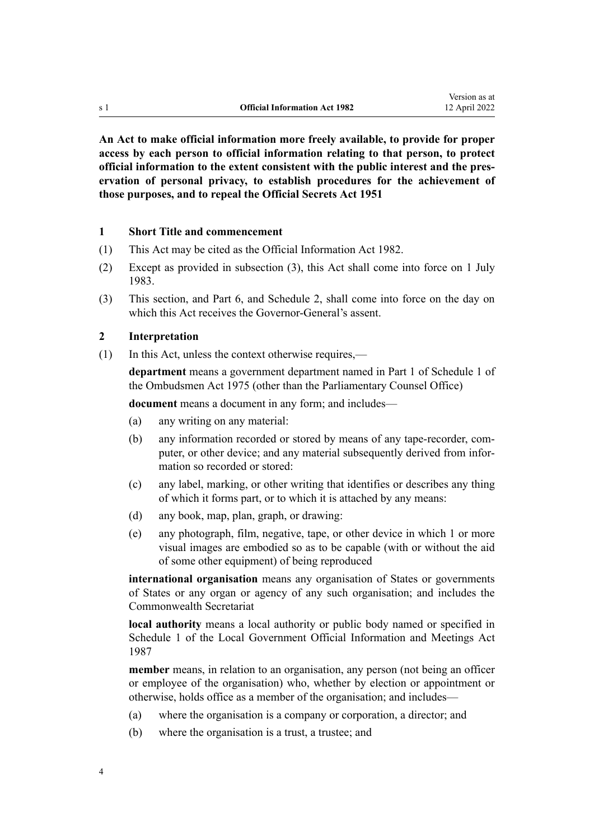<span id="page-3-0"></span>**An Act to make official information more freely available, to provide for proper access by each person to official information relating to that person, to protect official information to the extent consistent with the public interest and the pres‐ ervation of personal privacy, to establish procedures for the achievement of those purposes, and to repeal the Official Secrets Act 1951**

#### **1 Short Title and commencement**

- (1) This Act may be cited as the Official Information Act 1982.
- (2) Except as provided in subsection (3), this Act shall come into force on 1 July 1983.
- (3) This section, and [Part 6](#page-44-0), and [Schedule 2](#page-60-0), shall come into force on the day on which this Act receives the Governor-General's assent.

#### **2 Interpretation**

(1) In this Act, unless the context otherwise requires,—

**department** means a government department named in [Part 1](http://legislation.govt.nz/pdflink.aspx?id=DLM431205) of Schedule 1 of the Ombudsmen Act 1975 (other than the Parliamentary Counsel Office)

**document** means a document in any form; and includes—

- (a) any writing on any material:
- (b) any information recorded or stored by means of any tape-recorder, computer, or other device; and any material subsequently derived from information so recorded or stored:
- (c) any label, marking, or other writing that identifies or describes any thing of which it forms part, or to which it is attached by any means:
- (d) any book, map, plan, graph, or drawing:
- (e) any photograph, film, negative, tape, or other device in which 1 or more visual images are embodied so as to be capable (with or without the aid of some other equipment) of being reproduced

**international organisation** means any organisation of States or governments of States or any organ or agency of any such organisation; and includes the Commonwealth Secretariat

**local authority** means a local authority or public body named or specified in [Schedule 1](http://legislation.govt.nz/pdflink.aspx?id=DLM123616) of the Local Government Official Information and Meetings Act 1987

**member** means, in relation to an organisation, any person (not being an officer or employee of the organisation) who, whether by election or appointment or otherwise, holds office as a member of the organisation; and includes—

- (a) where the organisation is a company or corporation, a director; and
- (b) where the organisation is a trust, a trustee; and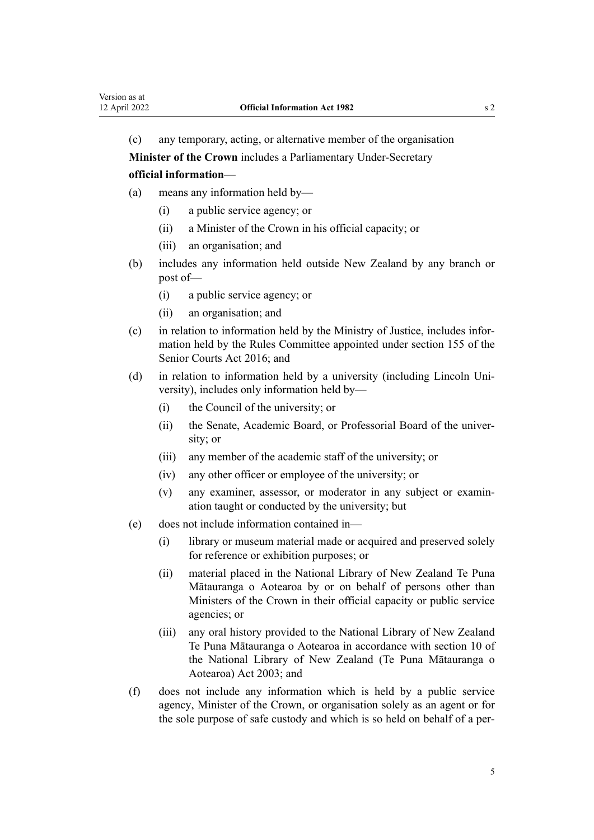(c) any temporary, acting, or alternative member of the organisation

**Minister of the Crown** includes a Parliamentary Under-Secretary

**official information**—

- (a) means any information held by—
	- (i) a public service agency; or
	- (ii) a Minister of the Crown in his official capacity; or
	- (iii) an organisation; and
- (b) includes any information held outside New Zealand by any branch or post of—
	- (i) a public service agency; or
	- (ii) an organisation; and
- (c) in relation to information held by the Ministry of Justice, includes infor‐ mation held by the Rules Committee appointed under [section 155](http://legislation.govt.nz/pdflink.aspx?id=DLM5759511) of the Senior Courts Act 2016; and
- (d) in relation to information held by a university (including Lincoln University), includes only information held by—
	- (i) the Council of the university; or
	- (ii) the Senate, Academic Board, or Professorial Board of the univer‐ sity; or
	- (iii) any member of the academic staff of the university; or
	- (iv) any other officer or employee of the university; or
	- (v) any examiner, assessor, or moderator in any subject or examin‐ ation taught or conducted by the university; but
- (e) does not include information contained in—
	- (i) library or museum material made or acquired and preserved solely for reference or exhibition purposes; or
	- (ii) material placed in the National Library of New Zealand Te Puna Mātauranga o Aotearoa by or on behalf of persons other than Ministers of the Crown in their official capacity or public service agencies; or
	- (iii) any oral history provided to the National Library of New Zealand Te Puna Mātauranga o Aotearoa in accordance with [section 10](http://legislation.govt.nz/pdflink.aspx?id=DLM192202) of the National Library of New Zealand (Te Puna Mātauranga o Aotearoa) Act 2003; and
- (f) does not include any information which is held by a public service agency, Minister of the Crown, or organisation solely as an agent or for the sole purpose of safe custody and which is so held on behalf of a per-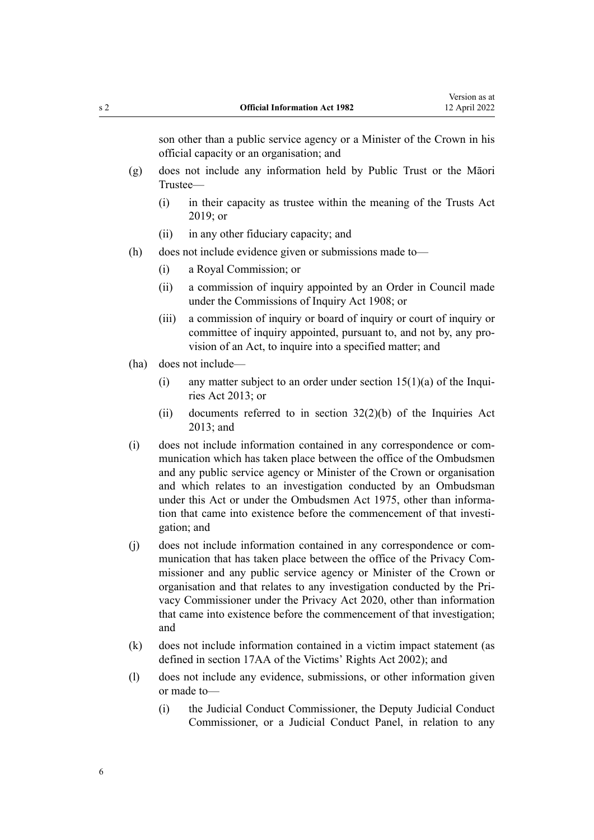son other than a public service agency or a Minister of the Crown in his official capacity or an organisation; and

- (g) does not include any information held by Public Trust or the Māori Trustee—
	- (i) in their capacity as trustee within the meaning of the [Trusts Act](http://legislation.govt.nz/pdflink.aspx?id=DLM7382802) [2019](http://legislation.govt.nz/pdflink.aspx?id=DLM7382802); or
	- (ii) in any other fiduciary capacity; and
- (h) does not include evidence given or submissions made to—
	- (i) a Royal Commission; or
	- (ii) a commission of inquiry appointed by an Order in Council made under the [Commissions of Inquiry Act 1908](http://legislation.govt.nz/pdflink.aspx?id=DLM139130); or
	- (iii) a commission of inquiry or board of inquiry or court of inquiry or committee of inquiry appointed, pursuant to, and not by, any pro‐ vision of an Act, to inquire into a specified matter; and
- (ha) does not include—
	- (i) any matter subject to an order under section  $15(1)(a)$  of the Inquiries Act 2013; or
	- (ii) documents referred to in section  $32(2)(b)$  of the Inquiries Act 2013; and
- (i) does not include information contained in any correspondence or com‐ munication which has taken place between the office of the Ombudsmen and any public service agency or Minister of the Crown or organisation and which relates to an investigation conducted by an Ombudsman under this Act or under the [Ombudsmen Act 1975,](http://legislation.govt.nz/pdflink.aspx?id=DLM430983) other than information that came into existence before the commencement of that investigation; and
- (j) does not include information contained in any correspondence or com‐ munication that has taken place between the office of the Privacy Commissioner and any public service agency or Minister of the Crown or organisation and that relates to any investigation conducted by the Pri‐ vacy Commissioner under the [Privacy Act 2020,](http://legislation.govt.nz/pdflink.aspx?id=LMS23193) other than information that came into existence before the commencement of that investigation; and
- (k) does not include information contained in a victim impact statement (as defined in [section 17AA](http://legislation.govt.nz/pdflink.aspx?id=DLM6361317) of the Victims' Rights Act 2002); and
- (l) does not include any evidence, submissions, or other information given or made to—
	- (i) the Judicial Conduct Commissioner, the Deputy Judicial Conduct Commissioner, or a Judicial Conduct Panel, in relation to any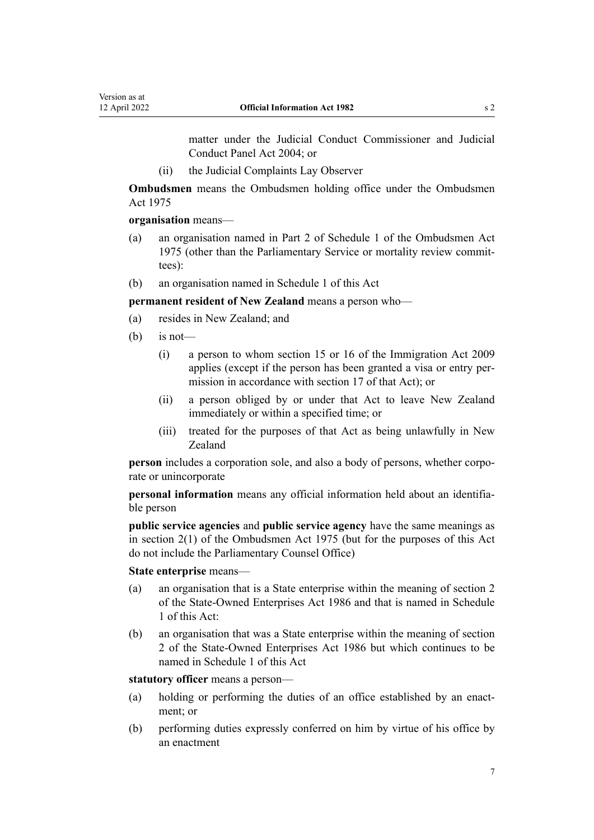Version as at

matter under the [Judicial Conduct Commissioner and Judicial](http://legislation.govt.nz/pdflink.aspx?id=DLM293552) [Conduct Panel Act 2004;](http://legislation.govt.nz/pdflink.aspx?id=DLM293552) or

(ii) the Judicial Complaints Lay Observer

**Ombudsmen** means the Ombudsmen holding office under the [Ombudsmen](http://legislation.govt.nz/pdflink.aspx?id=DLM430983) [Act 1975](http://legislation.govt.nz/pdflink.aspx?id=DLM430983)

**organisation** means—

- (a) an organisation named in [Part 2](http://legislation.govt.nz/pdflink.aspx?id=DLM431296) of Schedule 1 of the Ombudsmen Act 1975 (other than the Parliamentary Service or mortality review commit‐ tees):
- (b) an organisation named in [Schedule 1](#page-49-0) of this Act

**permanent resident of New Zealand** means a person who—

- (a) resides in New Zealand; and
- $(b)$  is not—
	- (i) a person to whom [section 15](http://legislation.govt.nz/pdflink.aspx?id=DLM1440598) or [16](http://legislation.govt.nz/pdflink.aspx?id=DLM1440599) of the Immigration Act 2009 applies (except if the person has been granted a visa or entry per‐ mission in accordance with [section 17](http://legislation.govt.nz/pdflink.aspx?id=DLM1440600) of that Act); or
	- (ii) a person obliged by or under that Act to leave New Zealand immediately or within a specified time; or
	- (iii) treated for the purposes of that Act as being unlawfully in New Zealand

**person** includes a corporation sole, and also a body of persons, whether corporate or unincorporate

**personal information** means any official information held about an identifia‐ ble person

**public service agencies** and **public service agency** have the same meanings as in [section 2\(1\)](http://legislation.govt.nz/pdflink.aspx?id=DLM430989) of the Ombudsmen Act 1975 (but for the purposes of this Act do not include the Parliamentary Counsel Office)

**State enterprise** means—

- (a) an organisation that is a State enterprise within the meaning of [section 2](http://legislation.govt.nz/pdflink.aspx?id=DLM97382) of the State-Owned Enterprises Act 1986 and that is named in [Schedule](#page-49-0) [1](#page-49-0) of this Act:
- (b) an organisation that was a State enterprise within the meaning of [section](http://legislation.govt.nz/pdflink.aspx?id=DLM97382) [2](http://legislation.govt.nz/pdflink.aspx?id=DLM97382) of the State-Owned Enterprises Act 1986 but which continues to be named in [Schedule 1](#page-49-0) of this Act

**statutory officer** means a person—

- (a) holding or performing the duties of an office established by an enactment; or
- (b) performing duties expressly conferred on him by virtue of his office by an enactment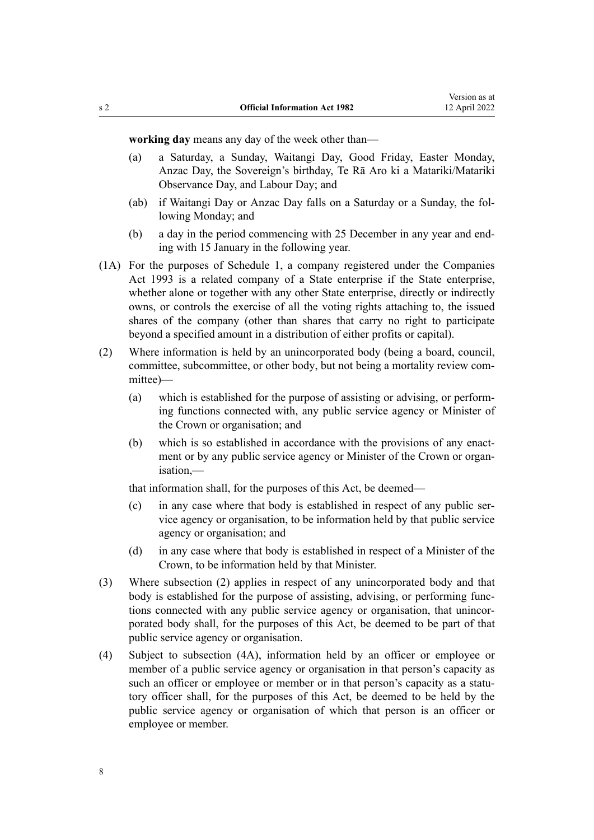**working day** means any day of the week other than—

- (a) a Saturday, a Sunday, Waitangi Day, Good Friday, Easter Monday, Anzac Day, the Sovereign's birthday, Te Rā Aro ki a Matariki/Matariki Observance Day, and Labour Day; and
- (ab) if Waitangi Day or Anzac Day falls on a Saturday or a Sunday, the fol‐ lowing Monday; and
- (b) a day in the period commencing with 25 December in any year and end‐ ing with 15 January in the following year.
- (1A) For the purposes of [Schedule 1,](#page-49-0) a company registered under the [Companies](http://legislation.govt.nz/pdflink.aspx?id=DLM319569) [Act 1993](http://legislation.govt.nz/pdflink.aspx?id=DLM319569) is a related company of a State enterprise if the State enterprise, whether alone or together with any other State enterprise, directly or indirectly owns, or controls the exercise of all the voting rights attaching to, the issued shares of the company (other than shares that carry no right to participate beyond a specified amount in a distribution of either profits or capital).
- (2) Where information is held by an unincorporated body (being a board, council, committee, subcommittee, or other body, but not being a mortality review committee)—
	- (a) which is established for the purpose of assisting or advising, or perform‐ ing functions connected with, any public service agency or Minister of the Crown or organisation; and
	- (b) which is so established in accordance with the provisions of any enactment or by any public service agency or Minister of the Crown or organisation,—

that information shall, for the purposes of this Act, be deemed—

- (c) in any case where that body is established in respect of any public ser‐ vice agency or organisation, to be information held by that public service agency or organisation; and
- (d) in any case where that body is established in respect of a Minister of the Crown, to be information held by that Minister.
- (3) Where subsection (2) applies in respect of any unincorporated body and that body is established for the purpose of assisting, advising, or performing functions connected with any public service agency or organisation, that unincorporated body shall, for the purposes of this Act, be deemed to be part of that public service agency or organisation.
- (4) Subject to subsection (4A), information held by an officer or employee or member of a public service agency or organisation in that person's capacity as such an officer or employee or member or in that person's capacity as a statutory officer shall, for the purposes of this Act, be deemed to be held by the public service agency or organisation of which that person is an officer or employee or member.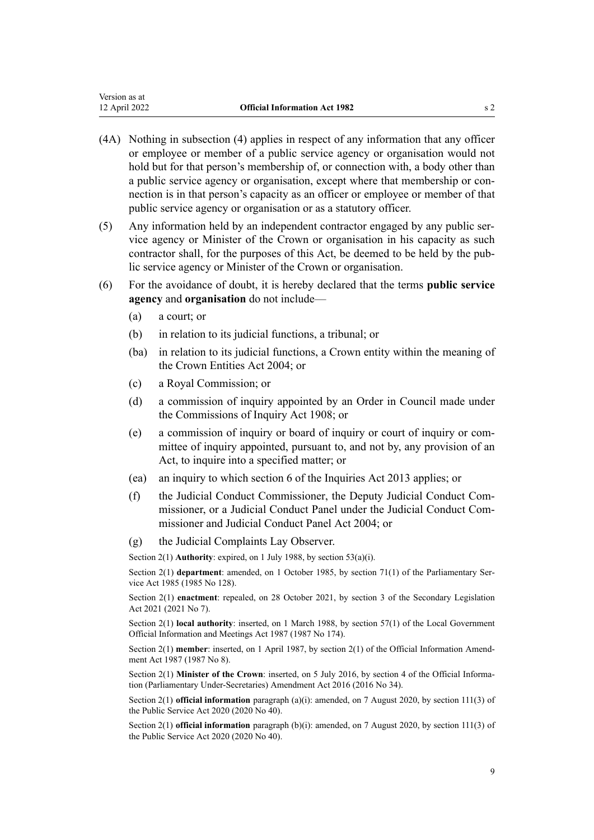- (4A) Nothing in subsection (4) applies in respect of any information that any officer or employee or member of a public service agency or organisation would not hold but for that person's membership of, or connection with, a body other than a public service agency or organisation, except where that membership or con‐ nection is in that person's capacity as an officer or employee or member of that public service agency or organisation or as a statutory officer.
- (5) Any information held by an independent contractor engaged by any public ser‐ vice agency or Minister of the Crown or organisation in his capacity as such contractor shall, for the purposes of this Act, be deemed to be held by the public service agency or Minister of the Crown or organisation.
- (6) For the avoidance of doubt, it is hereby declared that the terms **public service agency** and **organisation** do not include—
	- (a) a court; or
	- (b) in relation to its judicial functions, a tribunal; or
	- (ba) in relation to its judicial functions, a Crown entity within the meaning of the [Crown Entities Act 2004;](http://legislation.govt.nz/pdflink.aspx?id=DLM329630) or
	- (c) a Royal Commission; or
	- (d) a commission of inquiry appointed by an Order in Council made under the [Commissions of Inquiry Act 1908](http://legislation.govt.nz/pdflink.aspx?id=DLM139130); or
	- (e) a commission of inquiry or board of inquiry or court of inquiry or com‐ mittee of inquiry appointed, pursuant to, and not by, any provision of an Act, to inquire into a specified matter; or
	- (ea) an inquiry to which [section 6](http://legislation.govt.nz/pdflink.aspx?id=DLM1566136) of the Inquiries Act 2013 applies; or
	- (f) the Judicial Conduct Commissioner, the Deputy Judicial Conduct Com‐ missioner, or a Judicial Conduct Panel under the [Judicial Conduct Com‐](http://legislation.govt.nz/pdflink.aspx?id=DLM293552) [missioner and Judicial Conduct Panel Act 2004;](http://legislation.govt.nz/pdflink.aspx?id=DLM293552) or
	- (g) the Judicial Complaints Lay Observer.

Section 2(1) **Authority**: expired, on 1 July 1988, by [section 53\(a\)\(i\)](#page-48-0).

Section 2(1) **department**: amended, on 1 October 1985, by section 71(1) of the Parliamentary Service Act 1985 (1985 No 128).

Section 2(1) **enactment**: repealed, on 28 October 2021, by [section 3](http://legislation.govt.nz/pdflink.aspx?id=LMS268932) of the Secondary Legislation Act 2021 (2021 No 7).

Section 2(1) **local authority**: inserted, on 1 March 1988, by [section 57\(1\)](http://legislation.govt.nz/pdflink.aspx?id=DLM123614) of the Local Government Official Information and Meetings Act 1987 (1987 No 174).

Section 2(1) **member**: inserted, on 1 April 1987, by [section 2\(1\)](http://legislation.govt.nz/pdflink.aspx?id=DLM101326) of the Official Information Amendment Act 1987 (1987 No 8).

Section 2(1) **Minister of the Crown**: inserted, on 5 July 2016, by [section 4](http://legislation.govt.nz/pdflink.aspx?id=DLM6545610) of the Official Information (Parliamentary Under-Secretaries) Amendment Act 2016 (2016 No 34).

Section 2(1) **official information** paragraph (a)(i): amended, on 7 August 2020, by [section 111\(3\)](http://legislation.govt.nz/pdflink.aspx?id=LMS358148) of the Public Service Act 2020 (2020 No 40).

Section 2(1) **official information** paragraph (b)(i): amended, on 7 August 2020, by [section 111\(3\)](http://legislation.govt.nz/pdflink.aspx?id=LMS358148) of the Public Service Act 2020 (2020 No 40).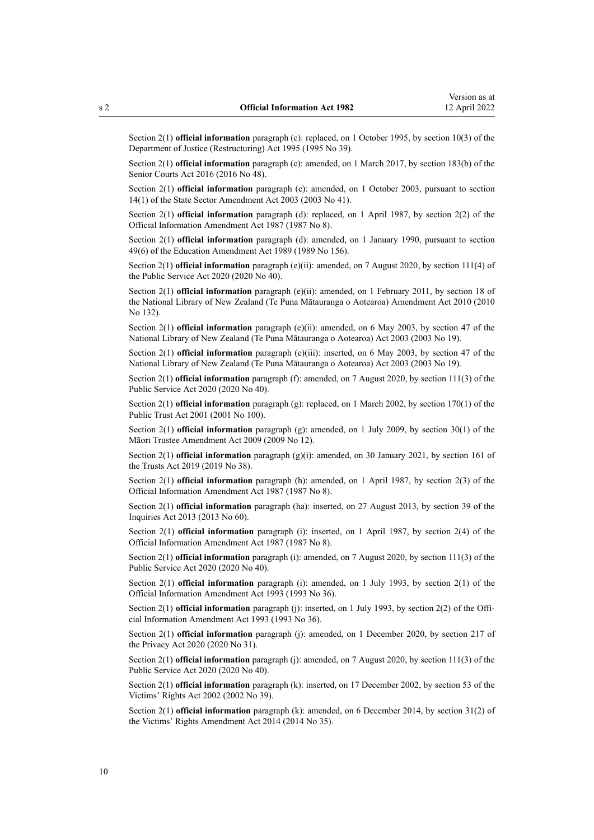Section 2(1) **official information** paragraph (c): replaced, on 1 October 1995, by [section 10\(3\)](http://legislation.govt.nz/pdflink.aspx?id=DLM367235) of the Department of Justice (Restructuring) Act 1995 (1995 No 39).

Section 2(1) **official information** paragraph (c): amended, on 1 March 2017, by [section 183\(b\)](http://legislation.govt.nz/pdflink.aspx?id=DLM5759564) of the Senior Courts Act 2016 (2016 No 48).

Section 2(1) **official information** paragraph (c): amended, on 1 October 2003, pursuant to [section](http://legislation.govt.nz/pdflink.aspx?id=DLM201378) [14\(1\)](http://legislation.govt.nz/pdflink.aspx?id=DLM201378) of the State Sector Amendment Act 2003 (2003 No 41).

Section 2(1) **official information** paragraph (d): replaced, on 1 April 1987, by [section 2\(2\)](http://legislation.govt.nz/pdflink.aspx?id=DLM101326) of the Official Information Amendment Act 1987 (1987 No 8).

Section 2(1) **official information** paragraph (d): amended, on 1 January 1990, pursuant to [section](http://legislation.govt.nz/pdflink.aspx?id=DLM199357) [49\(6\)](http://legislation.govt.nz/pdflink.aspx?id=DLM199357) of the Education Amendment Act 1989 (1989 No 156).

Section 2(1) **official information** paragraph (e)(ii): amended, on 7 August 2020, by [section 111\(4\)](http://legislation.govt.nz/pdflink.aspx?id=LMS358148) of the Public Service Act 2020 (2020 No 40).

Section 2(1) **official information** paragraph (e)(ii): amended, on 1 February 2011, by [section 18](http://legislation.govt.nz/pdflink.aspx?id=DLM3430033) of the National Library of New Zealand (Te Puna Mātauranga o Aotearoa) Amendment Act 2010 (2010 No 132).

Section 2(1) **official information** paragraph (e)(ii): amended, on 6 May 2003, by [section 47](http://legislation.govt.nz/pdflink.aspx?id=DLM192277) of the National Library of New Zealand (Te Puna Mātauranga o Aotearoa) Act 2003 (2003 No 19).

Section 2(1) **official information** paragraph (e)(iii): inserted, on 6 May 2003, by [section 47](http://legislation.govt.nz/pdflink.aspx?id=DLM192277) of the National Library of New Zealand (Te Puna Mātauranga o Aotearoa) Act 2003 (2003 No 19).

Section 2(1) **official information** paragraph (f): amended, on 7 August 2020, by [section 111\(3\)](http://legislation.govt.nz/pdflink.aspx?id=LMS358148) of the Public Service Act 2020 (2020 No 40).

Section 2(1) **official information** paragraph (g): replaced, on 1 March 2002, by [section 170\(1\)](http://legislation.govt.nz/pdflink.aspx?id=DLM124529) of the Public Trust Act 2001 (2001 No 100).

Section 2(1) **official information** paragraph (g): amended, on 1 July 2009, by [section 30\(1\)](http://legislation.govt.nz/pdflink.aspx?id=DLM1583888) of the Māori Trustee Amendment Act 2009 (2009 No 12).

Section 2(1) **official information** paragraph (g)(i): amended, on 30 January 2021, by [section 161](http://legislation.govt.nz/pdflink.aspx?id=DLM7383110) of the Trusts Act 2019 (2019 No 38).

Section 2(1) **official information** paragraph (h): amended, on 1 April 1987, by [section 2\(3\)](http://legislation.govt.nz/pdflink.aspx?id=DLM101326) of the Official Information Amendment Act 1987 (1987 No 8).

Section 2(1) **official information** paragraph (ha): inserted, on 27 August 2013, by [section 39](http://legislation.govt.nz/pdflink.aspx?id=DLM1566190) of the Inquiries Act 2013 (2013 No 60).

Section 2(1) **official information** paragraph (i): inserted, on 1 April 1987, by [section 2\(4\)](http://legislation.govt.nz/pdflink.aspx?id=DLM101326) of the Official Information Amendment Act 1987 (1987 No 8).

Section 2(1) **official information** paragraph (i): amended, on 7 August 2020, by [section 111\(3\)](http://legislation.govt.nz/pdflink.aspx?id=LMS358148) of the Public Service Act 2020 (2020 No 40).

Section 2(1) **official information** paragraph (i): amended, on 1 July 1993, by [section 2\(1\)](http://legislation.govt.nz/pdflink.aspx?id=DLM299187) of the Official Information Amendment Act 1993 (1993 No 36).

Section 2(1) **official information** paragraph (j): inserted, on 1 July 1993, by [section 2\(2\)](http://legislation.govt.nz/pdflink.aspx?id=DLM299187) of the Official Information Amendment Act 1993 (1993 No 36).

Section 2(1) **official information** paragraph (j): amended, on 1 December 2020, by [section 217](http://legislation.govt.nz/pdflink.aspx?id=LMS23706) of the Privacy Act 2020 (2020 No 31).

Section 2(1) **official information** paragraph (j): amended, on 7 August 2020, by [section 111\(3\)](http://legislation.govt.nz/pdflink.aspx?id=LMS358148) of the Public Service Act 2020 (2020 No 40).

Section 2(1) **official information** paragraph (k): inserted, on 17 December 2002, by [section 53](http://legislation.govt.nz/pdflink.aspx?id=DLM158562) of the Victims' Rights Act 2002 (2002 No 39).

Section 2(1) **official information** paragraph (k): amended, on 6 December 2014, by [section 31\(2\)](http://legislation.govt.nz/pdflink.aspx?id=DLM3942803) of the Victims' Rights Amendment Act 2014 (2014 No 35).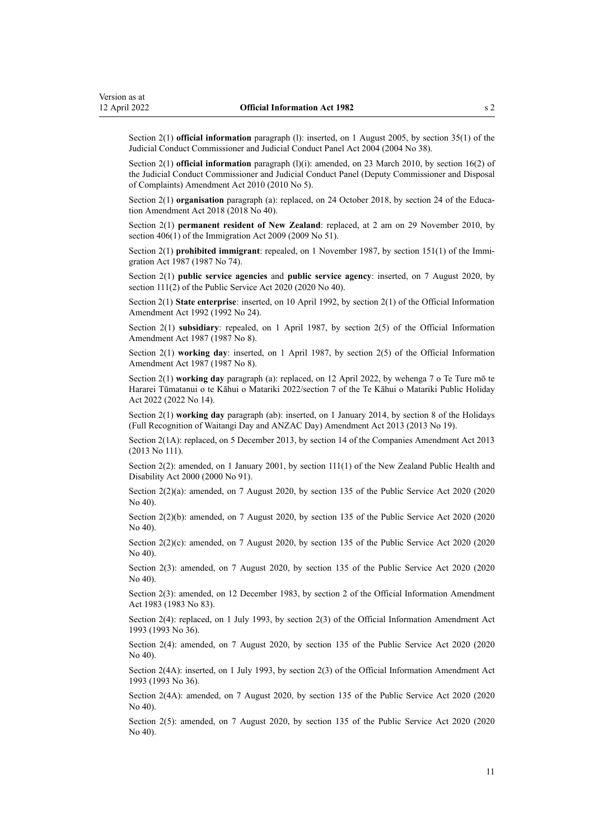Section 2(1) **official information** paragraph (l): inserted, on 1 August 2005, by [section 35\(1\)](http://legislation.govt.nz/pdflink.aspx?id=DLM293718) of the Judicial Conduct Commissioner and Judicial Conduct Panel Act 2004 (2004 No 38).

Section 2(1) **official information** paragraph (l)(i): amended, on 23 March 2010, by [section 16\(2\)](http://legislation.govt.nz/pdflink.aspx?id=DLM1216636) of the Judicial Conduct Commissioner and Judicial Conduct Panel (Deputy Commissioner and Disposal of Complaints) Amendment Act 2010 (2010 No 5).

Section 2(1) **organisation** paragraph (a): replaced, on 24 October 2018, by [section 24](http://legislation.govt.nz/pdflink.aspx?id=LMS8587) of the Education Amendment Act 2018 (2018 No 40).

Section 2(1) **permanent resident of New Zealand**: replaced, at 2 am on 29 November 2010, by [section 406\(1\)](http://legislation.govt.nz/pdflink.aspx?id=DLM1441347) of the Immigration Act 2009 (2009 No 51).

Section 2(1) **prohibited immigrant**: repealed, on 1 November 1987, by [section 151\(1\)](http://legislation.govt.nz/pdflink.aspx?id=DLM114322) of the Immigration Act 1987 (1987 No 74).

Section 2(1) **public service agencies** and **public service agency**: inserted, on 7 August 2020, by [section 111\(2\)](http://legislation.govt.nz/pdflink.aspx?id=LMS358148) of the Public Service Act 2020 (2020 No 40).

Section 2(1) **State enterprise**: inserted, on 10 April 1992, by section 2(1) of the Official Information Amendment Act 1992 (1992 No 24).

Section 2(1) **subsidiary**: repealed, on 1 April 1987, by section 2(5) of the Official Information Amendment Act 1987 (1987 No 8).

Section 2(1) **working day**: inserted, on 1 April 1987, by [section 2\(5\)](http://legislation.govt.nz/pdflink.aspx?id=DLM101326) of the Official Information Amendment Act 1987 (1987 No 8).

Section 2(1) **working day** paragraph (a): replaced, on 12 April 2022, by [wehenga 7](http://legislation.govt.nz/pdflink.aspx?id=LMS557838) o Te Ture mō te Hararei Tūmatanui o te Kāhui o Matariki 2022/[section 7](http://legislation.govt.nz/pdflink.aspx?id=LMS557848) of the Te Kāhui o Matariki Public Holiday Act 2022 (2022 No 14).

Section 2(1) **working day** paragraph (ab): inserted, on 1 January 2014, by [section 8](http://legislation.govt.nz/pdflink.aspx?id=DLM4929207) of the Holidays (Full Recognition of Waitangi Day and ANZAC Day) Amendment Act 2013 (2013 No 19).

Section 2(1A): replaced, on 5 December 2013, by [section 14](http://legislation.govt.nz/pdflink.aspx?id=DLM5620822) of the Companies Amendment Act 2013 (2013 No 111).

Section 2(2): amended, on 1 January 2001, by [section 111\(1\)](http://legislation.govt.nz/pdflink.aspx?id=DLM81644) of the New Zealand Public Health and Disability Act 2000 (2000 No 91).

Section 2(2)(a): amended, on 7 August 2020, by [section 135](http://legislation.govt.nz/pdflink.aspx?id=LMS176959) of the Public Service Act 2020 (2020) No 40).

Section 2(2)(b): amended, on 7 August 2020, by [section 135](http://legislation.govt.nz/pdflink.aspx?id=LMS176959) of the Public Service Act 2020 (2020 No 40).

Section 2(2)(c): amended, on 7 August 2020, by [section 135](http://legislation.govt.nz/pdflink.aspx?id=LMS176959) of the Public Service Act 2020 (2020) No 40).

Section 2(3): amended, on 7 August 2020, by [section 135](http://legislation.govt.nz/pdflink.aspx?id=LMS176959) of the Public Service Act 2020 (2020 No 40).

Section 2(3): amended, on 12 December 1983, by section 2 of the Official Information Amendment Act 1983 (1983 No 83).

Section 2(4): replaced, on 1 July 1993, by [section 2\(3\)](http://legislation.govt.nz/pdflink.aspx?id=DLM299187) of the Official Information Amendment Act 1993 (1993 No 36).

Section 2(4): amended, on 7 August 2020, by [section 135](http://legislation.govt.nz/pdflink.aspx?id=LMS176959) of the Public Service Act 2020 (2020 No 40).

Section 2(4A): inserted, on 1 July 1993, by [section 2\(3\)](http://legislation.govt.nz/pdflink.aspx?id=DLM299187) of the Official Information Amendment Act 1993 (1993 No 36).

Section 2(4A): amended, on 7 August 2020, by [section 135](http://legislation.govt.nz/pdflink.aspx?id=LMS176959) of the Public Service Act 2020 (2020 No 40).

Section 2(5): amended, on 7 August 2020, by [section 135](http://legislation.govt.nz/pdflink.aspx?id=LMS176959) of the Public Service Act 2020 (2020 No 40).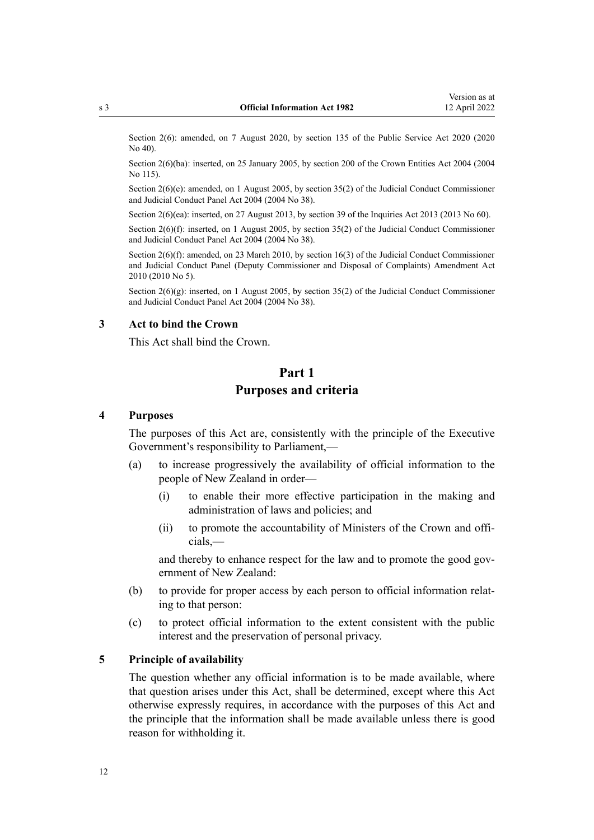<span id="page-11-0"></span>Section 2(6): amended, on 7 August 2020, by [section 135](http://legislation.govt.nz/pdflink.aspx?id=LMS176959) of the Public Service Act 2020 (2020) No 40).

Section 2(6)(ba): inserted, on 25 January 2005, by [section 200](http://legislation.govt.nz/pdflink.aspx?id=DLM331111) of the Crown Entities Act 2004 (2004 No 115).

Section 2(6)(e): amended, on 1 August 2005, by [section 35\(2\)](http://legislation.govt.nz/pdflink.aspx?id=DLM293718) of the Judicial Conduct Commissioner and Judicial Conduct Panel Act 2004 (2004 No 38).

Section 2(6)(ea): inserted, on 27 August 2013, by [section 39](http://legislation.govt.nz/pdflink.aspx?id=DLM1566190) of the Inquiries Act 2013 (2013 No 60).

Section 2(6)(f): inserted, on 1 August 2005, by [section 35\(2\)](http://legislation.govt.nz/pdflink.aspx?id=DLM293718) of the Judicial Conduct Commissioner and Judicial Conduct Panel Act 2004 (2004 No 38).

Section 2(6)(f): amended, on 23 March 2010, by [section 16\(3\)](http://legislation.govt.nz/pdflink.aspx?id=DLM1216636) of the Judicial Conduct Commissioner and Judicial Conduct Panel (Deputy Commissioner and Disposal of Complaints) Amendment Act 2010 (2010 No 5).

Section  $2(6)(g)$ : inserted, on 1 August 2005, by [section 35\(2\)](http://legislation.govt.nz/pdflink.aspx?id=DLM293718) of the Judicial Conduct Commissioner and Judicial Conduct Panel Act 2004 (2004 No 38).

#### **3 Act to bind the Crown**

This Act shall bind the Crown.

## **Part 1 Purposes and criteria**

#### **4 Purposes**

The purposes of this Act are, consistently with the principle of the Executive Government's responsibility to Parliament,—

- (a) to increase progressively the availability of official information to the people of New Zealand in order—
	- (i) to enable their more effective participation in the making and administration of laws and policies; and
	- (ii) to promote the accountability of Ministers of the Crown and offi‐ cials,—

and thereby to enhance respect for the law and to promote the good government of New Zealand:

- (b) to provide for proper access by each person to official information relat‐ ing to that person:
- (c) to protect official information to the extent consistent with the public interest and the preservation of personal privacy.

#### **5 Principle of availability**

The question whether any official information is to be made available, where that question arises under this Act, shall be determined, except where this Act otherwise expressly requires, in accordance with the purposes of this Act and the principle that the information shall be made available unless there is good reason for withholding it.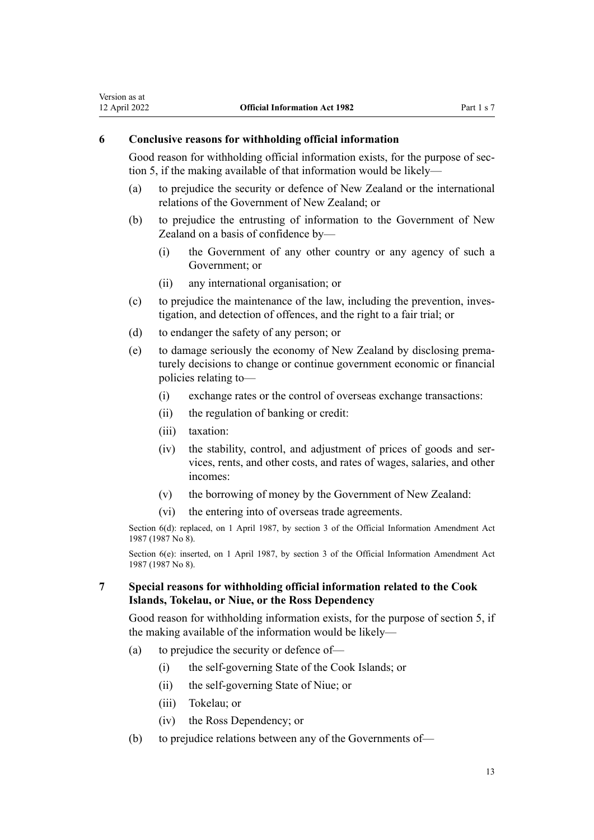#### **6 Conclusive reasons for withholding official information**

<span id="page-12-0"></span>Version as at<br>12 April 2022

Good reason for withholding official information exists, for the purpose of sec[tion 5,](#page-11-0) if the making available of that information would be likely—

- (a) to prejudice the security or defence of New Zealand or the international relations of the Government of New Zealand; or
- (b) to prejudice the entrusting of information to the Government of New Zealand on a basis of confidence by—
	- (i) the Government of any other country or any agency of such a Government; or
	- (ii) any international organisation; or
- (c) to prejudice the maintenance of the law, including the prevention, inves‐ tigation, and detection of offences, and the right to a fair trial; or
- (d) to endanger the safety of any person; or
- (e) to damage seriously the economy of New Zealand by disclosing prema‐ turely decisions to change or continue government economic or financial policies relating to—
	- (i) exchange rates or the control of overseas exchange transactions:
	- (ii) the regulation of banking or credit:
	- (iii) taxation:
	- (iv) the stability, control, and adjustment of prices of goods and ser‐ vices, rents, and other costs, and rates of wages, salaries, and other incomes:
	- (v) the borrowing of money by the Government of New Zealand:
	- (vi) the entering into of overseas trade agreements.

Section 6(d): replaced, on 1 April 1987, by [section 3](http://legislation.govt.nz/pdflink.aspx?id=DLM101327) of the Official Information Amendment Act 1987 (1987 No 8).

Section 6(e): inserted, on 1 April 1987, by [section 3](http://legislation.govt.nz/pdflink.aspx?id=DLM101327) of the Official Information Amendment Act 1987 (1987 No 8).

**7 Special reasons for withholding official information related to the Cook Islands, Tokelau, or Niue, or the Ross Dependency**

Good reason for withholding information exists, for the purpose of [section 5](#page-11-0), if the making available of the information would be likely—

- (a) to prejudice the security or defence of—
	- (i) the self-governing State of the Cook Islands; or
	- (ii) the self-governing State of Niue; or
	- (iii) Tokelau; or
	- (iv) the Ross Dependency; or
- (b) to prejudice relations between any of the Governments of—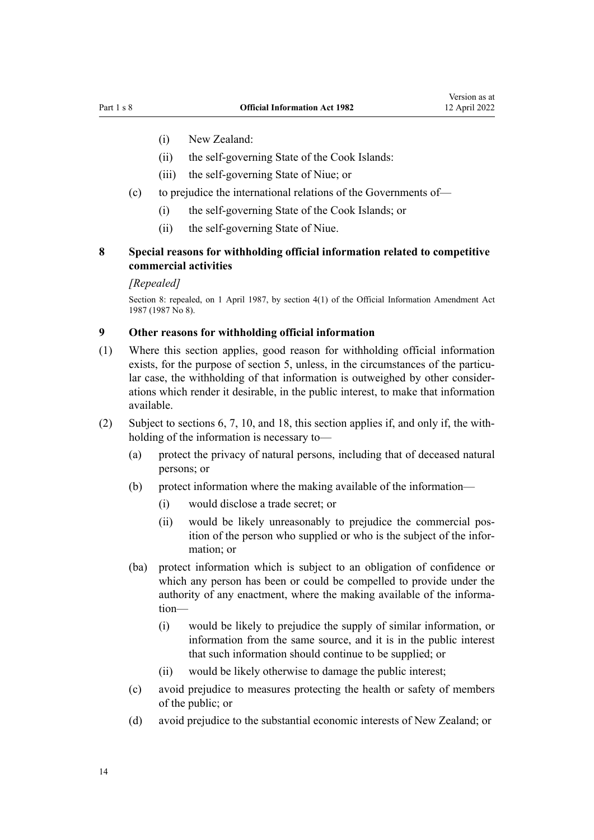- <span id="page-13-0"></span>(i) New Zealand:
- (ii) the self-governing State of the Cook Islands:
- (iii) the self-governing State of Niue; or
- (c) to prejudice the international relations of the Governments of—
	- (i) the self-governing State of the Cook Islands; or
	- (ii) the self-governing State of Niue.

#### **8 Special reasons for withholding official information related to competitive commercial activities**

#### *[Repealed]*

Section 8: repealed, on 1 April 1987, by [section 4\(1\)](http://legislation.govt.nz/pdflink.aspx?id=DLM101328) of the Official Information Amendment Act 1987 (1987 No 8).

#### **9 Other reasons for withholding official information**

- (1) Where this section applies, good reason for withholding official information exists, for the purpose of [section 5](#page-11-0), unless, in the circumstances of the particular case, the withholding of that information is outweighed by other consider‐ ations which render it desirable, in the public interest, to make that information available.
- (2) Subject to [sections 6](#page-12-0), [7,](#page-12-0) [10](#page-15-0), and [18,](#page-22-0) this section applies if, and only if, the with‐ holding of the information is necessary to—
	- (a) protect the privacy of natural persons, including that of deceased natural persons; or
	- (b) protect information where the making available of the information—
		- (i) would disclose a trade secret; or
		- (ii) would be likely unreasonably to prejudice the commercial pos‐ ition of the person who supplied or who is the subject of the infor‐ mation; or
	- (ba) protect information which is subject to an obligation of confidence or which any person has been or could be compelled to provide under the authority of any enactment, where the making available of the information—
		- (i) would be likely to prejudice the supply of similar information, or information from the same source, and it is in the public interest that such information should continue to be supplied; or
		- (ii) would be likely otherwise to damage the public interest;
	- (c) avoid prejudice to measures protecting the health or safety of members of the public; or
	- (d) avoid prejudice to the substantial economic interests of New Zealand; or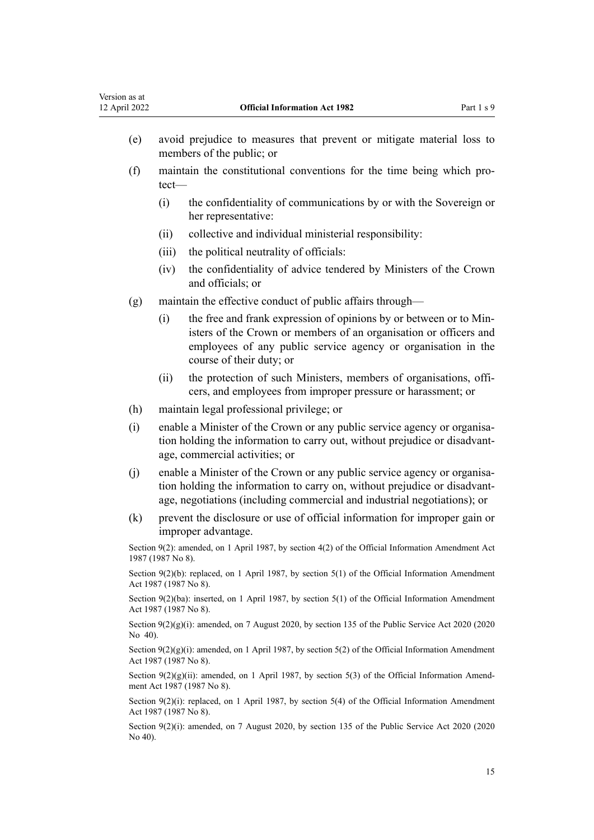| Version as at<br>12 April 2022                                                                                      |                                                                                                                                 | <b>Official Information Act 1982</b>                                                                                                                                                                                                 | Part 1 s 9 |  |
|---------------------------------------------------------------------------------------------------------------------|---------------------------------------------------------------------------------------------------------------------------------|--------------------------------------------------------------------------------------------------------------------------------------------------------------------------------------------------------------------------------------|------------|--|
| (e)                                                                                                                 | avoid prejudice to measures that prevent or mitigate material loss to<br>members of the public; or                              |                                                                                                                                                                                                                                      |            |  |
| (f)                                                                                                                 | tect-                                                                                                                           | maintain the constitutional conventions for the time being which pro-                                                                                                                                                                |            |  |
|                                                                                                                     | (i)                                                                                                                             | the confidentiality of communications by or with the Sovereign or<br>her representative:                                                                                                                                             |            |  |
|                                                                                                                     | (ii)                                                                                                                            | collective and individual ministerial responsibility:                                                                                                                                                                                |            |  |
|                                                                                                                     | (iii)                                                                                                                           | the political neutrality of officials:                                                                                                                                                                                               |            |  |
|                                                                                                                     | (iv)                                                                                                                            | the confidentiality of advice tendered by Ministers of the Crown<br>and officials; or                                                                                                                                                |            |  |
| (g)                                                                                                                 |                                                                                                                                 | maintain the effective conduct of public affairs through—                                                                                                                                                                            |            |  |
|                                                                                                                     | (i)                                                                                                                             | the free and frank expression of opinions by or between or to Min-<br>isters of the Crown or members of an organisation or officers and<br>employees of any public service agency or organisation in the<br>course of their duty; or |            |  |
|                                                                                                                     | (ii)                                                                                                                            | the protection of such Ministers, members of organisations, offi-<br>cers, and employees from improper pressure or harassment; or                                                                                                    |            |  |
| (h)                                                                                                                 |                                                                                                                                 | maintain legal professional privilege; or                                                                                                                                                                                            |            |  |
| (i)                                                                                                                 |                                                                                                                                 | enable a Minister of the Crown or any public service agency or organisa-<br>tion holding the information to carry out, without prejudice or disadvant-<br>age, commercial activities; or                                             |            |  |
| (j)                                                                                                                 |                                                                                                                                 | enable a Minister of the Crown or any public service agency or organisa-<br>tion holding the information to carry on, without prejudice or disadvant-<br>age, negotiations (including commercial and industrial negotiations); or    |            |  |
| (k)                                                                                                                 |                                                                                                                                 | prevent the disclosure or use of official information for improper gain or<br>improper advantage.                                                                                                                                    |            |  |
| 1987 (1987 No 8).                                                                                                   |                                                                                                                                 | Section $9(2)$ : amended, on 1 April 1987, by section $4(2)$ of the Official Information Amendment Act                                                                                                                               |            |  |
|                                                                                                                     |                                                                                                                                 | Section $9(2)(b)$ : replaced, on 1 April 1987, by section 5(1) of the Official Information Amendment<br>Act 1987 (1987 No 8).                                                                                                        |            |  |
|                                                                                                                     |                                                                                                                                 | Section $9(2)(ba)$ : inserted, on 1 April 1987, by section 5(1) of the Official Information Amendment<br>Act 1987 (1987 No 8).                                                                                                       |            |  |
| Section $9(2)(g)(i)$ : amended, on 7 August 2020, by section 135 of the Public Service Act 2020 (2020<br>No $40$ ). |                                                                                                                                 |                                                                                                                                                                                                                                      |            |  |
|                                                                                                                     | Section $9(2)(g)(i)$ : amended, on 1 April 1987, by section 5(2) of the Official Information Amendment<br>Act 1987 (1987 No 8). |                                                                                                                                                                                                                                      |            |  |
|                                                                                                                     |                                                                                                                                 | Section $9(2)(g)(ii)$ : amended, on 1 April 1987, by section 5(3) of the Official Information Amend-<br>ment Act 1987 (1987 No 8).                                                                                                   |            |  |
|                                                                                                                     |                                                                                                                                 | Section $9(2)(i)$ : replaced, on 1 April 1987, by section 5(4) of the Official Information Amendment<br>Act 1987 (1987 No 8).                                                                                                        |            |  |
|                                                                                                                     | Section 9(2)(i): amended, on 7 August 2020, by section 135 of the Public Service Act 2020 (2020<br>No 40).                      |                                                                                                                                                                                                                                      |            |  |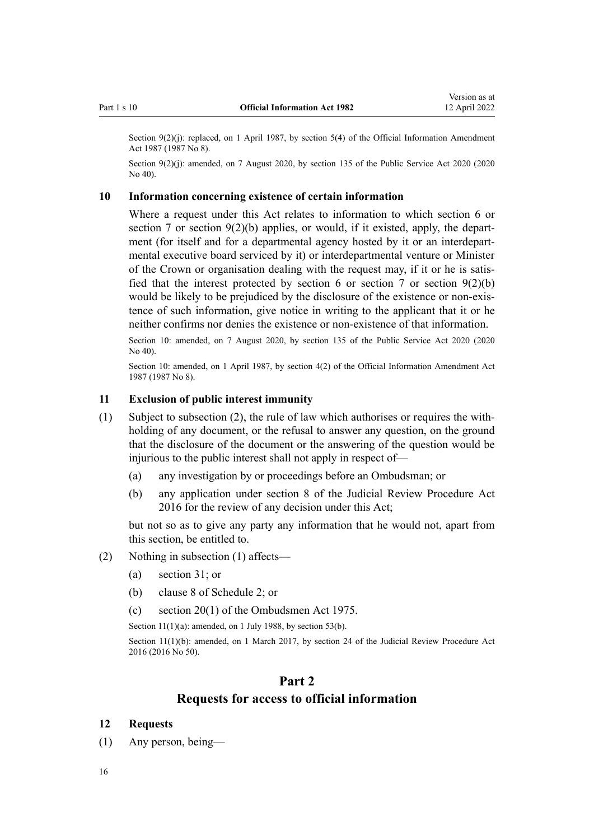<span id="page-15-0"></span>Section  $9(2)(i)$ : replaced, on 1 April 1987, by [section 5\(4\)](http://legislation.govt.nz/pdflink.aspx?id=DLM101329) of the Official Information Amendment Act 1987 (1987 No 8).

Section 9(2)(i): amended, on 7 August 2020, by [section 135](http://legislation.govt.nz/pdflink.aspx?id=LMS176959) of the Public Service Act 2020 (2020) No 40).

#### **10 Information concerning existence of certain information**

Where a request under this Act relates to information to which [section 6](#page-12-0) or [section 7](#page-12-0) or section  $9(2)(b)$  applies, or would, if it existed, apply, the department (for itself and for a departmental agency hosted by it or an interdepartmental executive board serviced by it) or interdepartmental venture or Minister of the Crown or organisation dealing with the request may, if it or he is satisfied that the interest protected by section 6 or section 7 or section  $9(2)(b)$ would be likely to be prejudiced by the disclosure of the existence or non-existence of such information, give notice in writing to the applicant that it or he neither confirms nor denies the existence or non-existence of that information.

Section 10: amended, on 7 August 2020, by [section 135](http://legislation.govt.nz/pdflink.aspx?id=LMS176959) of the Public Service Act 2020 (2020 No 40).

Section 10: amended, on 1 April 1987, by [section 4\(2\)](http://legislation.govt.nz/pdflink.aspx?id=DLM101328) of the Official Information Amendment Act 1987 (1987 No 8).

#### **11 Exclusion of public interest immunity**

- (1) Subject to subsection (2), the rule of law which authorises or requires the withholding of any document, or the refusal to answer any question, on the ground that the disclosure of the document or the answering of the question would be injurious to the public interest shall not apply in respect of—
	- (a) any investigation by or proceedings before an Ombudsman; or
	- (b) any application under [section 8](http://legislation.govt.nz/pdflink.aspx?id=DLM6942138) of the Judicial Review Procedure Act 2016 for the review of any decision under this Act;

but not so as to give any party any information that he would not, apart from this section, be entitled to.

- (2) Nothing in subsection (1) affects—
	- (a) [section 31](#page-38-0); or
	- (b) clause 8 of [Schedule 2;](#page-60-0) or
	- (c) [section 20\(1\)](http://legislation.govt.nz/pdflink.aspx?id=DLM431156) of the Ombudsmen Act 1975.

Section  $11(1)(a)$ : amended, on 1 July 1988, by [section 53\(b\).](#page-48-0)

Section 11(1)(b): amended, on 1 March 2017, by [section 24](http://legislation.govt.nz/pdflink.aspx?id=DLM6942157) of the Judicial Review Procedure Act 2016 (2016 No 50).

## **Part 2**

## **Requests for access to official information**

#### **12 Requests**

- (1) Any person, being—
- 16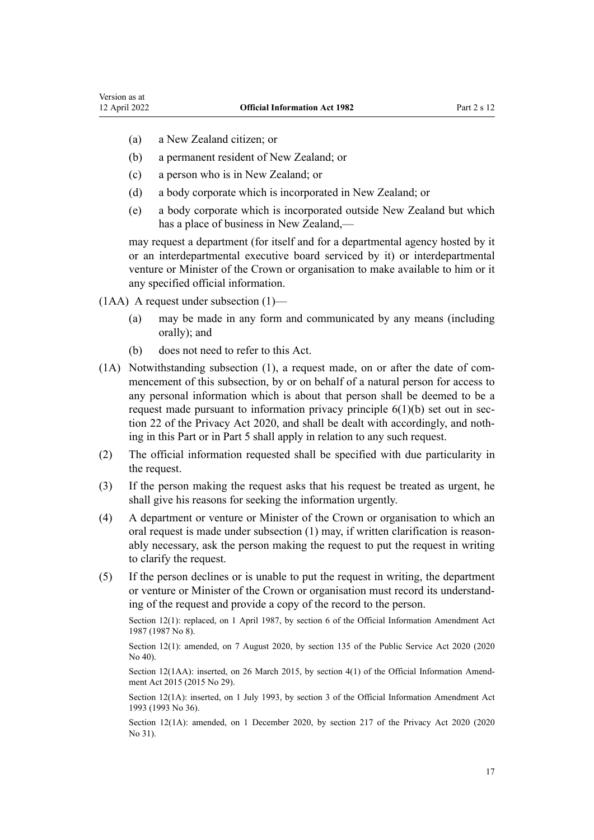- (a) a New Zealand citizen; or
- (b) a permanent resident of New Zealand; or
- (c) a person who is in New Zealand; or
- (d) a body corporate which is incorporated in New Zealand; or
- (e) a body corporate which is incorporated outside New Zealand but which has a place of business in New Zealand,—

may request a department (for itself and for a departmental agency hosted by it or an interdepartmental executive board serviced by it) or interdepartmental venture or Minister of the Crown or organisation to make available to him or it any specified official information.

(1AA) A request under subsection (1)—

- (a) may be made in any form and communicated by any means (including orally); and
- (b) does not need to refer to this Act.
- (1A) Notwithstanding subsection (1), a request made, on or after the date of com‐ mencement of this subsection, by or on behalf of a natural person for access to any personal information which is about that person shall be deemed to be a request made pursuant to information privacy principle  $6(1)(b)$  set out in sec[tion 22](http://legislation.govt.nz/pdflink.aspx?id=LMS23342) of the Privacy Act 2020, and shall be dealt with accordingly, and noth‐ ing in this Part or in [Part 5](#page-34-0) shall apply in relation to any such request.
- (2) The official information requested shall be specified with due particularity in the request.
- (3) If the person making the request asks that his request be treated as urgent, he shall give his reasons for seeking the information urgently.
- (4) A department or venture or Minister of the Crown or organisation to which an oral request is made under subsection  $(1)$  may, if written clarification is reasonably necessary, ask the person making the request to put the request in writing to clarify the request.
- (5) If the person declines or is unable to put the request in writing, the department or venture or Minister of the Crown or organisation must record its understand‐ ing of the request and provide a copy of the record to the person.

Section 12(1): replaced, on 1 April 1987, by [section 6](http://legislation.govt.nz/pdflink.aspx?id=DLM101330) of the Official Information Amendment Act 1987 (1987 No 8).

Section 12(1): amended, on 7 August 2020, by [section 135](http://legislation.govt.nz/pdflink.aspx?id=LMS176959) of the Public Service Act 2020 (2020 No 40).

Section 12(1AA): inserted, on 26 March 2015, by [section 4\(1\)](http://legislation.govt.nz/pdflink.aspx?id=DLM6403863) of the Official Information Amendment Act 2015 (2015 No 29).

Section 12(1A): inserted, on 1 July 1993, by [section 3](http://legislation.govt.nz/pdflink.aspx?id=DLM299188) of the Official Information Amendment Act 1993 (1993 No 36).

Section 12(1A): amended, on 1 December 2020, by [section 217](http://legislation.govt.nz/pdflink.aspx?id=LMS23706) of the Privacy Act 2020 (2020 No 31).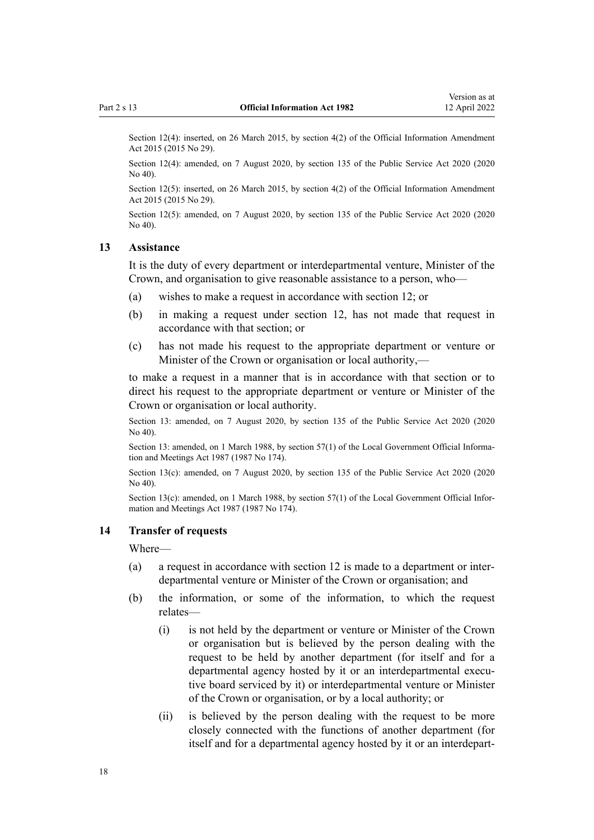<span id="page-17-0"></span>Section 12(4): inserted, on 26 March 2015, by [section 4\(2\)](http://legislation.govt.nz/pdflink.aspx?id=DLM6403863) of the Official Information Amendment Act 2015 (2015 No 29).

Section 12(4): amended, on 7 August 2020, by [section 135](http://legislation.govt.nz/pdflink.aspx?id=LMS176959) of the Public Service Act 2020 (2020 No 40).

Section 12(5): inserted, on 26 March 2015, by [section 4\(2\)](http://legislation.govt.nz/pdflink.aspx?id=DLM6403863) of the Official Information Amendment Act 2015 (2015 No 29).

Section 12(5): amended, on 7 August 2020, by [section 135](http://legislation.govt.nz/pdflink.aspx?id=LMS176959) of the Public Service Act 2020 (2020) No 40).

#### **13 Assistance**

It is the duty of every department or interdepartmental venture, Minister of the Crown, and organisation to give reasonable assistance to a person, who—

- (a) wishes to make a request in accordance with [section 12;](#page-15-0) or
- (b) in making a request under [section 12](#page-15-0), has not made that request in accordance with that section; or
- (c) has not made his request to the appropriate department or venture or Minister of the Crown or organisation or local authority,—

to make a request in a manner that is in accordance with that section or to direct his request to the appropriate department or venture or Minister of the Crown or organisation or local authority.

Section 13: amended, on 7 August 2020, by [section 135](http://legislation.govt.nz/pdflink.aspx?id=LMS176959) of the Public Service Act 2020 (2020 No 40).

Section 13: amended, on 1 March 1988, by [section 57\(1\)](http://legislation.govt.nz/pdflink.aspx?id=DLM123614) of the Local Government Official Information and Meetings Act 1987 (1987 No 174).

Section 13(c): amended, on 7 August 2020, by [section 135](http://legislation.govt.nz/pdflink.aspx?id=LMS176959) of the Public Service Act 2020 (2020) No 40).

Section 13(c): amended, on 1 March 1988, by [section 57\(1\)](http://legislation.govt.nz/pdflink.aspx?id=DLM123614) of the Local Government Official Information and Meetings Act 1987 (1987 No 174).

#### **14 Transfer of requests**

Where—

- (a) a request in accordance with [section 12](#page-15-0) is made to a department or inter‐ departmental venture or Minister of the Crown or organisation; and
- (b) the information, or some of the information, to which the request relates—
	- (i) is not held by the department or venture or Minister of the Crown or organisation but is believed by the person dealing with the request to be held by another department (for itself and for a departmental agency hosted by it or an interdepartmental executive board serviced by it) or interdepartmental venture or Minister of the Crown or organisation, or by a local authority; or
	- (ii) is believed by the person dealing with the request to be more closely connected with the functions of another department (for itself and for a departmental agency hosted by it or an interdepart‐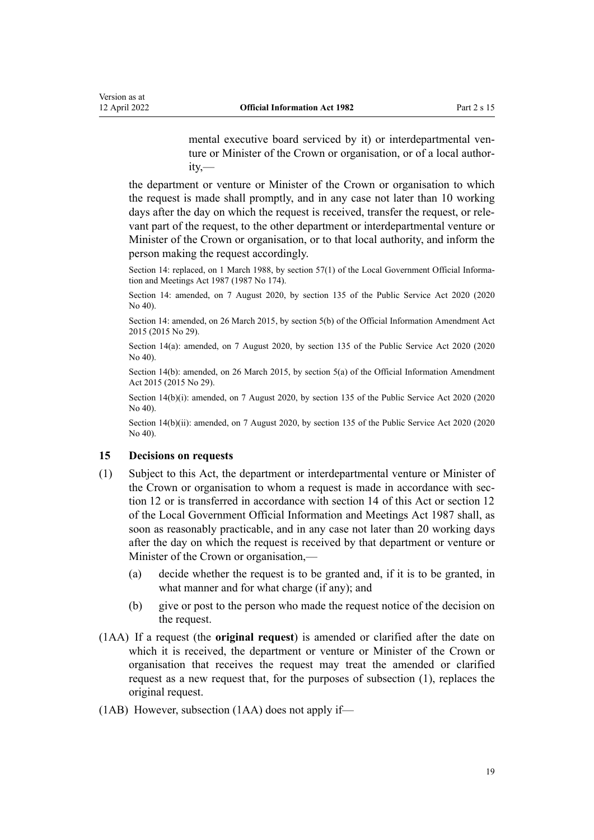mental executive board serviced by it) or interdepartmental venture or Minister of the Crown or organisation, or of a local author‐ ity,—

<span id="page-18-0"></span>the department or venture or Minister of the Crown or organisation to which the request is made shall promptly, and in any case not later than 10 working days after the day on which the request is received, transfer the request, or relevant part of the request, to the other department or interdepartmental venture or Minister of the Crown or organisation, or to that local authority, and inform the person making the request accordingly.

Section 14: replaced, on 1 March 1988, by [section 57\(1\)](http://legislation.govt.nz/pdflink.aspx?id=DLM123614) of the Local Government Official Information and Meetings Act 1987 (1987 No 174).

Section 14: amended, on 7 August 2020, by [section 135](http://legislation.govt.nz/pdflink.aspx?id=LMS176959) of the Public Service Act 2020 (2020 No 40).

Section 14: amended, on 26 March 2015, by [section 5\(b\)](http://legislation.govt.nz/pdflink.aspx?id=DLM6403864) of the Official Information Amendment Act 2015 (2015 No 29).

Section 14(a): amended, on 7 August 2020, by [section 135](http://legislation.govt.nz/pdflink.aspx?id=LMS176959) of the Public Service Act 2020 (2020) No 40).

Section 14(b): amended, on 26 March 2015, by [section 5\(a\)](http://legislation.govt.nz/pdflink.aspx?id=DLM6403864) of the Official Information Amendment Act 2015 (2015 No 29).

Section 14(b)(i): amended, on 7 August 2020, by [section 135](http://legislation.govt.nz/pdflink.aspx?id=LMS176959) of the Public Service Act 2020 (2020) No 40).

Section 14(b)(ii): amended, on 7 August 2020, by [section 135](http://legislation.govt.nz/pdflink.aspx?id=LMS176959) of the Public Service Act 2020 (2020) No 40).

#### **15 Decisions on requests**

- (1) Subject to this Act, the department or interdepartmental venture or Minister of the Crown or organisation to whom a request is made in accordance with [sec‐](#page-15-0) [tion 12](#page-15-0) or is transferred in accordance with [section 14](#page-17-0) of this Act or [section 12](http://legislation.govt.nz/pdflink.aspx?id=DLM122295) of the Local Government Official Information and Meetings Act 1987 shall, as soon as reasonably practicable, and in any case not later than 20 working days after the day on which the request is received by that department or venture or Minister of the Crown or organisation,—
	- (a) decide whether the request is to be granted and, if it is to be granted, in what manner and for what charge (if any); and
	- (b) give or post to the person who made the request notice of the decision on the request.
- (1AA) If a request (the **original request**) is amended or clarified after the date on which it is received, the department or venture or Minister of the Crown or organisation that receives the request may treat the amended or clarified request as a new request that, for the purposes of subsection (1), replaces the original request.
- (1AB) However, subsection (1AA) does not apply if—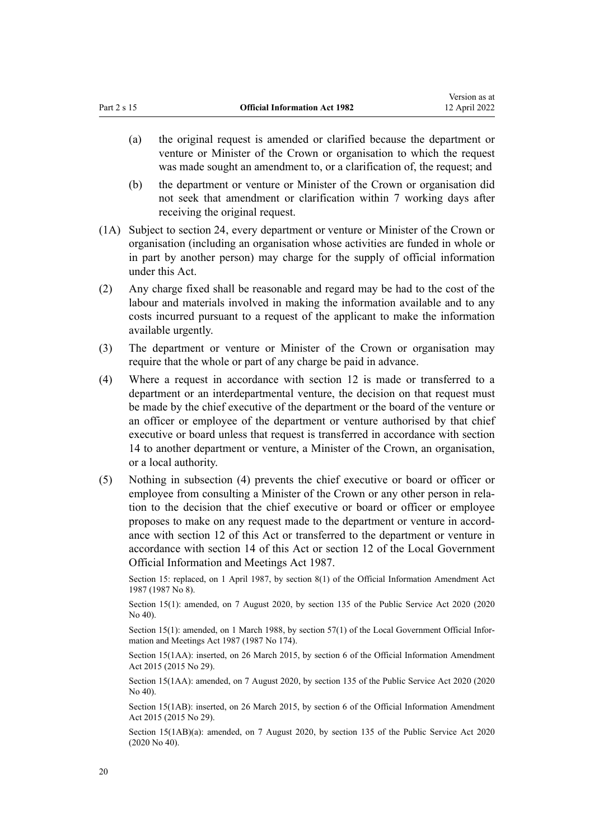- (a) the original request is amended or clarified because the department or venture or Minister of the Crown or organisation to which the request was made sought an amendment to, or a clarification of, the request; and
- (b) the department or venture or Minister of the Crown or organisation did not seek that amendment or clarification within 7 working days after receiving the original request.
- (1A) Subject to [section 24](#page-31-0), every department or venture or Minister of the Crown or organisation (including an organisation whose activities are funded in whole or in part by another person) may charge for the supply of official information under this Act.
- (2) Any charge fixed shall be reasonable and regard may be had to the cost of the labour and materials involved in making the information available and to any costs incurred pursuant to a request of the applicant to make the information available urgently.
- (3) The department or venture or Minister of the Crown or organisation may require that the whole or part of any charge be paid in advance.
- (4) Where a request in accordance with [section 12](#page-15-0) is made or transferred to a department or an interdepartmental venture, the decision on that request must be made by the chief executive of the department or the board of the venture or an officer or employee of the department or venture authorised by that chief executive or board unless that request is transferred in accordance with [section](#page-17-0) [14](#page-17-0) to another department or venture, a Minister of the Crown, an organisation, or a local authority.
- (5) Nothing in subsection (4) prevents the chief executive or board or officer or employee from consulting a Minister of the Crown or any other person in relation to the decision that the chief executive or board or officer or employee proposes to make on any request made to the department or venture in accord‐ ance with [section 12](#page-15-0) of this Act or transferred to the department or venture in accordance with [section 14](#page-17-0) of this Act or [section 12](http://legislation.govt.nz/pdflink.aspx?id=DLM122295) of the Local Government Official Information and Meetings Act 1987.

Section 15: replaced, on 1 April 1987, by [section 8\(1\)](http://legislation.govt.nz/pdflink.aspx?id=DLM101333) of the Official Information Amendment Act 1987 (1987 No 8).

Section 15(1): amended, on 7 August 2020, by [section 135](http://legislation.govt.nz/pdflink.aspx?id=LMS176959) of the Public Service Act 2020 (2020 No 40).

Section 15(1): amended, on 1 March 1988, by [section 57\(1\)](http://legislation.govt.nz/pdflink.aspx?id=DLM123614) of the Local Government Official Information and Meetings Act 1987 (1987 No 174).

Section 15(1AA): inserted, on 26 March 2015, by [section 6](http://legislation.govt.nz/pdflink.aspx?id=DLM6403865) of the Official Information Amendment Act 2015 (2015 No 29).

Section 15(1AA): amended, on 7 August 2020, by [section 135](http://legislation.govt.nz/pdflink.aspx?id=LMS176959) of the Public Service Act 2020 (2020 No 40).

Section 15(1AB): inserted, on 26 March 2015, by [section 6](http://legislation.govt.nz/pdflink.aspx?id=DLM6403865) of the Official Information Amendment Act 2015 (2015 No 29).

Section 15(1AB)(a): amended, on 7 August 2020, by [section 135](http://legislation.govt.nz/pdflink.aspx?id=LMS176959) of the Public Service Act 2020 (2020 No 40).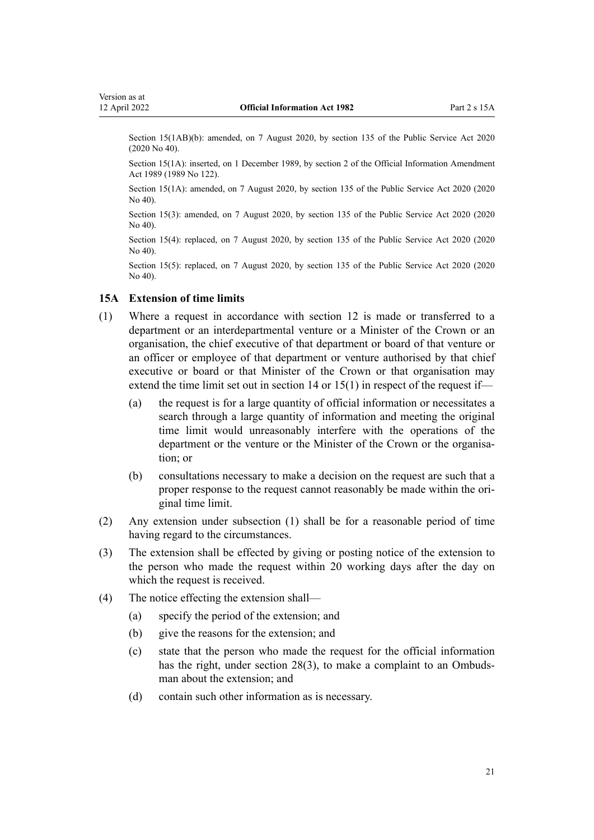<span id="page-20-0"></span>Section 15(1AB)(b): amended, on 7 August 2020, by [section 135](http://legislation.govt.nz/pdflink.aspx?id=LMS176959) of the Public Service Act 2020 (2020 No 40).

Section 15(1A): inserted, on 1 December 1989, by [section 2](http://legislation.govt.nz/pdflink.aspx?id=DLM194217) of the Official Information Amendment Act 1989 (1989 No 122).

Section 15(1A): amended, on 7 August 2020, by [section 135](http://legislation.govt.nz/pdflink.aspx?id=LMS176959) of the Public Service Act 2020 (2020 No 40).

Section 15(3): amended, on 7 August 2020, by [section 135](http://legislation.govt.nz/pdflink.aspx?id=LMS176959) of the Public Service Act 2020 (2020 No 40).

Section 15(4): replaced, on 7 August 2020, by [section 135](http://legislation.govt.nz/pdflink.aspx?id=LMS176959) of the Public Service Act 2020 (2020 No 40).

Section 15(5): replaced, on 7 August 2020, by [section 135](http://legislation.govt.nz/pdflink.aspx?id=LMS176959) of the Public Service Act 2020 (2020) No 40).

#### **15A Extension of time limits**

- (1) Where a request in accordance with [section 12](#page-15-0) is made or transferred to a department or an interdepartmental venture or a Minister of the Crown or an organisation, the chief executive of that department or board of that venture or an officer or employee of that department or venture authorised by that chief executive or board or that Minister of the Crown or that organisation may extend the time limit set out in [section 14](#page-17-0) or [15\(1\)](#page-18-0) in respect of the request if—
	- (a) the request is for a large quantity of official information or necessitates a search through a large quantity of information and meeting the original time limit would unreasonably interfere with the operations of the department or the venture or the Minister of the Crown or the organisation; or
	- (b) consultations necessary to make a decision on the request are such that a proper response to the request cannot reasonably be made within the original time limit.
- (2) Any extension under subsection (1) shall be for a reasonable period of time having regard to the circumstances.
- (3) The extension shall be effected by giving or posting notice of the extension to the person who made the request within 20 working days after the day on which the request is received.
- (4) The notice effecting the extension shall—
	- (a) specify the period of the extension; and
	- (b) give the reasons for the extension; and
	- (c) state that the person who made the request for the official information has the right, under [section 28\(3\)](#page-34-0), to make a complaint to an Ombudsman about the extension; and
	- (d) contain such other information as is necessary.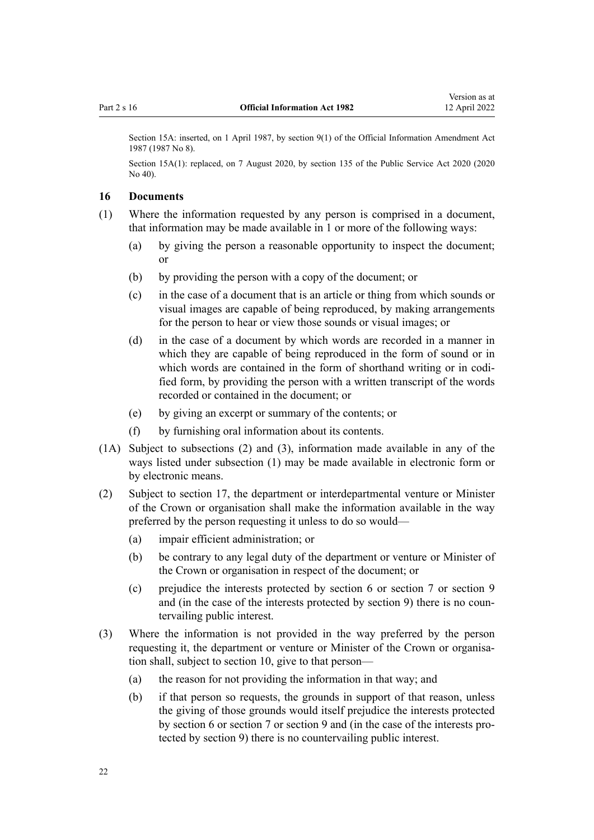<span id="page-21-0"></span>Section 15A: inserted, on 1 April 1987, by [section 9\(1\)](http://legislation.govt.nz/pdflink.aspx?id=DLM101334) of the Official Information Amendment Act 1987 (1987 No 8).

Section 15A(1): replaced, on 7 August 2020, by [section 135](http://legislation.govt.nz/pdflink.aspx?id=LMS176959) of the Public Service Act 2020 (2020) No 40).

#### **16 Documents**

- (1) Where the information requested by any person is comprised in a document, that information may be made available in 1 or more of the following ways:
	- (a) by giving the person a reasonable opportunity to inspect the document; or
	- (b) by providing the person with a copy of the document; or
	- (c) in the case of a document that is an article or thing from which sounds or visual images are capable of being reproduced, by making arrangements for the person to hear or view those sounds or visual images; or
	- (d) in the case of a document by which words are recorded in a manner in which they are capable of being reproduced in the form of sound or in which words are contained in the form of shorthand writing or in codified form, by providing the person with a written transcript of the words recorded or contained in the document; or
	- (e) by giving an excerpt or summary of the contents; or
	- (f) by furnishing oral information about its contents.
- (1A) Subject to subsections (2) and (3), information made available in any of the ways listed under subsection (1) may be made available in electronic form or by electronic means.
- (2) Subject to [section 17,](#page-22-0) the department or interdepartmental venture or Minister of the Crown or organisation shall make the information available in the way preferred by the person requesting it unless to do so would—
	- (a) impair efficient administration; or
	- (b) be contrary to any legal duty of the department or venture or Minister of the Crown or organisation in respect of the document; or
	- (c) prejudice the interests protected by [section 6](#page-12-0) or [section 7](#page-12-0) or [section 9](#page-13-0) and (in the case of the interests protected by section 9) there is no countervailing public interest.
- (3) Where the information is not provided in the way preferred by the person requesting it, the department or venture or Minister of the Crown or organisation shall, subject to [section 10,](#page-15-0) give to that person—
	- (a) the reason for not providing the information in that way; and
	- (b) if that person so requests, the grounds in support of that reason, unless the giving of those grounds would itself prejudice the interests protected by [section 6](#page-12-0) or [section 7](#page-12-0) or [section 9](#page-13-0) and (in the case of the interests pro‐ tected by section 9) there is no countervailing public interest.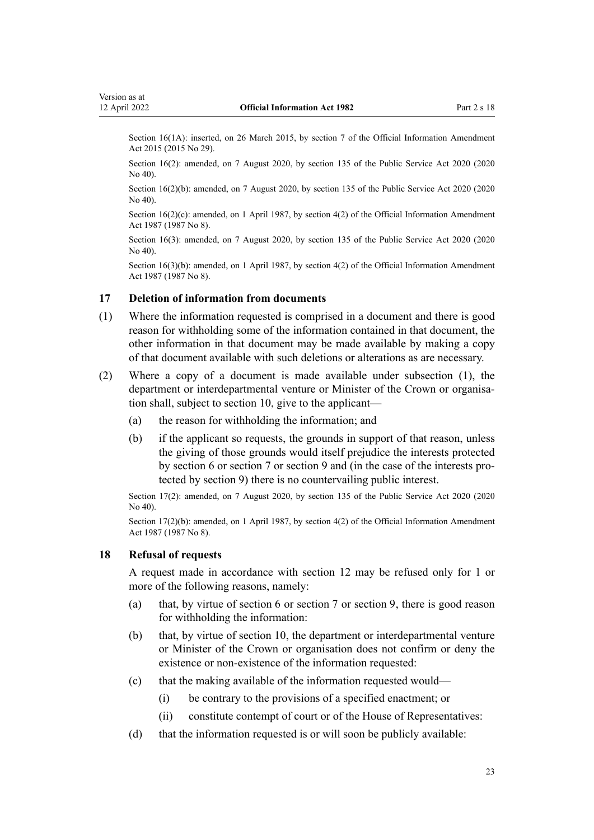<span id="page-22-0"></span>Section 16(1A): inserted, on 26 March 2015, by [section 7](http://legislation.govt.nz/pdflink.aspx?id=DLM6403867) of the Official Information Amendment Act 2015 (2015 No 29).

Section 16(2): amended, on 7 August 2020, by [section 135](http://legislation.govt.nz/pdflink.aspx?id=LMS176959) of the Public Service Act 2020 (2020) No 40).

Section 16(2)(b): amended, on 7 August 2020, by [section 135](http://legislation.govt.nz/pdflink.aspx?id=LMS176959) of the Public Service Act 2020 (2020 No 40).

Section  $16(2)(c)$ : amended, on 1 April 1987, by [section 4\(2\)](http://legislation.govt.nz/pdflink.aspx?id=DLM101328) of the Official Information Amendment Act 1987 (1987 No 8).

Section 16(3): amended, on 7 August 2020, by [section 135](http://legislation.govt.nz/pdflink.aspx?id=LMS176959) of the Public Service Act 2020 (2020 No 40).

Section 16(3)(b): amended, on 1 April 1987, by [section 4\(2\)](http://legislation.govt.nz/pdflink.aspx?id=DLM101328) of the Official Information Amendment Act 1987 (1987 No 8).

#### **17 Deletion of information from documents**

- (1) Where the information requested is comprised in a document and there is good reason for withholding some of the information contained in that document, the other information in that document may be made available by making a copy of that document available with such deletions or alterations as are necessary.
- (2) Where a copy of a document is made available under subsection (1), the department or interdepartmental venture or Minister of the Crown or organisation shall, subject to [section 10,](#page-15-0) give to the applicant—
	- (a) the reason for withholding the information; and
	- (b) if the applicant so requests, the grounds in support of that reason, unless the giving of those grounds would itself prejudice the interests protected by [section 6](#page-12-0) or [section 7](#page-12-0) or [section 9](#page-13-0) and (in the case of the interests pro‐ tected by section 9) there is no countervailing public interest.

Section 17(2): amended, on 7 August 2020, by [section 135](http://legislation.govt.nz/pdflink.aspx?id=LMS176959) of the Public Service Act 2020 (2020 No 40).

Section 17(2)(b): amended, on 1 April 1987, by [section 4\(2\)](http://legislation.govt.nz/pdflink.aspx?id=DLM101328) of the Official Information Amendment Act 1987 (1987 No 8).

#### **18 Refusal of requests**

A request made in accordance with [section 12](#page-15-0) may be refused only for 1 or more of the following reasons, namely:

- (a) that, by virtue of [section 6](#page-12-0) or [section 7](#page-12-0) or [section 9,](#page-13-0) there is good reason for withholding the information:
- (b) that, by virtue of [section 10,](#page-15-0) the department or interdepartmental venture or Minister of the Crown or organisation does not confirm or deny the existence or non-existence of the information requested:
- (c) that the making available of the information requested would—
	- (i) be contrary to the provisions of a specified enactment; or
	- (ii) constitute contempt of court or of the House of Representatives:
- (d) that the information requested is or will soon be publicly available: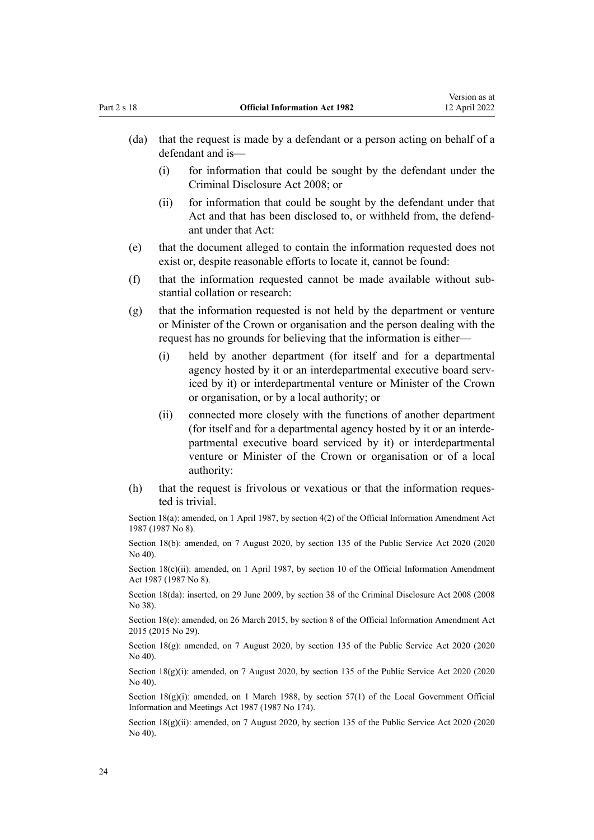- (da) that the request is made by a defendant or a person acting on behalf of a defendant and is—
	- (i) for information that could be sought by the defendant under the [Criminal Disclosure Act 2008;](http://legislation.govt.nz/pdflink.aspx?id=DLM1378802) or
	- (ii) for information that could be sought by the defendant under that Act and that has been disclosed to, or withheld from, the defend‐ ant under that Act:
- (e) that the document alleged to contain the information requested does not exist or, despite reasonable efforts to locate it, cannot be found:
- (f) that the information requested cannot be made available without sub‐ stantial collation or research:
- (g) that the information requested is not held by the department or venture or Minister of the Crown or organisation and the person dealing with the request has no grounds for believing that the information is either—
	- (i) held by another department (for itself and for a departmental agency hosted by it or an interdepartmental executive board serviced by it) or interdepartmental venture or Minister of the Crown or organisation, or by a local authority; or
	- (ii) connected more closely with the functions of another department (for itself and for a departmental agency hosted by it or an interde‐ partmental executive board serviced by it) or interdepartmental venture or Minister of the Crown or organisation or of a local authority:
- (h) that the request is frivolous or vexatious or that the information requested is trivial.

Section 18(a): amended, on 1 April 1987, by [section 4\(2\)](http://legislation.govt.nz/pdflink.aspx?id=DLM101328) of the Official Information Amendment Act 1987 (1987 No 8).

Section 18(b): amended, on 7 August 2020, by [section 135](http://legislation.govt.nz/pdflink.aspx?id=LMS176959) of the Public Service Act 2020 (2020  $No$  40).

Section 18(c)(ii): amended, on 1 April 1987, by [section 10](http://legislation.govt.nz/pdflink.aspx?id=DLM101335) of the Official Information Amendment Act 1987 (1987 No 8).

Section 18(da): inserted, on 29 June 2009, by [section 38](http://legislation.govt.nz/pdflink.aspx?id=DLM1378898) of the Criminal Disclosure Act 2008 (2008 No 38).

Section 18(e): amended, on 26 March 2015, by [section 8](http://legislation.govt.nz/pdflink.aspx?id=DLM6403868) of the Official Information Amendment Act 2015 (2015 No 29).

Section 18(g): amended, on 7 August 2020, by [section 135](http://legislation.govt.nz/pdflink.aspx?id=LMS176959) of the Public Service Act 2020 (2020) No 40).

Section  $18(g)(i)$ : amended, on 7 August 2020, by [section 135](http://legislation.govt.nz/pdflink.aspx?id=LMS176959) of the Public Service Act 2020 (2020) No 40).

Section  $18(g)(i)$ : amended, on 1 March 1988, by [section 57\(1\)](http://legislation.govt.nz/pdflink.aspx?id=DLM123614) of the Local Government Official Information and Meetings Act 1987 (1987 No 174).

Section 18(g)(ii): amended, on 7 August 2020, by [section 135](http://legislation.govt.nz/pdflink.aspx?id=LMS176959) of the Public Service Act 2020 (2020 No 40).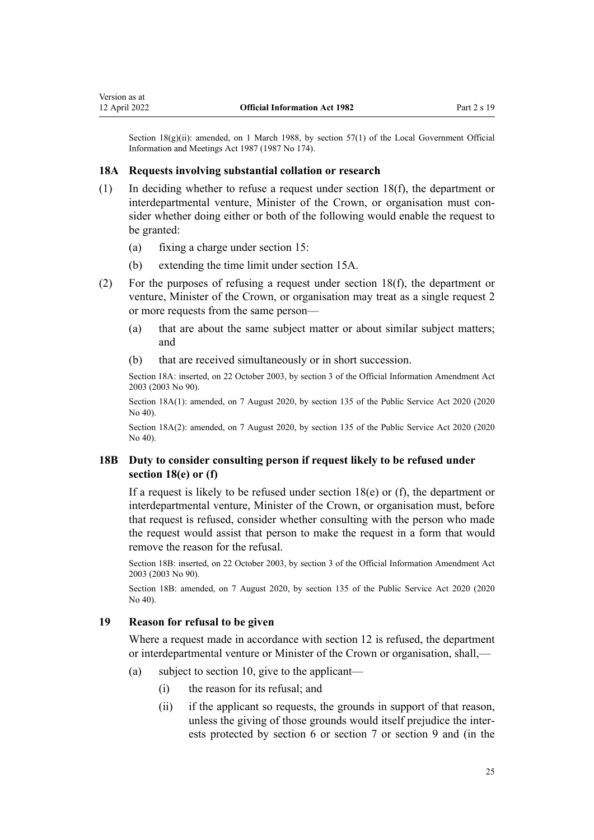<span id="page-24-0"></span>Section  $18(g)(ii)$ : amended, on 1 March 1988, by [section 57\(1\)](http://legislation.govt.nz/pdflink.aspx?id=DLM123614) of the Local Government Official Information and Meetings Act 1987 (1987 No 174).

#### **18A Requests involving substantial collation or research**

- (1) In deciding whether to refuse a request under [section 18\(f\),](#page-22-0) the department or interdepartmental venture, Minister of the Crown, or organisation must consider whether doing either or both of the following would enable the request to be granted:
	- (a) fixing a charge under [section 15:](#page-18-0)
	- (b) extending the time limit under [section 15A.](#page-20-0)
- (2) For the purposes of refusing a request under [section 18\(f\)](#page-22-0), the department or venture, Minister of the Crown, or organisation may treat as a single request 2 or more requests from the same person—
	- (a) that are about the same subject matter or about similar subject matters; and
	- (b) that are received simultaneously or in short succession.

Section 18A: inserted, on 22 October 2003, by [section 3](http://legislation.govt.nz/pdflink.aspx?id=DLM218144) of the Official Information Amendment Act 2003 (2003 No 90).

Section 18A(1): amended, on 7 August 2020, by [section 135](http://legislation.govt.nz/pdflink.aspx?id=LMS176959) of the Public Service Act 2020 (2020 No 40).

Section 18A(2): amended, on 7 August 2020, by [section 135](http://legislation.govt.nz/pdflink.aspx?id=LMS176959) of the Public Service Act 2020 (2020 No 40).

#### **18B Duty to consider consulting person if request likely to be refused under section 18(e) or (f)**

If a request is likely to be refused under section  $18(e)$  or (f), the department or interdepartmental venture, Minister of the Crown, or organisation must, before that request is refused, consider whether consulting with the person who made the request would assist that person to make the request in a form that would remove the reason for the refusal.

Section 18B: inserted, on 22 October 2003, by [section 3](http://legislation.govt.nz/pdflink.aspx?id=DLM218144) of the Official Information Amendment Act 2003 (2003 No 90).

Section 18B: amended, on 7 August 2020, by [section 135](http://legislation.govt.nz/pdflink.aspx?id=LMS176959) of the Public Service Act 2020 (2020 No 40).

#### **19 Reason for refusal to be given**

Where a request made in accordance with [section 12](#page-15-0) is refused, the department or interdepartmental venture or Minister of the Crown or organisation, shall,—

- (a) subject to [section 10](#page-15-0), give to the applicant—
	- (i) the reason for its refusal; and
	- (ii) if the applicant so requests, the grounds in support of that reason, unless the giving of those grounds would itself prejudice the inter‐ ests protected by [section 6](#page-12-0) or [section 7](#page-12-0) or [section 9](#page-13-0) and (in the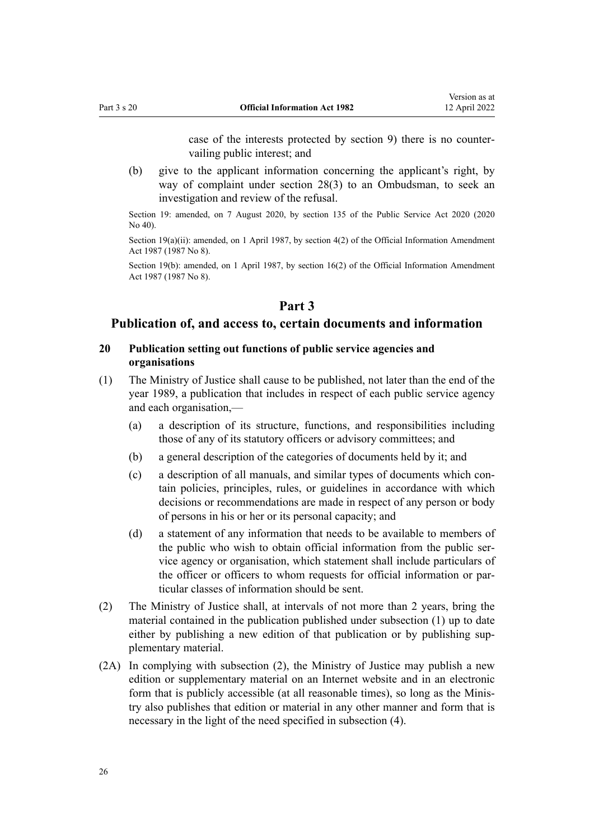case of the interests protected by section 9) there is no counter‐ vailing public interest; and

<span id="page-25-0"></span>(b) give to the applicant information concerning the applicant's right, by way of complaint under [section 28\(3\)](#page-34-0) to an Ombudsman, to seek an investigation and review of the refusal.

Section 19: amended, on 7 August 2020, by [section 135](http://legislation.govt.nz/pdflink.aspx?id=LMS176959) of the Public Service Act 2020 (2020 No 40).

Section 19(a)(ii): amended, on 1 April 1987, by [section 4\(2\)](http://legislation.govt.nz/pdflink.aspx?id=DLM101328) of the Official Information Amendment Act 1987 (1987 No 8).

Section 19(b): amended, on 1 April 1987, by [section 16\(2\)](http://legislation.govt.nz/pdflink.aspx?id=DLM101343) of the Official Information Amendment Act 1987 (1987 No 8).

## **Part 3**

### **Publication of, and access to, certain documents and information**

#### **20 Publication setting out functions of public service agencies and organisations**

- (1) The Ministry of Justice shall cause to be published, not later than the end of the year 1989, a publication that includes in respect of each public service agency and each organisation,—
	- (a) a description of its structure, functions, and responsibilities including those of any of its statutory officers or advisory committees; and
	- (b) a general description of the categories of documents held by it; and
	- (c) a description of all manuals, and similar types of documents which con‐ tain policies, principles, rules, or guidelines in accordance with which decisions or recommendations are made in respect of any person or body of persons in his or her or its personal capacity; and
	- (d) a statement of any information that needs to be available to members of the public who wish to obtain official information from the public ser‐ vice agency or organisation, which statement shall include particulars of the officer or officers to whom requests for official information or par‐ ticular classes of information should be sent.
- (2) The Ministry of Justice shall, at intervals of not more than 2 years, bring the material contained in the publication published under subsection (1) up to date either by publishing a new edition of that publication or by publishing supplementary material.
- (2A) In complying with subsection (2), the Ministry of Justice may publish a new edition or supplementary material on an Internet website and in an electronic form that is publicly accessible (at all reasonable times), so long as the Ministry also publishes that edition or material in any other manner and form that is necessary in the light of the need specified in subsection (4).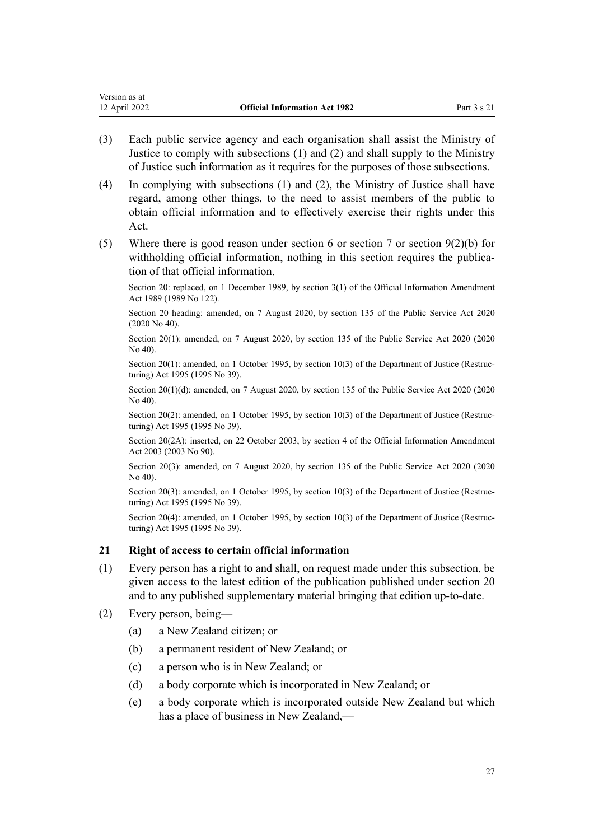- <span id="page-26-0"></span>(3) Each public service agency and each organisation shall assist the Ministry of Justice to comply with subsections (1) and (2) and shall supply to the Ministry of Justice such information as it requires for the purposes of those subsections.
- (4) In complying with subsections (1) and (2), the Ministry of Justice shall have regard, among other things, to the need to assist members of the public to obtain official information and to effectively exercise their rights under this Act.
- (5) Where there is good reason under [section 6](#page-12-0) or [section 7](#page-12-0) or section  $9(2)(b)$  for withholding official information, nothing in this section requires the publication of that official information.

Section 20: replaced, on 1 December 1989, by [section 3\(1\)](http://legislation.govt.nz/pdflink.aspx?id=DLM194218) of the Official Information Amendment Act 1989 (1989 No 122).

Section 20 heading: amended, on 7 August 2020, by [section 135](http://legislation.govt.nz/pdflink.aspx?id=LMS176959) of the Public Service Act 2020 (2020 No 40).

Section 20(1): amended, on 7 August 2020, by [section 135](http://legislation.govt.nz/pdflink.aspx?id=LMS176959) of the Public Service Act 2020 (2020 No 40).

Section 20(1): amended, on 1 October 1995, by [section 10\(3\)](http://legislation.govt.nz/pdflink.aspx?id=DLM367235) of the Department of Justice (Restructuring) Act 1995 (1995 No 39).

Section 20(1)(d): amended, on 7 August 2020, by [section 135](http://legislation.govt.nz/pdflink.aspx?id=LMS176959) of the Public Service Act 2020 (2020) No 40).

Section 20(2): amended, on 1 October 1995, by [section 10\(3\)](http://legislation.govt.nz/pdflink.aspx?id=DLM367235) of the Department of Justice (Restructuring) Act 1995 (1995 No 39).

Section 20(2A): inserted, on 22 October 2003, by [section 4](http://legislation.govt.nz/pdflink.aspx?id=DLM218147) of the Official Information Amendment Act 2003 (2003 No 90).

Section 20(3): amended, on 7 August 2020, by [section 135](http://legislation.govt.nz/pdflink.aspx?id=LMS176959) of the Public Service Act 2020 (2020) No 40).

Section 20(3): amended, on 1 October 1995, by [section 10\(3\)](http://legislation.govt.nz/pdflink.aspx?id=DLM367235) of the Department of Justice (Restructuring) Act 1995 (1995 No 39).

Section 20(4): amended, on 1 October 1995, by [section 10\(3\)](http://legislation.govt.nz/pdflink.aspx?id=DLM367235) of the Department of Justice (Restructuring) Act 1995 (1995 No 39).

#### **21 Right of access to certain official information**

- (1) Every person has a right to and shall, on request made under this subsection, be given access to the latest edition of the publication published under [section 20](#page-25-0) and to any published supplementary material bringing that edition up-to-date.
- (2) Every person, being—
	- (a) a New Zealand citizen; or
	- (b) a permanent resident of New Zealand; or
	- (c) a person who is in New Zealand; or
	- (d) a body corporate which is incorporated in New Zealand; or
	- (e) a body corporate which is incorporated outside New Zealand but which has a place of business in New Zealand,—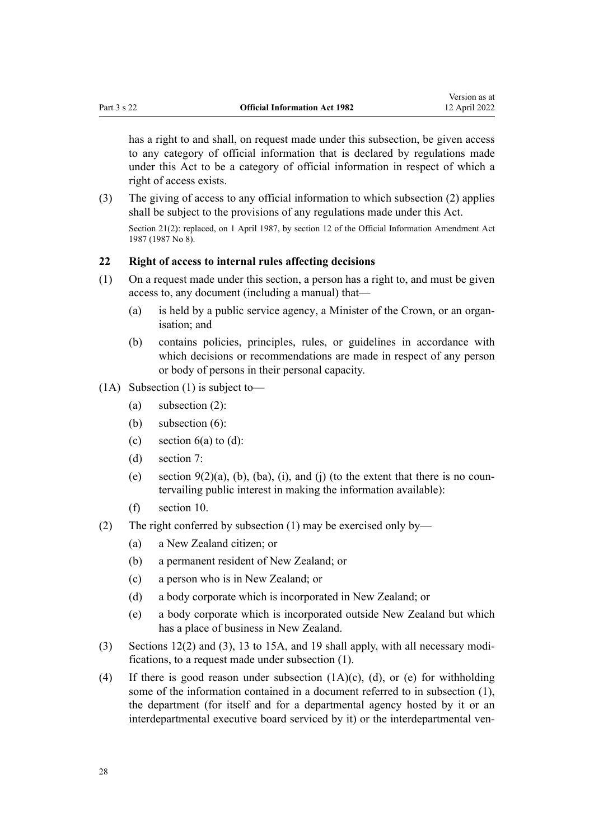<span id="page-27-0"></span>has a right to and shall, on request made under this subsection, be given access to any category of official information that is declared by regulations made under this Act to be a category of official information in respect of which a right of access exists.

(3) The giving of access to any official information to which subsection (2) applies shall be subject to the provisions of any regulations made under this Act. Section 21(2): replaced, on 1 April 1987, by [section 12](http://legislation.govt.nz/pdflink.aspx?id=DLM101338) of the Official Information Amendment Act 1987 (1987 No 8).

### **22 Right of access to internal rules affecting decisions**

- (1) On a request made under this section, a person has a right to, and must be given access to, any document (including a manual) that—
	- (a) is held by a public service agency, a Minister of the Crown, or an organ‐ isation; and
	- (b) contains policies, principles, rules, or guidelines in accordance with which decisions or recommendations are made in respect of any person or body of persons in their personal capacity.
- (1A) Subsection (1) is subject to—
	- (a) subsection (2):
	- (b) subsection (6):
	- (c) section  $6(a)$  to  $(d)$ :
	- (d) [section 7](#page-12-0):
	- (e) section  $9(2)(a)$ , (b), (ba), (i), and (j) (to the extent that there is no countervailing public interest in making the information available):
	- (f) [section 10](#page-15-0).
- (2) The right conferred by subsection (1) may be exercised only by—
	- (a) a New Zealand citizen; or
	- (b) a permanent resident of New Zealand; or
	- (c) a person who is in New Zealand; or
	- (d) a body corporate which is incorporated in New Zealand; or
	- (e) a body corporate which is incorporated outside New Zealand but which has a place of business in New Zealand.
- (3) [Sections 12\(2\) and \(3\),](#page-15-0) [13 to 15A,](#page-17-0) and [19](#page-24-0) shall apply, with all necessary modi‐ fications, to a request made under subsection (1).
- (4) If there is good reason under subsection (1A)(c), (d), or (e) for withholding some of the information contained in a document referred to in subsection (1), the department (for itself and for a departmental agency hosted by it or an interdepartmental executive board serviced by it) or the interdepartmental ven-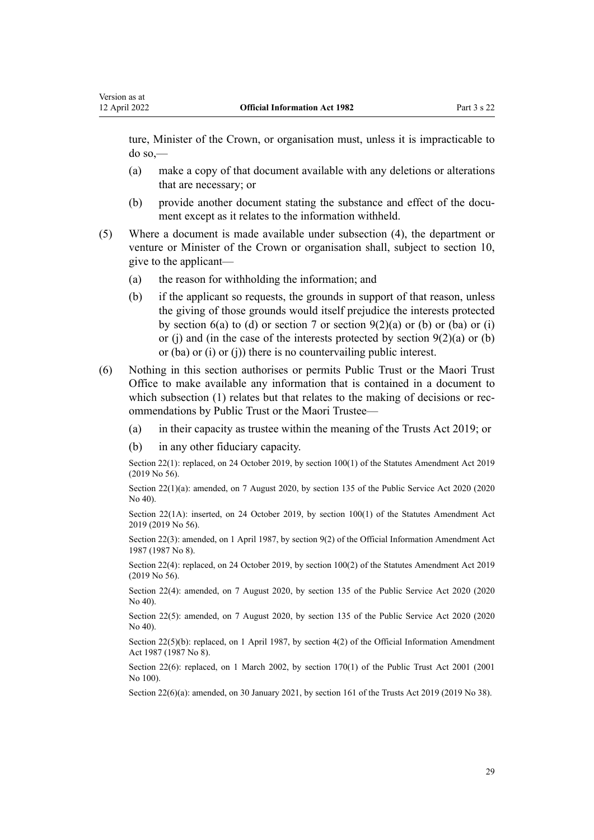ture, Minister of the Crown, or organisation must, unless it is impracticable to do so,—

- (a) make a copy of that document available with any deletions or alterations that are necessary; or
- (b) provide another document stating the substance and effect of the document except as it relates to the information withheld.
- (5) Where a document is made available under subsection (4), the department or venture or Minister of the Crown or organisation shall, subject to [section 10](#page-15-0), give to the applicant—
	- (a) the reason for withholding the information; and
	- (b) if the applicant so requests, the grounds in support of that reason, unless the giving of those grounds would itself prejudice the interests protected by [section 6\(a\) to \(d\)](#page-12-0) or [section 7](#page-12-0) or [section 9\(2\)\(a\) or \(b\) or \(ba\) or \(i\)](#page-13-0) [or \(j\)](#page-13-0) and (in the case of the interests protected by section  $9(2)(a)$  or (b) or (ba) or (i) or (j)) there is no countervailing public interest.
- (6) Nothing in this section authorises or permits Public Trust or the Maori Trust Office to make available any information that is contained in a document to which subsection (1) relates but that relates to the making of decisions or recommendations by Public Trust or the Maori Trustee—
	- (a) in their capacity as trustee within the meaning of the [Trusts Act 2019;](http://legislation.govt.nz/pdflink.aspx?id=DLM7382802) or
	- (b) in any other fiduciary capacity.

Section 22(1): replaced, on 24 October 2019, by [section 100\(1\)](http://legislation.govt.nz/pdflink.aspx?id=LMS59032) of the Statutes Amendment Act 2019 (2019 No 56).

Section 22(1)(a): amended, on 7 August 2020, by [section 135](http://legislation.govt.nz/pdflink.aspx?id=LMS176959) of the Public Service Act 2020 (2020 No 40).

Section 22(1A): inserted, on 24 October 2019, by [section 100\(1\)](http://legislation.govt.nz/pdflink.aspx?id=LMS59032) of the Statutes Amendment Act 2019 (2019 No 56).

Section 22(3): amended, on 1 April 1987, by [section 9\(2\)](http://legislation.govt.nz/pdflink.aspx?id=DLM101334) of the Official Information Amendment Act 1987 (1987 No 8).

Section 22(4): replaced, on 24 October 2019, by [section 100\(2\)](http://legislation.govt.nz/pdflink.aspx?id=LMS59032) of the Statutes Amendment Act 2019 (2019 No 56).

Section 22(4): amended, on 7 August 2020, by [section 135](http://legislation.govt.nz/pdflink.aspx?id=LMS176959) of the Public Service Act 2020 (2020 No 40).

Section 22(5): amended, on 7 August 2020, by [section 135](http://legislation.govt.nz/pdflink.aspx?id=LMS176959) of the Public Service Act 2020 (2020 No 40).

Section 22(5)(b): replaced, on 1 April 1987, by [section 4\(2\)](http://legislation.govt.nz/pdflink.aspx?id=DLM101328) of the Official Information Amendment Act 1987 (1987 No 8).

Section 22(6): replaced, on 1 March 2002, by [section 170\(1\)](http://legislation.govt.nz/pdflink.aspx?id=DLM124529) of the Public Trust Act 2001 (2001) No 100).

Section 22(6)(a): amended, on 30 January 2021, by [section 161](http://legislation.govt.nz/pdflink.aspx?id=DLM7383110) of the Trusts Act 2019 (2019 No 38).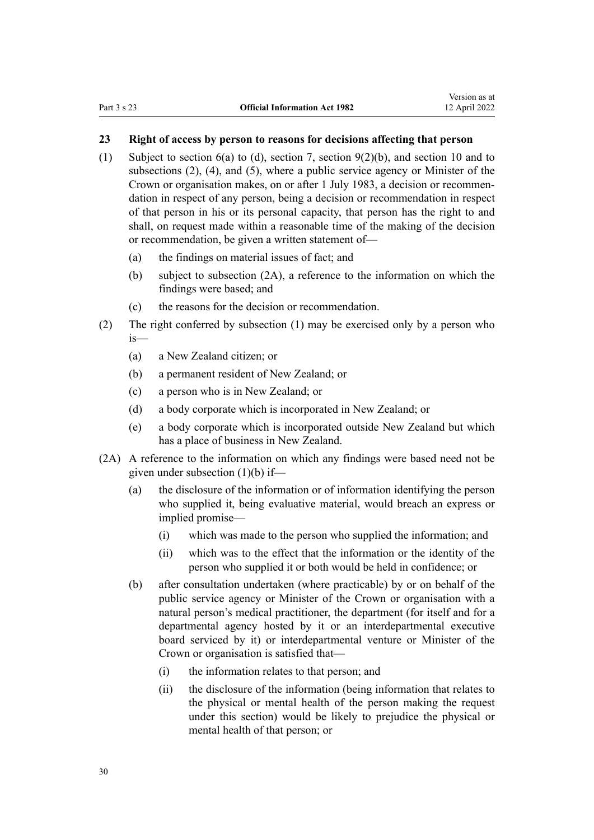## <span id="page-29-0"></span>**23 Right of access by person to reasons for decisions affecting that person**

- (1) Subject to [section 6\(a\) to \(d\),](#page-12-0) [section 7](#page-12-0), [section 9\(2\)\(b\),](#page-13-0) and [section 10](#page-15-0) and to subsections (2), (4), and (5), where a public service agency or Minister of the Crown or organisation makes, on or after 1 July 1983, a decision or recommen‐ dation in respect of any person, being a decision or recommendation in respect of that person in his or its personal capacity, that person has the right to and shall, on request made within a reasonable time of the making of the decision or recommendation, be given a written statement of—
	- (a) the findings on material issues of fact; and
	- (b) subject to subsection (2A), a reference to the information on which the findings were based; and
	- (c) the reasons for the decision or recommendation.
- (2) The right conferred by subsection (1) may be exercised only by a person who is—
	- (a) a New Zealand citizen; or
	- (b) a permanent resident of New Zealand; or
	- (c) a person who is in New Zealand; or
	- (d) a body corporate which is incorporated in New Zealand; or
	- (e) a body corporate which is incorporated outside New Zealand but which has a place of business in New Zealand.
- (2A) A reference to the information on which any findings were based need not be given under subsection (1)(b) if—
	- (a) the disclosure of the information or of information identifying the person who supplied it, being evaluative material, would breach an express or implied promise—
		- (i) which was made to the person who supplied the information; and
		- (ii) which was to the effect that the information or the identity of the person who supplied it or both would be held in confidence; or
	- (b) after consultation undertaken (where practicable) by or on behalf of the public service agency or Minister of the Crown or organisation with a natural person's medical practitioner, the department (for itself and for a departmental agency hosted by it or an interdepartmental executive board serviced by it) or interdepartmental venture or Minister of the Crown or organisation is satisfied that—
		- (i) the information relates to that person; and
		- (ii) the disclosure of the information (being information that relates to the physical or mental health of the person making the request under this section) would be likely to prejudice the physical or mental health of that person; or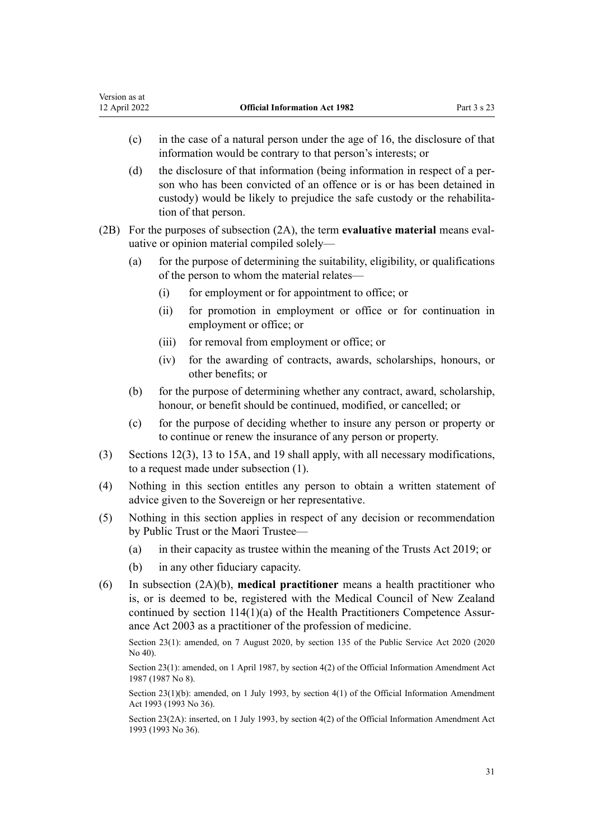Version as at

- (c) in the case of a natural person under the age of 16, the disclosure of that information would be contrary to that person's interests; or
- (d) the disclosure of that information (being information in respect of a per‐ son who has been convicted of an offence or is or has been detained in custody) would be likely to prejudice the safe custody or the rehabilitation of that person.
- (2B) For the purposes of subsection (2A), the term **evaluative material** means eval‐ uative or opinion material compiled solely—
	- (a) for the purpose of determining the suitability, eligibility, or qualifications of the person to whom the material relates—
		- (i) for employment or for appointment to office; or
		- (ii) for promotion in employment or office or for continuation in employment or office; or
		- (iii) for removal from employment or office; or
		- (iv) for the awarding of contracts, awards, scholarships, honours, or other benefits; or
	- (b) for the purpose of determining whether any contract, award, scholarship, honour, or benefit should be continued, modified, or cancelled; or
	- (c) for the purpose of deciding whether to insure any person or property or to continue or renew the insurance of any person or property.
- (3) [Sections 12\(3\)](#page-15-0), [13 to 15A](#page-17-0), and [19](#page-24-0) shall apply, with all necessary modifications, to a request made under subsection (1).
- (4) Nothing in this section entitles any person to obtain a written statement of advice given to the Sovereign or her representative.
- (5) Nothing in this section applies in respect of any decision or recommendation by Public Trust or the Maori Trustee—
	- (a) in their capacity as trustee within the meaning of the [Trusts Act 2019;](http://legislation.govt.nz/pdflink.aspx?id=DLM7382802) or
	- (b) in any other fiduciary capacity.
- (6) In subsection (2A)(b), **medical practitioner** means a health practitioner who is, or is deemed to be, registered with the Medical Council of New Zealand continued by [section 114\(1\)\(a\)](http://legislation.govt.nz/pdflink.aspx?id=DLM204329) of the Health Practitioners Competence Assur‐ ance Act 2003 as a practitioner of the profession of medicine.

Section 23(1): amended, on 7 August 2020, by [section 135](http://legislation.govt.nz/pdflink.aspx?id=LMS176959) of the Public Service Act 2020 (2020 No 40).

Section 23(1): amended, on 1 April 1987, by [section 4\(2\)](http://legislation.govt.nz/pdflink.aspx?id=DLM101328) of the Official Information Amendment Act 1987 (1987 No 8).

Section 23(1)(b): amended, on 1 July 1993, by [section 4\(1\)](http://legislation.govt.nz/pdflink.aspx?id=DLM299189) of the Official Information Amendment Act 1993 (1993 No 36).

Section 23(2A): inserted, on 1 July 1993, by [section 4\(2\)](http://legislation.govt.nz/pdflink.aspx?id=DLM299189) of the Official Information Amendment Act 1993 (1993 No 36).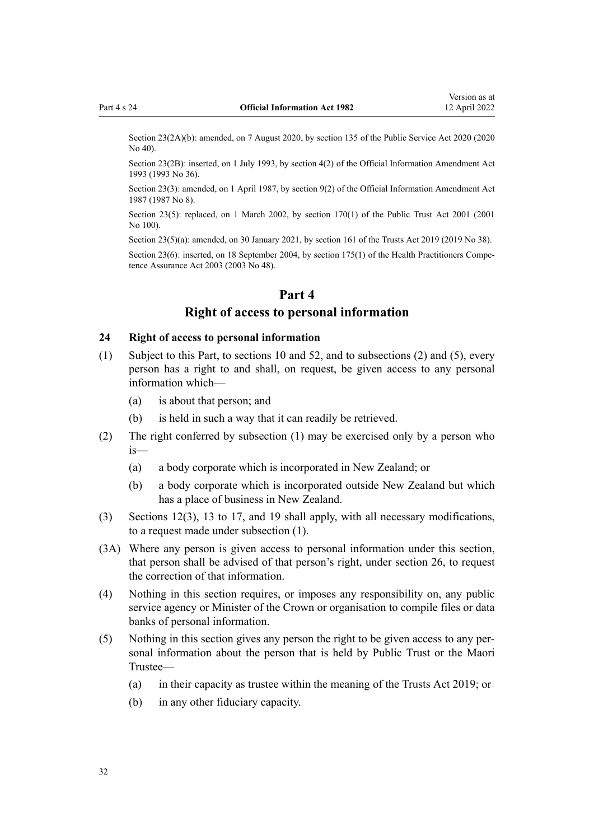<span id="page-31-0"></span>Section 23(2A)(b): amended, on 7 August 2020, by [section 135](http://legislation.govt.nz/pdflink.aspx?id=LMS176959) of the Public Service Act 2020 (2020) No 40).

Section 23(2B): inserted, on 1 July 1993, by [section 4\(2\)](http://legislation.govt.nz/pdflink.aspx?id=DLM299189) of the Official Information Amendment Act 1993 (1993 No 36).

Section 23(3): amended, on 1 April 1987, by [section 9\(2\)](http://legislation.govt.nz/pdflink.aspx?id=DLM101334) of the Official Information Amendment Act 1987 (1987 No 8).

Section 23(5): replaced, on 1 March 2002, by [section 170\(1\)](http://legislation.govt.nz/pdflink.aspx?id=DLM124529) of the Public Trust Act 2001 (2001) No 100).

Section 23(5)(a): amended, on 30 January 2021, by [section 161](http://legislation.govt.nz/pdflink.aspx?id=DLM7383110) of the Trusts Act 2019 (2019 No 38).

Section 23(6): inserted, on 18 September 2004, by [section 175\(1\)](http://legislation.govt.nz/pdflink.aspx?id=DLM205009) of the Health Practitioners Competence Assurance Act 2003 (2003 No 48).

#### **Part 4**

## **Right of access to personal information**

#### **24 Right of access to personal information**

- (1) Subject to this Part, to [sections 10](#page-15-0) and [52](#page-47-0), and to subsections (2) and (5), every person has a right to and shall, on request, be given access to any personal information which—
	- (a) is about that person; and
	- (b) is held in such a way that it can readily be retrieved.
- (2) The right conferred by subsection (1) may be exercised only by a person who is—
	- (a) a body corporate which is incorporated in New Zealand; or
	- (b) a body corporate which is incorporated outside New Zealand but which has a place of business in New Zealand.
- (3) [Sections 12\(3\),](#page-15-0) [13 to 17,](#page-17-0) and [19](#page-24-0) shall apply, with all necessary modifications, to a request made under subsection (1).
- (3A) Where any person is given access to personal information under this section, that person shall be advised of that person's right, under [section 26,](#page-32-0) to request the correction of that information.
- (4) Nothing in this section requires, or imposes any responsibility on, any public service agency or Minister of the Crown or organisation to compile files or data banks of personal information.
- (5) Nothing in this section gives any person the right to be given access to any per‐ sonal information about the person that is held by Public Trust or the Maori Trustee—
	- (a) in their capacity as trustee within the meaning of the [Trusts Act 2019;](http://legislation.govt.nz/pdflink.aspx?id=DLM7382802) or
	- (b) in any other fiduciary capacity.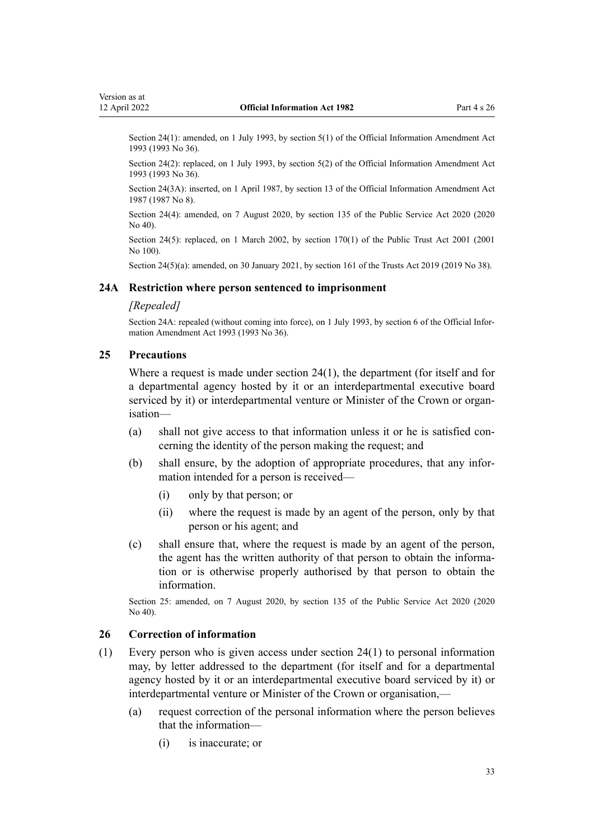<span id="page-32-0"></span>Section 24(1): amended, on 1 July 1993, by [section 5\(1\)](http://legislation.govt.nz/pdflink.aspx?id=DLM299190) of the Official Information Amendment Act 1993 (1993 No 36).

Section 24(2): replaced, on 1 July 1993, by [section 5\(2\)](http://legislation.govt.nz/pdflink.aspx?id=DLM299190) of the Official Information Amendment Act 1993 (1993 No 36).

Section 24(3A): inserted, on 1 April 1987, by [section 13](http://legislation.govt.nz/pdflink.aspx?id=DLM101339) of the Official Information Amendment Act 1987 (1987 No 8).

Section 24(4): amended, on 7 August 2020, by [section 135](http://legislation.govt.nz/pdflink.aspx?id=LMS176959) of the Public Service Act 2020 (2020 No 40).

Section 24(5): replaced, on 1 March 2002, by [section 170\(1\)](http://legislation.govt.nz/pdflink.aspx?id=DLM124529) of the Public Trust Act 2001 (2001) No 100).

Section 24(5)(a): amended, on 30 January 2021, by [section 161](http://legislation.govt.nz/pdflink.aspx?id=DLM7383110) of the Trusts Act 2019 (2019 No 38).

#### **24A Restriction where person sentenced to imprisonment**

#### *[Repealed]*

Section 24A: repealed (without coming into force), on 1 July 1993, by [section 6](http://legislation.govt.nz/pdflink.aspx?id=DLM299191) of the Official Information Amendment Act 1993 (1993 No 36).

#### **25 Precautions**

Where a request is made under [section 24\(1\)](#page-31-0), the department (for itself and for a departmental agency hosted by it or an interdepartmental executive board serviced by it) or interdepartmental venture or Minister of the Crown or organisation—

- (a) shall not give access to that information unless it or he is satisfied concerning the identity of the person making the request; and
- (b) shall ensure, by the adoption of appropriate procedures, that any infor‐ mation intended for a person is received—
	- (i) only by that person; or
	- (ii) where the request is made by an agent of the person, only by that person or his agent; and
- (c) shall ensure that, where the request is made by an agent of the person, the agent has the written authority of that person to obtain the information or is otherwise properly authorised by that person to obtain the information.

Section 25: amended, on 7 August 2020, by [section 135](http://legislation.govt.nz/pdflink.aspx?id=LMS176959) of the Public Service Act 2020 (2020 No 40).

#### **26 Correction of information**

- (1) Every person who is given access under [section 24\(1\)](#page-31-0) to personal information may, by letter addressed to the department (for itself and for a departmental agency hosted by it or an interdepartmental executive board serviced by it) or interdepartmental venture or Minister of the Crown or organisation,—
	- (a) request correction of the personal information where the person believes that the information—
		- (i) is inaccurate; or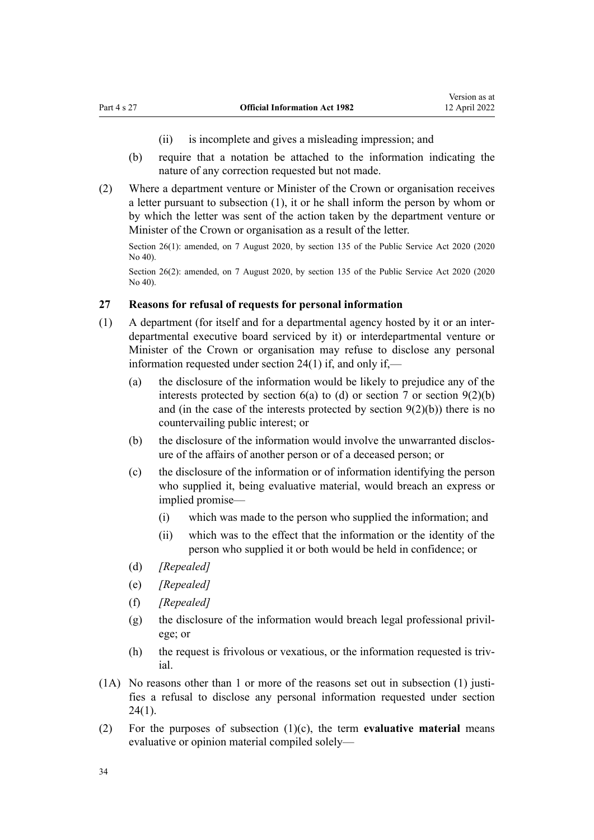- (ii) is incomplete and gives a misleading impression; and
- <span id="page-33-0"></span>(b) require that a notation be attached to the information indicating the nature of any correction requested but not made.
- (2) Where a department venture or Minister of the Crown or organisation receives a letter pursuant to subsection (1), it or he shall inform the person by whom or by which the letter was sent of the action taken by the department venture or Minister of the Crown or organisation as a result of the letter.

Section 26(1): amended, on 7 August 2020, by [section 135](http://legislation.govt.nz/pdflink.aspx?id=LMS176959) of the Public Service Act 2020 (2020 No 40).

Section 26(2): amended, on 7 August 2020, by [section 135](http://legislation.govt.nz/pdflink.aspx?id=LMS176959) of the Public Service Act 2020 (2020) No 40).

#### **27 Reasons for refusal of requests for personal information**

- (1) A department (for itself and for a departmental agency hosted by it or an inter‐ departmental executive board serviced by it) or interdepartmental venture or Minister of the Crown or organisation may refuse to disclose any personal information requested under [section 24\(1\)](#page-31-0) if, and only if,—
	- (a) the disclosure of the information would be likely to prejudice any of the interests protected by section  $6(a)$  to  $(d)$  or [section 7](#page-12-0) or section  $9(2)(b)$ and (in the case of the interests protected by section  $9(2)(b)$ ) there is no countervailing public interest; or
	- (b) the disclosure of the information would involve the unwarranted disclosure of the affairs of another person or of a deceased person; or
	- (c) the disclosure of the information or of information identifying the person who supplied it, being evaluative material, would breach an express or implied promise—
		- (i) which was made to the person who supplied the information; and
		- (ii) which was to the effect that the information or the identity of the person who supplied it or both would be held in confidence; or
	- (d) *[Repealed]*
	- (e) *[Repealed]*
	- (f) *[Repealed]*
	- (g) the disclosure of the information would breach legal professional privil‐ ege; or
	- (h) the request is frivolous or vexatious, or the information requested is triv‐ ial.
- $(1A)$  No reasons other than 1 or more of the reasons set out in subsection  $(1)$  justifies a refusal to disclose any personal information requested under [section](#page-31-0) [24\(1\)](#page-31-0).
- (2) For the purposes of subsection (1)(c), the term **evaluative material** means evaluative or opinion material compiled solely—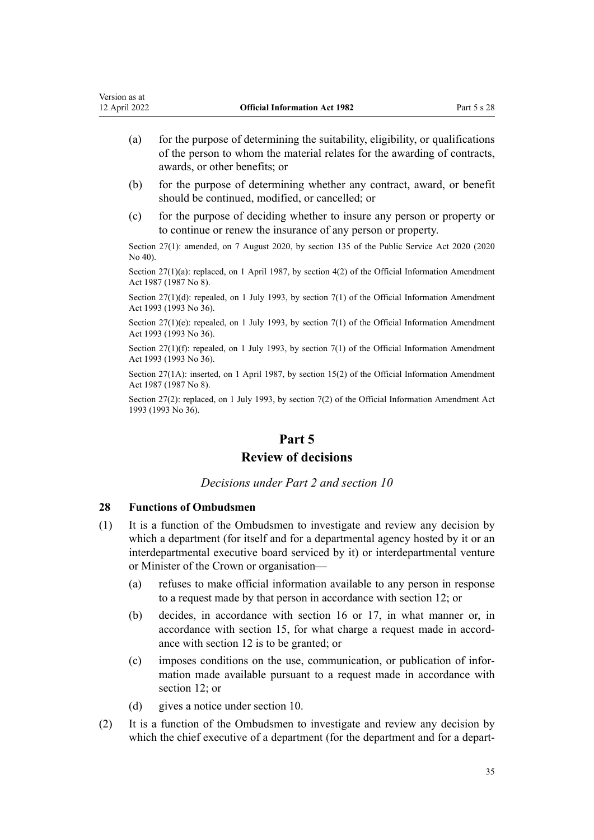- <span id="page-34-0"></span>(a) for the purpose of determining the suitability, eligibility, or qualifications of the person to whom the material relates for the awarding of contracts, awards, or other benefits; or
- (b) for the purpose of determining whether any contract, award, or benefit should be continued, modified, or cancelled; or
- (c) for the purpose of deciding whether to insure any person or property or to continue or renew the insurance of any person or property.

Section 27(1): amended, on 7 August 2020, by [section 135](http://legislation.govt.nz/pdflink.aspx?id=LMS176959) of the Public Service Act 2020 (2020 No 40).

Section 27(1)(a): replaced, on 1 April 1987, by [section 4\(2\)](http://legislation.govt.nz/pdflink.aspx?id=DLM101328) of the Official Information Amendment Act 1987 (1987 No 8).

Section 27(1)(d): repealed, on 1 July 1993, by [section 7\(1\)](http://legislation.govt.nz/pdflink.aspx?id=DLM299192) of the Official Information Amendment Act 1993 (1993 No 36).

Section 27(1)(e): repealed, on 1 July 1993, by [section 7\(1\)](http://legislation.govt.nz/pdflink.aspx?id=DLM299192) of the Official Information Amendment Act 1993 (1993 No 36).

Section 27(1)(f): repealed, on 1 July 1993, by [section 7\(1\)](http://legislation.govt.nz/pdflink.aspx?id=DLM299192) of the Official Information Amendment Act 1993 (1993 No 36).

Section 27(1A): inserted, on 1 April 1987, by [section 15\(2\)](http://legislation.govt.nz/pdflink.aspx?id=DLM101342) of the Official Information Amendment Act 1987 (1987 No 8).

Section 27(2): replaced, on 1 July 1993, by [section 7\(2\)](http://legislation.govt.nz/pdflink.aspx?id=DLM299192) of the Official Information Amendment Act 1993 (1993 No 36).

## **Part 5**

## **Review of decisions**

*Decisions under Part 2 and section 10*

#### **28 Functions of Ombudsmen**

- (1) It is a function of the Ombudsmen to investigate and review any decision by which a department (for itself and for a departmental agency hosted by it or an interdepartmental executive board serviced by it) or interdepartmental venture or Minister of the Crown or organisation—
	- (a) refuses to make official information available to any person in response to a request made by that person in accordance with [section 12;](#page-15-0) or
	- (b) decides, in accordance with [section 16](#page-21-0) or [17,](#page-22-0) in what manner or, in accordance with [section 15,](#page-18-0) for what charge a request made in accordance with [section 12](#page-15-0) is to be granted; or
	- (c) imposes conditions on the use, communication, or publication of infor‐ mation made available pursuant to a request made in accordance with [section 12](#page-15-0); or
	- (d) gives a notice under [section 10](#page-15-0).
- (2) It is a function of the Ombudsmen to investigate and review any decision by which the chief executive of a department (for the department and for a depart-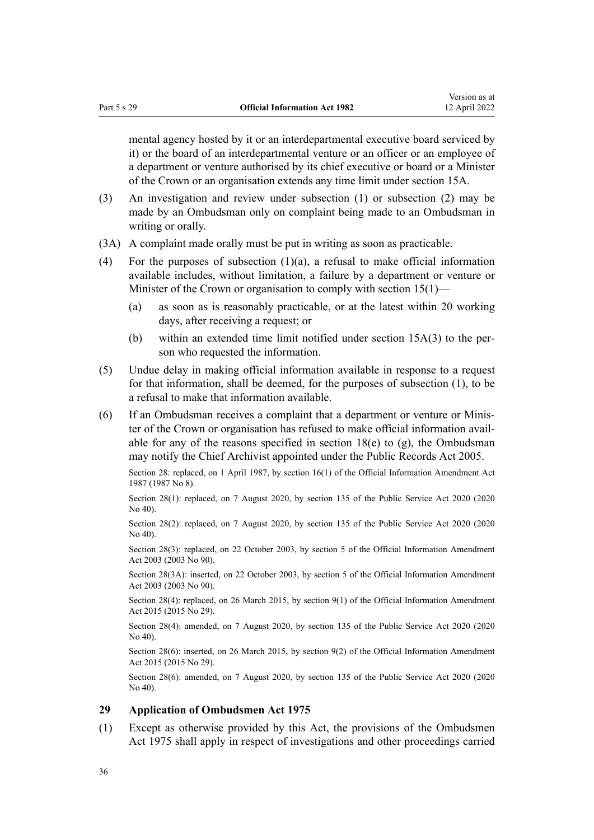<span id="page-35-0"></span>mental agency hosted by it or an interdepartmental executive board serviced by it) or the board of an interdepartmental venture or an officer or an employee of a department or venture authorised by its chief executive or board or a Minister of the Crown or an organisation extends any time limit under [section 15A](#page-20-0).

- (3) An investigation and review under subsection (1) or subsection (2) may be made by an Ombudsman only on complaint being made to an Ombudsman in writing or orally.
- (3A) A complaint made orally must be put in writing as soon as practicable.
- (4) For the purposes of subsection (1)(a), a refusal to make official information available includes, without limitation, a failure by a department or venture or Minister of the Crown or organisation to comply with [section 15\(1\)](#page-18-0)—
	- (a) as soon as is reasonably practicable, or at the latest within 20 working days, after receiving a request; or
	- (b) within an extended time limit notified under [section 15A\(3\)](#page-20-0) to the per‐ son who requested the information.
- (5) Undue delay in making official information available in response to a request for that information, shall be deemed, for the purposes of subsection (1), to be a refusal to make that information available.
- (6) If an Ombudsman receives a complaint that a department or venture or Minis‐ ter of the Crown or organisation has refused to make official information avail‐ able for any of the reasons specified in section  $18(e)$  to  $(g)$ , the Ombudsman may notify the Chief Archivist appointed under the [Public Records Act 2005.](http://legislation.govt.nz/pdflink.aspx?id=DLM345528)

Section 28: replaced, on 1 April 1987, by [section 16\(1\)](http://legislation.govt.nz/pdflink.aspx?id=DLM101343) of the Official Information Amendment Act 1987 (1987 No 8).

Section 28(1): replaced, on 7 August 2020, by [section 135](http://legislation.govt.nz/pdflink.aspx?id=LMS176959) of the Public Service Act 2020 (2020 No 40).

Section 28(2): replaced, on 7 August 2020, by [section 135](http://legislation.govt.nz/pdflink.aspx?id=LMS176959) of the Public Service Act 2020 (2020) No 40).

Section 28(3): replaced, on 22 October 2003, by [section 5](http://legislation.govt.nz/pdflink.aspx?id=DLM218148) of the Official Information Amendment Act 2003 (2003 No 90).

Section 28(3A): inserted, on 22 October 2003, by [section 5](http://legislation.govt.nz/pdflink.aspx?id=DLM218148) of the Official Information Amendment Act 2003 (2003 No 90).

Section 28(4): replaced, on 26 March 2015, by [section 9\(1\)](http://legislation.govt.nz/pdflink.aspx?id=DLM6403869) of the Official Information Amendment Act 2015 (2015 No 29).

Section 28(4): amended, on 7 August 2020, by [section 135](http://legislation.govt.nz/pdflink.aspx?id=LMS176959) of the Public Service Act 2020 (2020 No 40).

Section 28(6): inserted, on 26 March 2015, by [section 9\(2\)](http://legislation.govt.nz/pdflink.aspx?id=DLM6403869) of the Official Information Amendment Act 2015 (2015 No 29).

Section 28(6): amended, on 7 August 2020, by [section 135](http://legislation.govt.nz/pdflink.aspx?id=LMS176959) of the Public Service Act 2020 (2020 No 40).

#### **29 Application of Ombudsmen Act 1975**

(1) Except as otherwise provided by this Act, the provisions of the [Ombudsmen](http://legislation.govt.nz/pdflink.aspx?id=DLM430983) [Act 1975](http://legislation.govt.nz/pdflink.aspx?id=DLM430983) shall apply in respect of investigations and other proceedings carried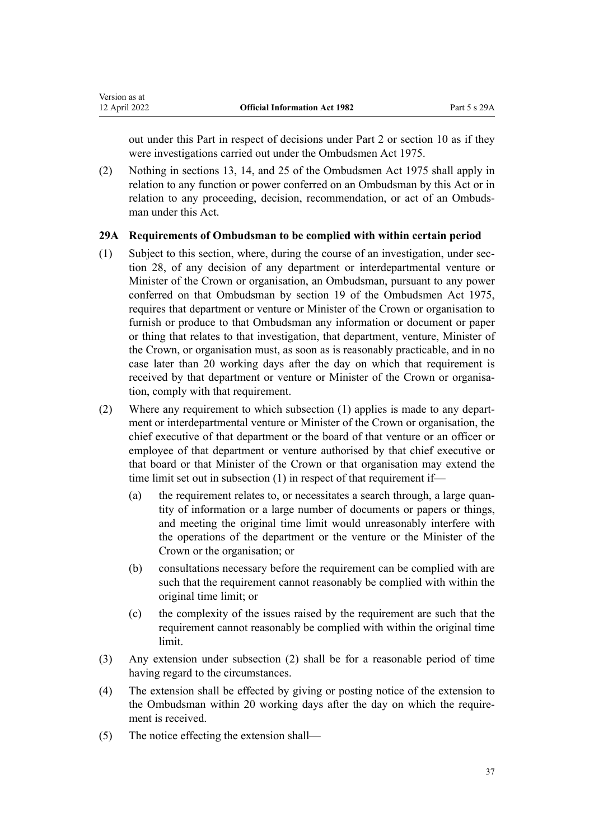<span id="page-36-0"></span>out under this Part in respect of decisions under [Part 2](#page-15-0) or [section 10](#page-15-0) as if they were investigations carried out under the Ombudsmen Act 1975.

(2) Nothing in [sections 13,](http://legislation.govt.nz/pdflink.aspx?id=DLM431123) [14,](http://legislation.govt.nz/pdflink.aspx?id=DLM431126) and [25](http://legislation.govt.nz/pdflink.aspx?id=DLM431173) of the Ombudsmen Act 1975 shall apply in relation to any function or power conferred on an Ombudsman by this Act or in relation to any proceeding, decision, recommendation, or act of an Ombudsman under this Act.

### **29A Requirements of Ombudsman to be complied with within certain period**

- (1) Subject to this section, where, during the course of an investigation, under [sec‐](#page-34-0) [tion 28,](#page-34-0) of any decision of any department or interdepartmental venture or Minister of the Crown or organisation, an Ombudsman, pursuant to any power conferred on that Ombudsman by [section 19](http://legislation.govt.nz/pdflink.aspx?id=DLM431148) of the Ombudsmen Act 1975, requires that department or venture or Minister of the Crown or organisation to furnish or produce to that Ombudsman any information or document or paper or thing that relates to that investigation, that department, venture, Minister of the Crown, or organisation must, as soon as is reasonably practicable, and in no case later than 20 working days after the day on which that requirement is received by that department or venture or Minister of the Crown or organisation, comply with that requirement.
- (2) Where any requirement to which subsection (1) applies is made to any depart‐ ment or interdepartmental venture or Minister of the Crown or organisation, the chief executive of that department or the board of that venture or an officer or employee of that department or venture authorised by that chief executive or that board or that Minister of the Crown or that organisation may extend the time limit set out in subsection (1) in respect of that requirement if—
	- (a) the requirement relates to, or necessitates a search through, a large quan‐ tity of information or a large number of documents or papers or things, and meeting the original time limit would unreasonably interfere with the operations of the department or the venture or the Minister of the Crown or the organisation; or
	- (b) consultations necessary before the requirement can be complied with are such that the requirement cannot reasonably be complied with within the original time limit; or
	- (c) the complexity of the issues raised by the requirement are such that the requirement cannot reasonably be complied with within the original time limit.
- (3) Any extension under subsection (2) shall be for a reasonable period of time having regard to the circumstances.
- (4) The extension shall be effected by giving or posting notice of the extension to the Ombudsman within 20 working days after the day on which the require‐ ment is received.
- (5) The notice effecting the extension shall—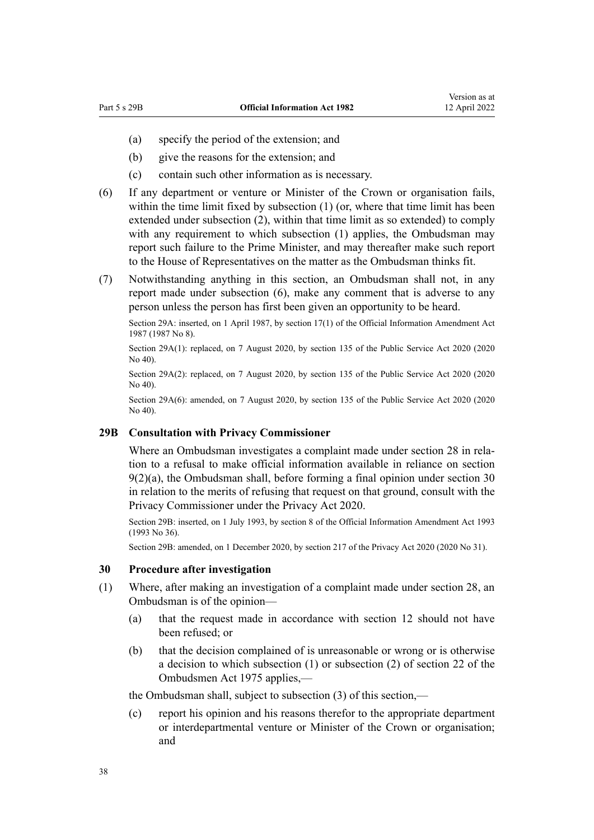- <span id="page-37-0"></span>(a) specify the period of the extension; and
- (b) give the reasons for the extension; and
- (c) contain such other information as is necessary.
- (6) If any department or venture or Minister of the Crown or organisation fails, within the time limit fixed by subsection (1) (or, where that time limit has been extended under subsection (2), within that time limit as so extended) to comply with any requirement to which subsection (1) applies, the Ombudsman may report such failure to the Prime Minister, and may thereafter make such report to the House of Representatives on the matter as the Ombudsman thinks fit.
- (7) Notwithstanding anything in this section, an Ombudsman shall not, in any report made under subsection (6), make any comment that is adverse to any person unless the person has first been given an opportunity to be heard.

Section 29A: inserted, on 1 April 1987, by [section 17\(1\)](http://legislation.govt.nz/pdflink.aspx?id=DLM101344) of the Official Information Amendment Act 1987 (1987 No 8).

Section 29A(1): replaced, on 7 August 2020, by [section 135](http://legislation.govt.nz/pdflink.aspx?id=LMS176959) of the Public Service Act 2020 (2020  $N_0$  40).

Section 29A(2): replaced, on 7 August 2020, by [section 135](http://legislation.govt.nz/pdflink.aspx?id=LMS176959) of the Public Service Act 2020 (2020 No 40).

Section 29A(6): amended, on 7 August 2020, by [section 135](http://legislation.govt.nz/pdflink.aspx?id=LMS176959) of the Public Service Act 2020 (2020 No 40).

#### **29B Consultation with Privacy Commissioner**

Where an Ombudsman investigates a complaint made under [section 28](#page-34-0) in relation to a refusal to make official information available in reliance on [section](#page-13-0) [9\(2\)\(a\)](#page-13-0), the Ombudsman shall, before forming a final opinion under section 30 in relation to the merits of refusing that request on that ground, consult with the Privacy Commissioner under the [Privacy Act 2020.](http://legislation.govt.nz/pdflink.aspx?id=LMS23193)

Section 29B: inserted, on 1 July 1993, by [section 8](http://legislation.govt.nz/pdflink.aspx?id=DLM299193) of the Official Information Amendment Act 1993 (1993 No 36).

Section 29B: amended, on 1 December 2020, by [section 217](http://legislation.govt.nz/pdflink.aspx?id=LMS23706) of the Privacy Act 2020 (2020 No 31).

#### **30 Procedure after investigation**

- (1) Where, after making an investigation of a complaint made under [section 28](#page-34-0), an Ombudsman is of the opinion—
	- (a) that the request made in accordance with [section 12](#page-15-0) should not have been refused; or
	- (b) that the decision complained of is unreasonable or wrong or is otherwise a decision to which subsection (1) or subsection (2) of [section 22](http://legislation.govt.nz/pdflink.aspx?id=DLM431166) of the Ombudsmen Act 1975 applies,—

the Ombudsman shall, subject to subsection (3) of this section,—

(c) report his opinion and his reasons therefor to the appropriate department or interdepartmental venture or Minister of the Crown or organisation; and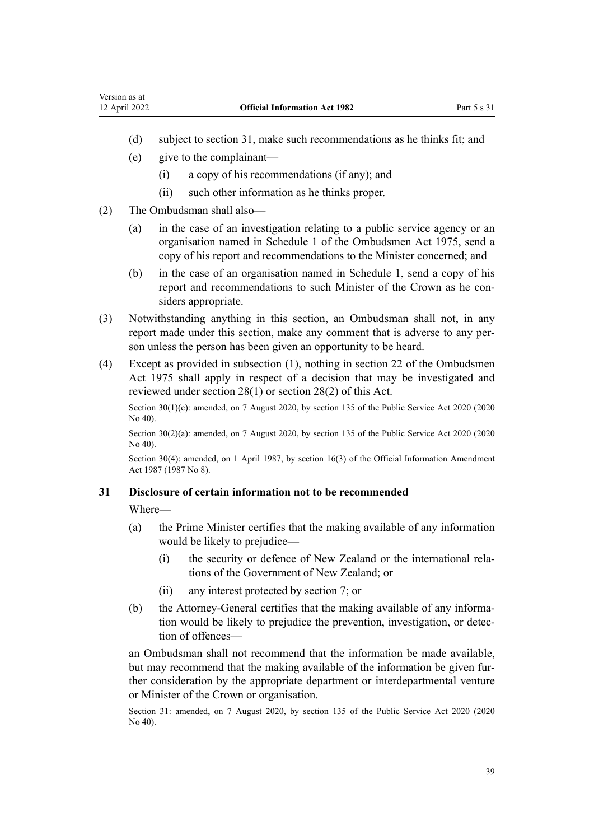- <span id="page-38-0"></span>(d) subject to section 31, make such recommendations as he thinks fit; and
- (e) give to the complainant—
	- (i) a copy of his recommendations (if any); and
	- (ii) such other information as he thinks proper.
- (2) The Ombudsman shall also—
	- (a) in the case of an investigation relating to a public service agency or an organisation named in [Schedule 1](http://legislation.govt.nz/pdflink.aspx?id=DLM431204) of the Ombudsmen Act 1975, send a copy of his report and recommendations to the Minister concerned; and
	- (b) in the case of an organisation named in [Schedule 1,](#page-49-0) send a copy of his report and recommendations to such Minister of the Crown as he considers appropriate.
- (3) Notwithstanding anything in this section, an Ombudsman shall not, in any report made under this section, make any comment that is adverse to any person unless the person has been given an opportunity to be heard.
- (4) Except as provided in subsection (1), nothing in [section 22](http://legislation.govt.nz/pdflink.aspx?id=DLM431166) of the Ombudsmen Act 1975 shall apply in respect of a decision that may be investigated and reviewed under [section 28\(1\)](#page-34-0) or section 28(2) of this Act.

Section 30(1)(c): amended, on 7 August 2020, by [section 135](http://legislation.govt.nz/pdflink.aspx?id=LMS176959) of the Public Service Act 2020 (2020) No 40).

Section 30(2)(a): amended, on 7 August 2020, by [section 135](http://legislation.govt.nz/pdflink.aspx?id=LMS176959) of the Public Service Act 2020 (2020 No 40).

Section 30(4): amended, on 1 April 1987, by [section 16\(3\)](http://legislation.govt.nz/pdflink.aspx?id=DLM101343) of the Official Information Amendment Act 1987 (1987 No 8).

#### **31 Disclosure of certain information not to be recommended**

Where—

- (a) the Prime Minister certifies that the making available of any information would be likely to prejudice—
	- (i) the security or defence of New Zealand or the international rela‐ tions of the Government of New Zealand; or
	- (ii) any interest protected by [section 7;](#page-12-0) or
- (b) the Attorney-General certifies that the making available of any information would be likely to prejudice the prevention, investigation, or detec‐ tion of offences—

an Ombudsman shall not recommend that the information be made available, but may recommend that the making available of the information be given further consideration by the appropriate department or interdepartmental venture or Minister of the Crown or organisation.

Section 31: amended, on 7 August 2020, by [section 135](http://legislation.govt.nz/pdflink.aspx?id=LMS176959) of the Public Service Act 2020 (2020 No 40).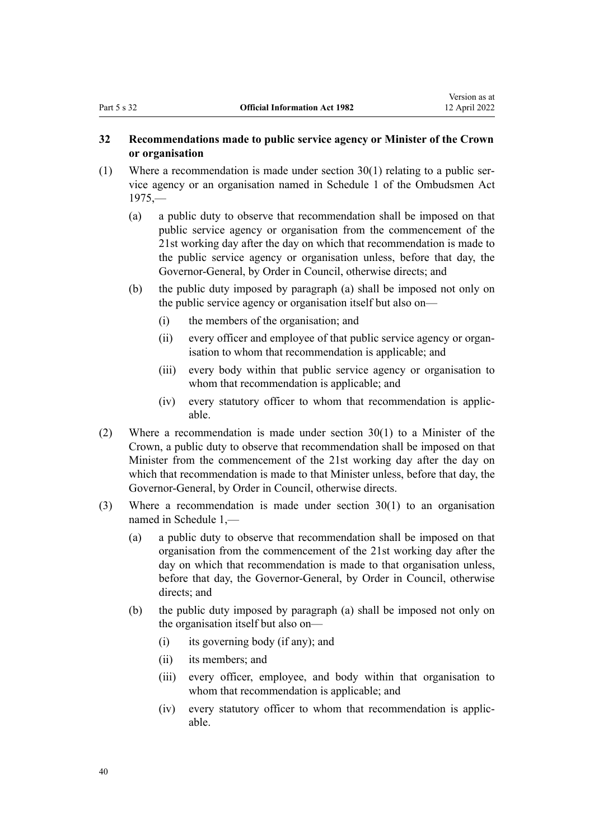### <span id="page-39-0"></span>**32 Recommendations made to public service agency or Minister of the Crown or organisation**

- (1) Where a recommendation is made under section  $30(1)$  relating to a public service agency or an organisation named in [Schedule 1](http://legislation.govt.nz/pdflink.aspx?id=DLM431204) of the Ombudsmen Act 1975,—
	- (a) a public duty to observe that recommendation shall be imposed on that public service agency or organisation from the commencement of the 21st working day after the day on which that recommendation is made to the public service agency or organisation unless, before that day, the Governor-General, by Order in Council, otherwise directs; and
	- (b) the public duty imposed by paragraph (a) shall be imposed not only on the public service agency or organisation itself but also on—
		- (i) the members of the organisation; and
		- (ii) every officer and employee of that public service agency or organ‐ isation to whom that recommendation is applicable; and
		- (iii) every body within that public service agency or organisation to whom that recommendation is applicable; and
		- (iv) every statutory officer to whom that recommendation is applic‐ able.
- (2) Where a recommendation is made under section  $30(1)$  to a Minister of the Crown, a public duty to observe that recommendation shall be imposed on that Minister from the commencement of the 21st working day after the day on which that recommendation is made to that Minister unless, before that day, the Governor-General, by Order in Council, otherwise directs.
- (3) Where a recommendation is made under [section 30\(1\)](#page-37-0) to an organisation named in [Schedule 1](#page-49-0),—
	- (a) a public duty to observe that recommendation shall be imposed on that organisation from the commencement of the 21st working day after the day on which that recommendation is made to that organisation unless, before that day, the Governor-General, by Order in Council, otherwise directs; and
	- (b) the public duty imposed by paragraph (a) shall be imposed not only on the organisation itself but also on—
		- (i) its governing body (if any); and
		- (ii) its members; and
		- (iii) every officer, employee, and body within that organisation to whom that recommendation is applicable; and
		- (iv) every statutory officer to whom that recommendation is applic‐ able.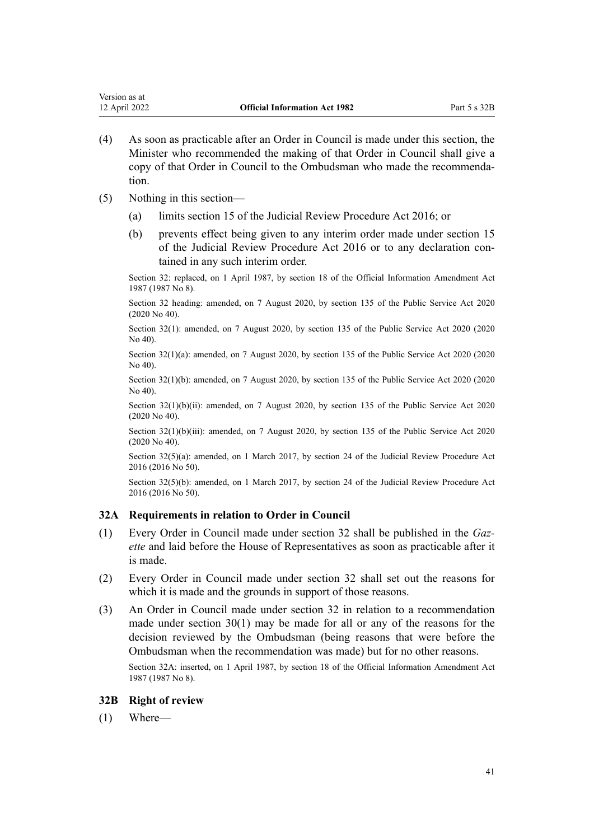- <span id="page-40-0"></span>(4) As soon as practicable after an Order in Council is made under this section, the Minister who recommended the making of that Order in Council shall give a copy of that Order in Council to the Ombudsman who made the recommenda‐ tion.
- (5) Nothing in this section—
	- (a) limits [section 15](http://legislation.govt.nz/pdflink.aspx?id=DLM6942146) of the Judicial Review Procedure Act 2016; or
	- (b) prevents effect being given to any interim order made under [section 15](http://legislation.govt.nz/pdflink.aspx?id=DLM6942146) of the Judicial Review Procedure Act 2016 or to any declaration contained in any such interim order.

Section 32: replaced, on 1 April 1987, by [section 18](http://legislation.govt.nz/pdflink.aspx?id=DLM101345) of the Official Information Amendment Act 1987 (1987 No 8).

Section 32 heading: amended, on 7 August 2020, by [section 135](http://legislation.govt.nz/pdflink.aspx?id=LMS176959) of the Public Service Act 2020 (2020 No 40).

Section 32(1): amended, on 7 August 2020, by [section 135](http://legislation.govt.nz/pdflink.aspx?id=LMS176959) of the Public Service Act 2020 (2020 No 40).

Section 32(1)(a): amended, on 7 August 2020, by [section 135](http://legislation.govt.nz/pdflink.aspx?id=LMS176959) of the Public Service Act 2020 (2020 No 40).

Section 32(1)(b): amended, on 7 August 2020, by [section 135](http://legislation.govt.nz/pdflink.aspx?id=LMS176959) of the Public Service Act 2020 (2020 No 40).

Section 32(1)(b)(ii): amended, on 7 August 2020, by [section 135](http://legislation.govt.nz/pdflink.aspx?id=LMS176959) of the Public Service Act 2020 (2020 No 40).

Section 32(1)(b)(iii): amended, on 7 August 2020, by [section 135](http://legislation.govt.nz/pdflink.aspx?id=LMS176959) of the Public Service Act 2020 (2020 No 40).

Section 32(5)(a): amended, on 1 March 2017, by [section 24](http://legislation.govt.nz/pdflink.aspx?id=DLM6942157) of the Judicial Review Procedure Act 2016 (2016 No 50).

Section 32(5)(b): amended, on 1 March 2017, by [section 24](http://legislation.govt.nz/pdflink.aspx?id=DLM6942157) of the Judicial Review Procedure Act 2016 (2016 No 50).

#### **32A Requirements in relation to Order in Council**

- (1) Every Order in Council made under [section 32](#page-39-0) shall be published in the *Gaz‐ ette* and laid before the House of Representatives as soon as practicable after it is made.
- (2) Every Order in Council made under [section 32](#page-39-0) shall set out the reasons for which it is made and the grounds in support of those reasons.
- (3) An Order in Council made under [section 32](#page-39-0) in relation to a recommendation made under section  $30(1)$  may be made for all or any of the reasons for the decision reviewed by the Ombudsman (being reasons that were before the Ombudsman when the recommendation was made) but for no other reasons.

Section 32A: inserted, on 1 April 1987, by [section 18](http://legislation.govt.nz/pdflink.aspx?id=DLM101345) of the Official Information Amendment Act 1987 (1987 No 8).

#### **32B Right of review**

(1) Where—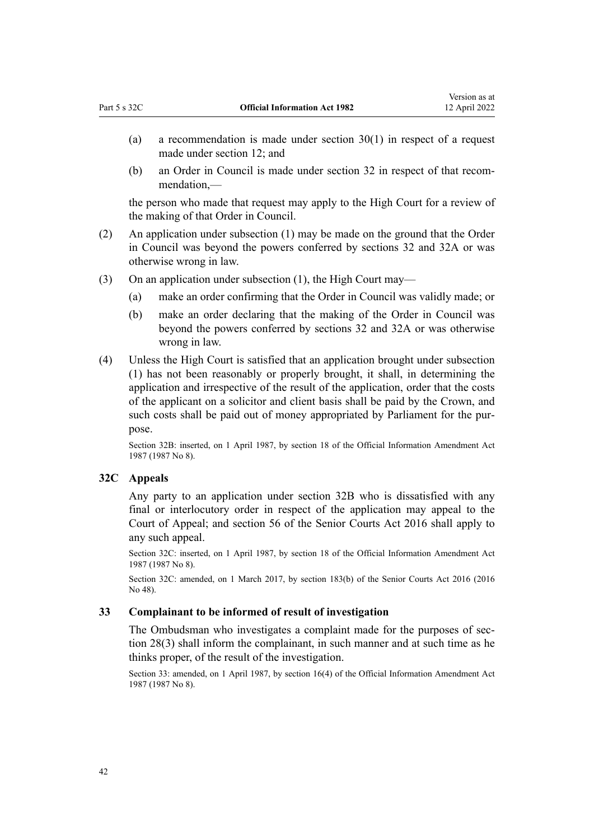- <span id="page-41-0"></span>(a) a recommendation is made under [section 30\(1\)](#page-37-0) in respect of a request made under [section 12;](#page-15-0) and
- (b) an Order in Council is made under [section 32](#page-39-0) in respect of that recom‐ mendation,—

the person who made that request may apply to the High Court for a review of the making of that Order in Council.

- (2) An application under subsection (1) may be made on the ground that the Order in Council was beyond the powers conferred by [sections 32](#page-39-0) and [32A](#page-40-0) or was otherwise wrong in law.
- (3) On an application under subsection (1), the High Court may—
	- (a) make an order confirming that the Order in Council was validly made; or
	- (b) make an order declaring that the making of the Order in Council was beyond the powers conferred by [sections 32](#page-39-0) and [32A](#page-40-0) or was otherwise wrong in law.
- (4) Unless the High Court is satisfied that an application brought under subsection (1) has not been reasonably or properly brought, it shall, in determining the application and irrespective of the result of the application, order that the costs of the applicant on a solicitor and client basis shall be paid by the Crown, and such costs shall be paid out of money appropriated by Parliament for the purpose.

Section 32B: inserted, on 1 April 1987, by [section 18](http://legislation.govt.nz/pdflink.aspx?id=DLM101345) of the Official Information Amendment Act 1987 (1987 No 8).

#### **32C Appeals**

Any party to an application under [section 32B](#page-40-0) who is dissatisfied with any final or interlocutory order in respect of the application may appeal to the Court of Appeal; and [section 56](http://legislation.govt.nz/pdflink.aspx?id=DLM5759372) of the Senior Courts Act 2016 shall apply to any such appeal.

Section 32C: inserted, on 1 April 1987, by [section 18](http://legislation.govt.nz/pdflink.aspx?id=DLM101345) of the Official Information Amendment Act 1987 (1987 No 8).

Section 32C: amended, on 1 March 2017, by [section 183\(b\)](http://legislation.govt.nz/pdflink.aspx?id=DLM5759564) of the Senior Courts Act 2016 (2016 No 48).

#### **33 Complainant to be informed of result of investigation**

The Ombudsman who investigates a complaint made for the purposes of [sec‐](#page-34-0) [tion 28\(3\)](#page-34-0) shall inform the complainant, in such manner and at such time as he thinks proper, of the result of the investigation.

Section 33: amended, on 1 April 1987, by [section 16\(4\)](http://legislation.govt.nz/pdflink.aspx?id=DLM101343) of the Official Information Amendment Act 1987 (1987 No 8).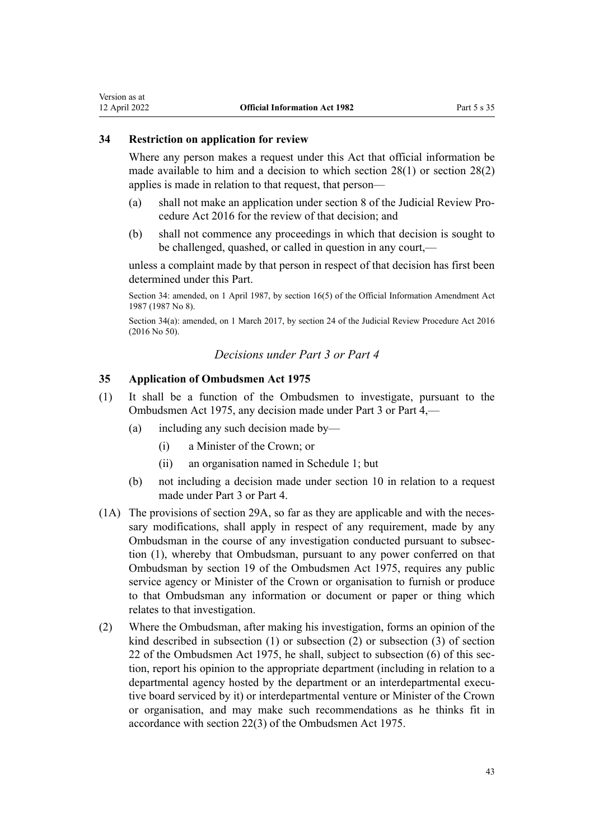#### <span id="page-42-0"></span>**34 Restriction on application for review**

Where any person makes a request under this Act that official information be made available to him and a decision to which [section 28\(1\)](#page-34-0) or section 28(2) applies is made in relation to that request, that person—

- (a) shall not make an application under [section 8](http://legislation.govt.nz/pdflink.aspx?id=DLM6942138) of the Judicial Review Pro‐ cedure Act 2016 for the review of that decision; and
- (b) shall not commence any proceedings in which that decision is sought to be challenged, quashed, or called in question in any court,—

unless a complaint made by that person in respect of that decision has first been determined under this Part.

Section 34: amended, on 1 April 1987, by [section 16\(5\)](http://legislation.govt.nz/pdflink.aspx?id=DLM101343) of the Official Information Amendment Act 1987 (1987 No 8).

Section 34(a): amended, on 1 March 2017, by [section 24](http://legislation.govt.nz/pdflink.aspx?id=DLM6942157) of the Judicial Review Procedure Act 2016 (2016 No 50).

## *Decisions under Part 3 or Part 4*

#### **35 Application of Ombudsmen Act 1975**

- (1) It shall be a function of the Ombudsmen to investigate, pursuant to the [Ombudsmen Act 1975](http://legislation.govt.nz/pdflink.aspx?id=DLM430983), any decision made under [Part 3](#page-25-0) or [Part 4](#page-31-0),—
	- (a) including any such decision made by—
		- (i) a Minister of the Crown; or
		- (ii) an organisation named in [Schedule 1;](#page-49-0) but
	- (b) not including a decision made under [section 10](#page-15-0) in relation to a request made under [Part 3](#page-25-0) or [Part 4.](#page-31-0)
- (1A) The provisions of [section 29A](#page-36-0), so far as they are applicable and with the necessary modifications, shall apply in respect of any requirement, made by any Ombudsman in the course of any investigation conducted pursuant to subsec‐ tion (1), whereby that Ombudsman, pursuant to any power conferred on that Ombudsman by [section 19](http://legislation.govt.nz/pdflink.aspx?id=DLM431148) of the Ombudsmen Act 1975, requires any public service agency or Minister of the Crown or organisation to furnish or produce to that Ombudsman any information or document or paper or thing which relates to that investigation.
- (2) Where the Ombudsman, after making his investigation, forms an opinion of the kind described in subsection (1) or subsection (2) or subsection (3) of [section](http://legislation.govt.nz/pdflink.aspx?id=DLM431166) [22](http://legislation.govt.nz/pdflink.aspx?id=DLM431166) of the Ombudsmen Act 1975, he shall, subject to subsection  $(6)$  of this section, report his opinion to the appropriate department (including in relation to a departmental agency hosted by the department or an interdepartmental executive board serviced by it) or interdepartmental venture or Minister of the Crown or organisation, and may make such recommendations as he thinks fit in accordance with section 22(3) of the Ombudsmen Act 1975.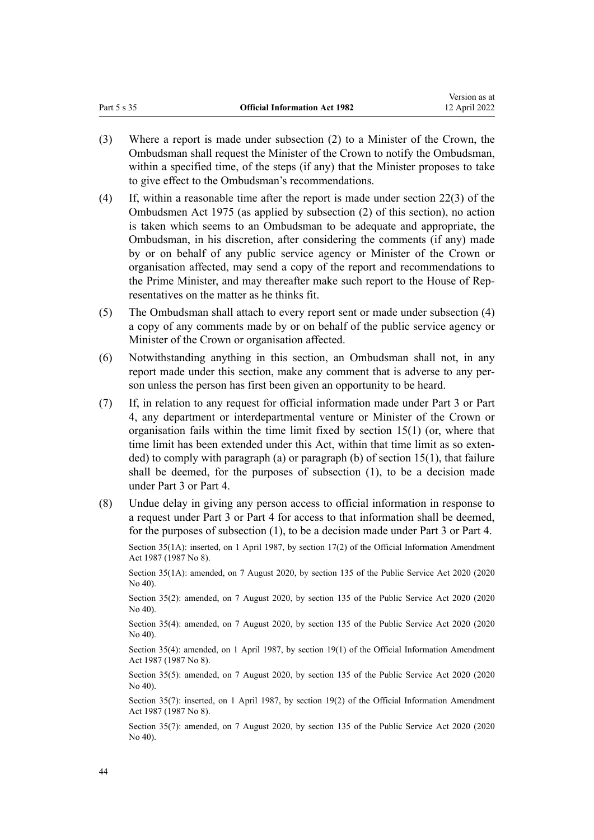Version as at

- (3) Where a report is made under subsection (2) to a Minister of the Crown, the Ombudsman shall request the Minister of the Crown to notify the Ombudsman, within a specified time, of the steps (if any) that the Minister proposes to take to give effect to the Ombudsman's recommendations.
- (4) If, within a reasonable time after the report is made under [section 22\(3\)](http://legislation.govt.nz/pdflink.aspx?id=DLM431166) of the Ombudsmen Act 1975 (as applied by subsection (2) of this section), no action is taken which seems to an Ombudsman to be adequate and appropriate, the Ombudsman, in his discretion, after considering the comments (if any) made by or on behalf of any public service agency or Minister of the Crown or organisation affected, may send a copy of the report and recommendations to the Prime Minister, and may thereafter make such report to the House of Representatives on the matter as he thinks fit.
- (5) The Ombudsman shall attach to every report sent or made under subsection (4) a copy of any comments made by or on behalf of the public service agency or Minister of the Crown or organisation affected.
- (6) Notwithstanding anything in this section, an Ombudsman shall not, in any report made under this section, make any comment that is adverse to any person unless the person has first been given an opportunity to be heard.
- (7) If, in relation to any request for official information made under [Part 3](#page-25-0) or [Part](#page-31-0) [4,](#page-31-0) any department or interdepartmental venture or Minister of the Crown or organisation fails within the time limit fixed by [section 15\(1\)](#page-18-0) (or, where that time limit has been extended under this Act, within that time limit as so extended) to comply with paragraph (a) or paragraph (b) of section  $15(1)$ , that failure shall be deemed, for the purposes of subsection (1), to be a decision made under Part 3 or Part 4.
- (8) Undue delay in giving any person access to official information in response to a request under [Part 3](#page-25-0) or [Part 4](#page-31-0) for access to that information shall be deemed, for the purposes of subsection (1), to be a decision made under Part 3 or Part 4.

Section 35(1A): inserted, on 1 April 1987, by [section 17\(2\)](http://legislation.govt.nz/pdflink.aspx?id=DLM101344) of the Official Information Amendment Act 1987 (1987 No 8).

Section 35(1A): amended, on 7 August 2020, by [section 135](http://legislation.govt.nz/pdflink.aspx?id=LMS176959) of the Public Service Act 2020 (2020 No 40).

Section 35(2): amended, on 7 August 2020, by [section 135](http://legislation.govt.nz/pdflink.aspx?id=LMS176959) of the Public Service Act 2020 (2020 No 40).

Section 35(4): amended, on 7 August 2020, by [section 135](http://legislation.govt.nz/pdflink.aspx?id=LMS176959) of the Public Service Act 2020 (2020 No 40).

Section 35(4): amended, on 1 April 1987, by [section 19\(1\)](http://legislation.govt.nz/pdflink.aspx?id=DLM101346) of the Official Information Amendment Act 1987 (1987 No 8).

Section 35(5): amended, on 7 August 2020, by [section 135](http://legislation.govt.nz/pdflink.aspx?id=LMS176959) of the Public Service Act 2020 (2020) No 40).

Section 35(7): inserted, on 1 April 1987, by [section 19\(2\)](http://legislation.govt.nz/pdflink.aspx?id=DLM101346) of the Official Information Amendment Act 1987 (1987 No 8).

Section 35(7): amended, on 7 August 2020, by [section 135](http://legislation.govt.nz/pdflink.aspx?id=LMS176959) of the Public Service Act 2020 (2020 No 40).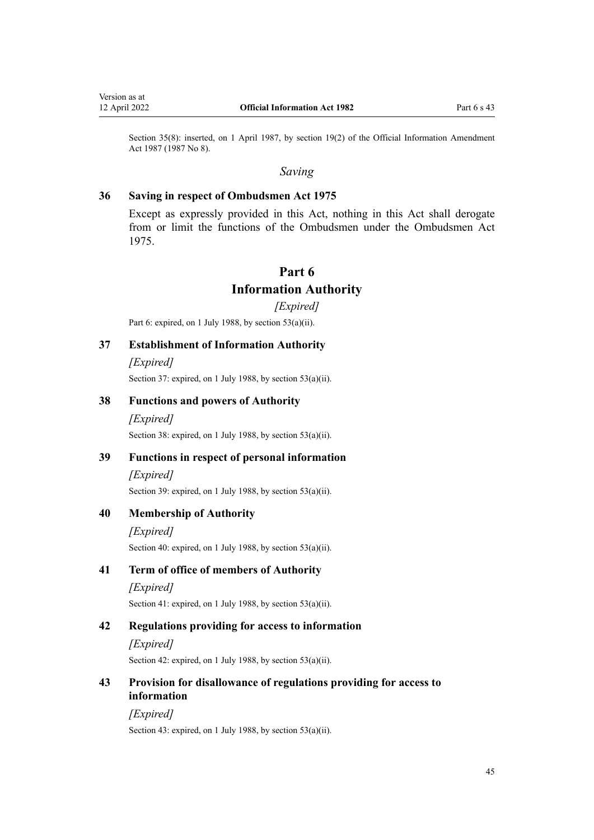<span id="page-44-0"></span>Section 35(8): inserted, on 1 April 1987, by [section 19\(2\)](http://legislation.govt.nz/pdflink.aspx?id=DLM101346) of the Official Information Amendment Act 1987 (1987 No 8).

#### *Saving*

#### **36 Saving in respect of Ombudsmen Act 1975**

Except as expressly provided in this Act, nothing in this Act shall derogate from or limit the functions of the Ombudsmen under the [Ombudsmen Act](http://legislation.govt.nz/pdflink.aspx?id=DLM430983) [1975](http://legislation.govt.nz/pdflink.aspx?id=DLM430983).

## **Part 6**

## **Information Authority**

*[Expired]*

Part 6: expired, on 1 July 1988, by [section 53\(a\)\(ii\)](#page-48-0).

#### **37 Establishment of Information Authority**

*[Expired]* Section 37: expired, on 1 July 1988, by [section 53\(a\)\(ii\)](#page-48-0).

#### **38 Functions and powers of Authority**

*[Expired]* Section 38: expired, on 1 July 1988, by [section 53\(a\)\(ii\)](#page-48-0).

#### **39 Functions in respect of personal information**

#### *[Expired]*

Section 39: expired, on 1 July 1988, by [section 53\(a\)\(ii\)](#page-48-0).

#### **40 Membership of Authority**

*[Expired]*

Section 40: expired, on 1 July 1988, by [section 53\(a\)\(ii\)](#page-48-0).

#### **41 Term of office of members of Authority**

*[Expired]*

Section 41: expired, on 1 July 1988, by [section 53\(a\)\(ii\)](#page-48-0).

#### **42 Regulations providing for access to information**

*[Expired]* Section 42: expired, on 1 July 1988, by [section 53\(a\)\(ii\)](#page-48-0).

## **43 Provision for disallowance of regulations providing for access to information**

*[Expired]*

Section 43: expired, on 1 July 1988, by [section 53\(a\)\(ii\)](#page-48-0).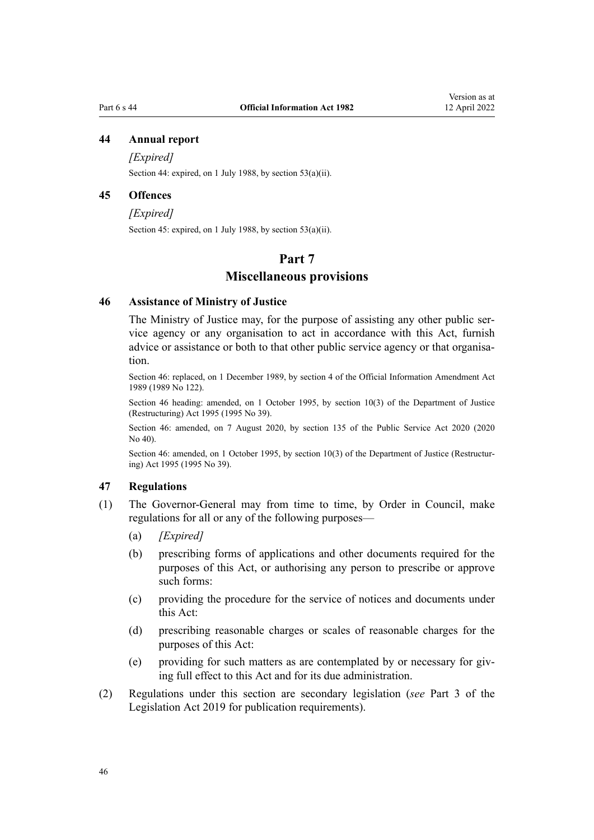## <span id="page-45-0"></span>**44 Annual report**

*[Expired]*

Section 44: expired, on 1 July 1988, by [section 53\(a\)\(ii\)](#page-48-0).

#### **45 Offences**

*[Expired]*

Section 45: expired, on 1 July 1988, by [section 53\(a\)\(ii\)](#page-48-0).

## **Part 7**

#### **Miscellaneous provisions**

#### **46 Assistance of Ministry of Justice**

The Ministry of Justice may, for the purpose of assisting any other public service agency or any organisation to act in accordance with this Act, furnish advice or assistance or both to that other public service agency or that organisation.

Section 46: replaced, on 1 December 1989, by [section 4](http://legislation.govt.nz/pdflink.aspx?id=DLM194219) of the Official Information Amendment Act 1989 (1989 No 122).

Section 46 heading: amended, on 1 October 1995, by [section 10\(3\)](http://legislation.govt.nz/pdflink.aspx?id=DLM367235) of the Department of Justice (Restructuring) Act 1995 (1995 No 39).

Section 46: amended, on 7 August 2020, by [section 135](http://legislation.govt.nz/pdflink.aspx?id=LMS176959) of the Public Service Act 2020 (2020 No 40).

Section 46: amended, on 1 October 1995, by [section 10\(3\)](http://legislation.govt.nz/pdflink.aspx?id=DLM367235) of the Department of Justice (Restructuring) Act 1995 (1995 No 39).

### **47 Regulations**

- (1) The Governor-General may from time to time, by Order in Council, make regulations for all or any of the following purposes—
	- (a) *[Expired]*
	- (b) prescribing forms of applications and other documents required for the purposes of this Act, or authorising any person to prescribe or approve such forms:
	- (c) providing the procedure for the service of notices and documents under this Act:
	- (d) prescribing reasonable charges or scales of reasonable charges for the purposes of this Act:
	- (e) providing for such matters as are contemplated by or necessary for giving full effect to this Act and for its due administration.
- (2) Regulations under this section are secondary legislation (*see* [Part 3](http://legislation.govt.nz/pdflink.aspx?id=DLM7298343) of the Legislation Act 2019 for publication requirements).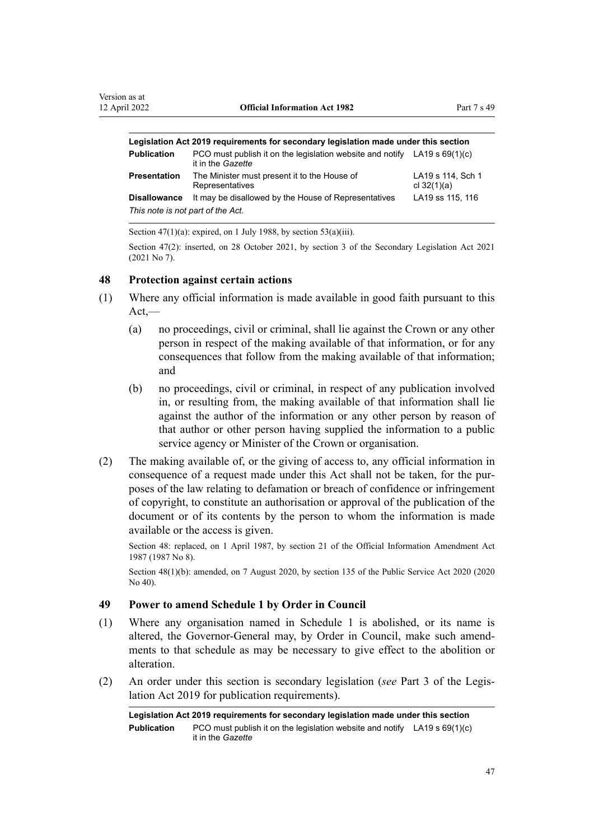<span id="page-46-0"></span>

| Legislation Act 2019 requirements for secondary legislation made under this section |                                                                                                  |                                    |  |
|-------------------------------------------------------------------------------------|--------------------------------------------------------------------------------------------------|------------------------------------|--|
| <b>Publication</b>                                                                  | PCO must publish it on the legislation website and notify LA19 s $69(1)(c)$<br>it in the Gazette |                                    |  |
| <b>Presentation</b>                                                                 | The Minister must present it to the House of<br>Representatives                                  | LA19 s 114, Sch 1<br>cl $32(1)(a)$ |  |
| <b>Disallowance</b>                                                                 | It may be disallowed by the House of Representatives                                             | LA19 ss 115, 116                   |  |
| This note is not part of the Act.                                                   |                                                                                                  |                                    |  |

Section  $47(1)(a)$ : expired, on 1 July 1988, by section  $53(a)(iii)$ .

Section 47(2): inserted, on 28 October 2021, by [section 3](http://legislation.govt.nz/pdflink.aspx?id=LMS268932) of the Secondary Legislation Act 2021 (2021 No 7).

#### **48 Protection against certain actions**

- (1) Where any official information is made available in good faith pursuant to this Act,—
	- (a) no proceedings, civil or criminal, shall lie against the Crown or any other person in respect of the making available of that information, or for any consequences that follow from the making available of that information; and
	- (b) no proceedings, civil or criminal, in respect of any publication involved in, or resulting from, the making available of that information shall lie against the author of the information or any other person by reason of that author or other person having supplied the information to a public service agency or Minister of the Crown or organisation.
- (2) The making available of, or the giving of access to, any official information in consequence of a request made under this Act shall not be taken, for the purposes of the law relating to defamation or breach of confidence or infringement of copyright, to constitute an authorisation or approval of the publication of the document or of its contents by the person to whom the information is made available or the access is given.

Section 48: replaced, on 1 April 1987, by [section 21](http://legislation.govt.nz/pdflink.aspx?id=DLM101348) of the Official Information Amendment Act 1987 (1987 No 8).

Section 48(1)(b): amended, on 7 August 2020, by [section 135](http://legislation.govt.nz/pdflink.aspx?id=LMS176959) of the Public Service Act 2020 (2020 No 40).

#### **49 Power to amend Schedule 1 by Order in Council**

- (1) Where any organisation named in [Schedule 1](#page-49-0) is abolished, or its name is altered, the Governor-General may, by Order in Council, make such amend‐ ments to that schedule as may be necessary to give effect to the abolition or alteration.
- (2) An order under this section is secondary legislation (*see* [Part 3](http://legislation.govt.nz/pdflink.aspx?id=DLM7298343) of the Legis‐ lation Act 2019 for publication requirements).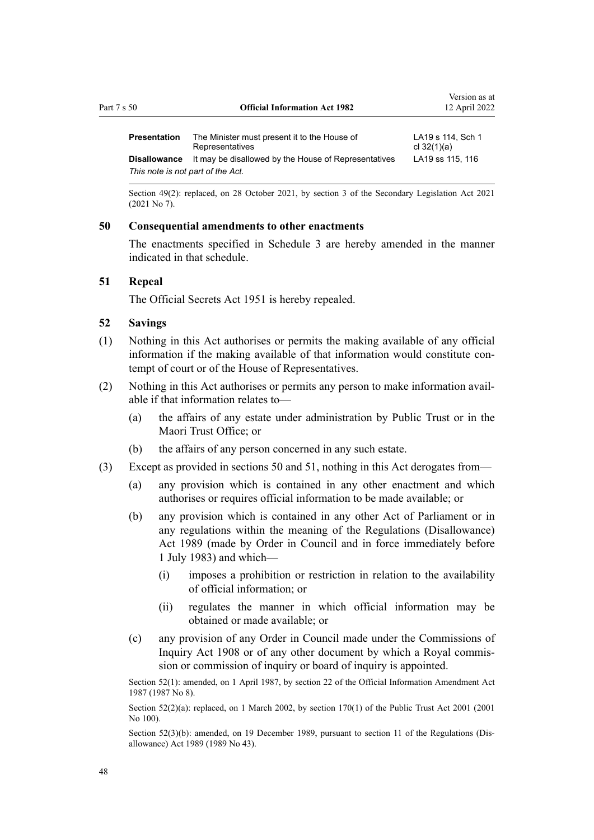<span id="page-47-0"></span>

| Part 7 s 50         | <b>Official Information Act 1982</b>                            | Version as at<br>12 April 2022     |  |
|---------------------|-----------------------------------------------------------------|------------------------------------|--|
| Presentation        | The Minister must present it to the House of<br>Representatives | LA19 s 114, Sch 1<br>cl $32(1)(a)$ |  |
| <b>Disallowance</b> | It may be disallowed by the House of Representatives            | LA19 ss 115, 116                   |  |
|                     | This note is not part of the Act.                               |                                    |  |

Section 49(2): replaced, on 28 October 2021, by [section 3](http://legislation.govt.nz/pdflink.aspx?id=LMS268932) of the Secondary Legislation Act 2021 (2021 No 7).

#### **50 Consequential amendments to other enactments**

The enactments specified in [Schedule 3](#page-60-0) are hereby amended in the manner indicated in that schedule.

#### **51 Repeal**

The Official Secrets Act 1951 is hereby repealed.

#### **52 Savings**

- (1) Nothing in this Act authorises or permits the making available of any official information if the making available of that information would constitute contempt of court or of the House of Representatives.
- (2) Nothing in this Act authorises or permits any person to make information avail‐ able if that information relates to—
	- (a) the affairs of any estate under administration by Public Trust or in the Maori Trust Office; or
	- (b) the affairs of any person concerned in any such estate.
- (3) Except as provided in sections 50 and 51, nothing in this Act derogates from—
	- (a) any provision which is contained in any other enactment and which authorises or requires official information to be made available; or
	- (b) any provision which is contained in any other Act of Parliament or in any regulations within the meaning of the [Regulations \(Disallowance\)](http://legislation.govt.nz/pdflink.aspx?id=DLM195534) [Act 1989](http://legislation.govt.nz/pdflink.aspx?id=DLM195534) (made by Order in Council and in force immediately before 1 July 1983) and which—
		- (i) imposes a prohibition or restriction in relation to the availability of official information; or
		- (ii) regulates the manner in which official information may be obtained or made available; or
	- (c) any provision of any Order in Council made under the [Commissions of](http://legislation.govt.nz/pdflink.aspx?id=DLM139130) [Inquiry Act 1908](http://legislation.govt.nz/pdflink.aspx?id=DLM139130) or of any other document by which a Royal commis‐ sion or commission of inquiry or board of inquiry is appointed.

Section 52(1): amended, on 1 April 1987, by [section 22](http://legislation.govt.nz/pdflink.aspx?id=DLM101349) of the Official Information Amendment Act 1987 (1987 No 8).

Section 52(2)(a): replaced, on 1 March 2002, by [section 170\(1\)](http://legislation.govt.nz/pdflink.aspx?id=DLM124529) of the Public Trust Act 2001 (2001) No 100).

Section 52(3)(b): amended, on 19 December 1989, pursuant to [section 11](http://legislation.govt.nz/pdflink.aspx?id=DLM195558) of the Regulations (Disallowance) Act 1989 (1989 No 43).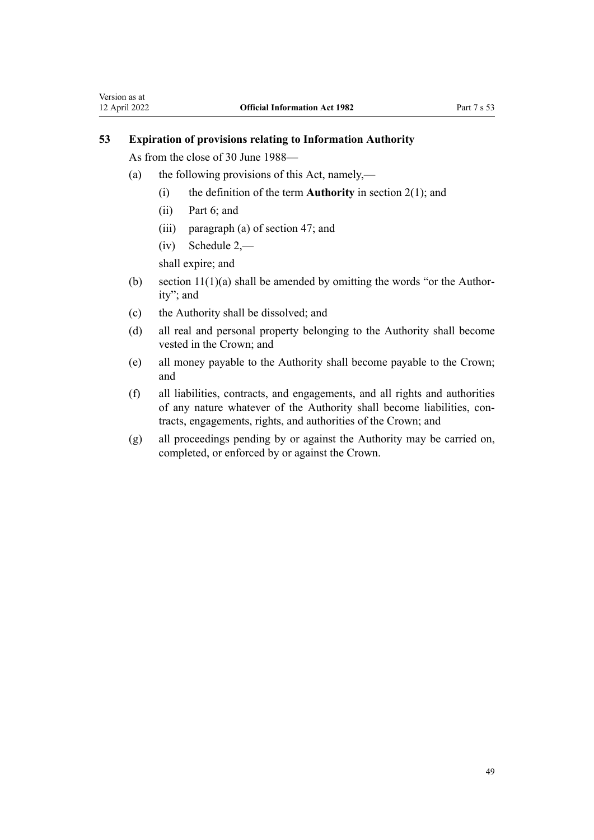## <span id="page-48-0"></span>**53 Expiration of provisions relating to Information Authority**

As from the close of 30 June 1988—

- (a) the following provisions of this Act, namely,—
	- (i) the definition of the term **Authority** in [section 2\(1\);](#page-3-0) and
	- (ii) [Part 6](#page-44-0); and
	- (iii) paragraph (a) of [section 47](#page-45-0); and
	- (iv) [Schedule 2,](#page-60-0)—

shall expire; and

- (b) section  $11(1)(a)$  shall be amended by omitting the words "or the Authority"; and
- (c) the Authority shall be dissolved; and
- (d) all real and personal property belonging to the Authority shall become vested in the Crown; and
- (e) all money payable to the Authority shall become payable to the Crown; and
- (f) all liabilities, contracts, and engagements, and all rights and authorities of any nature whatever of the Authority shall become liabilities, contracts, engagements, rights, and authorities of the Crown; and
- (g) all proceedings pending by or against the Authority may be carried on, completed, or enforced by or against the Crown.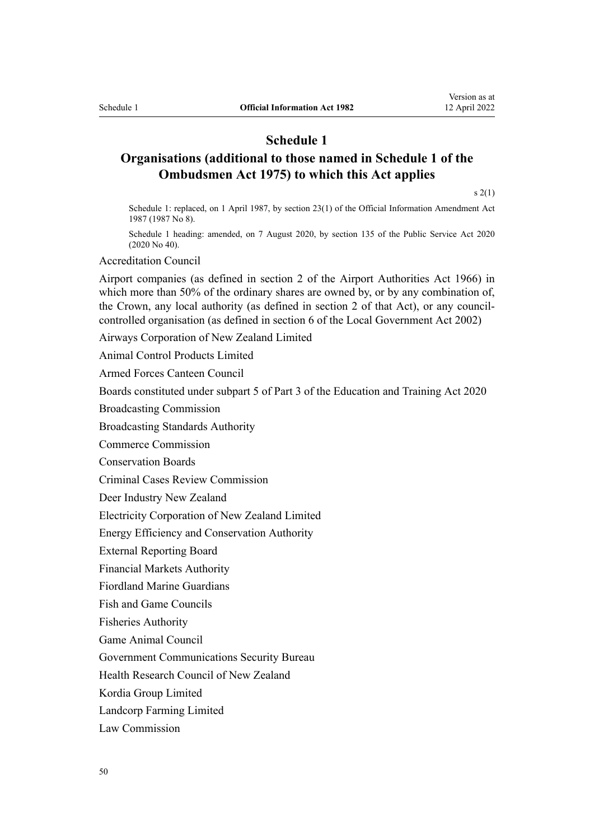## **Schedule 1**

## <span id="page-49-0"></span>**Organisations (additional to those named in Schedule 1 of the Ombudsmen Act 1975) to which this Act applies**

 $s(2(1)$ 

Schedule 1: replaced, on 1 April 1987, by [section 23\(1\)](http://legislation.govt.nz/pdflink.aspx?id=DLM101350) of the Official Information Amendment Act 1987 (1987 No 8).

Schedule 1 heading: amended, on 7 August 2020, by [section 135](http://legislation.govt.nz/pdflink.aspx?id=LMS176959) of the Public Service Act 2020 (2020 No 40).

Accreditation Council

Airport companies (as defined in [section 2](http://legislation.govt.nz/pdflink.aspx?id=DLM379829) of the Airport Authorities Act 1966) in which more than 50% of the ordinary shares are owned by, or by any combination of, the Crown, any local authority (as defined in section 2 of that Act), or any councilcontrolled organisation (as defined in [section 6](http://legislation.govt.nz/pdflink.aspx?id=DLM171482) of the Local Government Act 2002)

Airways Corporation of New Zealand Limited

Animal Control Products Limited

Armed Forces Canteen Council

Boards constituted under [subpart 5](http://legislation.govt.nz/pdflink.aspx?id=LMS171675) of Part 3 of the Education and Training Act 2020

Broadcasting Commission

Broadcasting Standards Authority

Commerce Commission

Conservation Boards

Criminal Cases Review Commission

Deer Industry New Zealand

Electricity Corporation of New Zealand Limited

Energy Efficiency and Conservation Authority

External Reporting Board

Financial Markets Authority

Fiordland Marine Guardians

Fish and Game Councils

Fisheries Authority

Game Animal Council

Government Communications Security Bureau

Health Research Council of New Zealand

Kordia Group Limited

Landcorp Farming Limited

Law Commission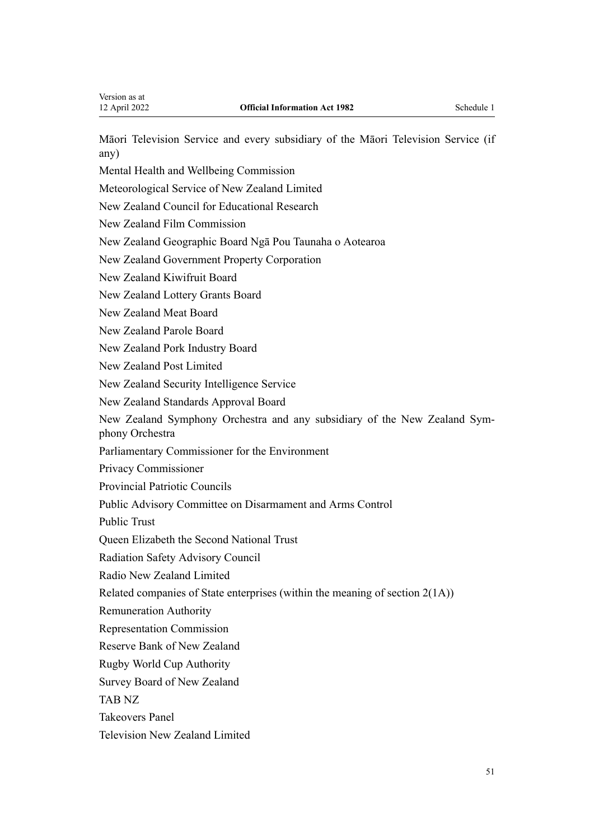Māori Television Service and every subsidiary of the Māori Television Service (if any)

Mental Health and Wellbeing Commission

Meteorological Service of New Zealand Limited

New Zealand Council for Educational Research

New Zealand Film Commission

New Zealand Geographic Board Ngā Pou Taunaha o Aotearoa

New Zealand Government Property Corporation

New Zealand Kiwifruit Board

New Zealand Lottery Grants Board

New Zealand Meat Board

New Zealand Parole Board

New Zealand Pork Industry Board

New Zealand Post Limited

New Zealand Security Intelligence Service

New Zealand Standards Approval Board

New Zealand Symphony Orchestra and any subsidiary of the New Zealand Sym‐ phony Orchestra

Parliamentary Commissioner for the Environment

Privacy Commissioner

Provincial Patriotic Councils

Public Advisory Committee on Disarmament and Arms Control

Public Trust

Queen Elizabeth the Second National Trust

Radiation Safety Advisory Council

Radio New Zealand Limited

Related companies of State enterprises (within the meaning of [section 2\(1A\)](#page-3-0))

Remuneration Authority

Representation Commission

Reserve Bank of New Zealand

Rugby World Cup Authority

Survey Board of New Zealand

TAB NZ

Takeovers Panel

Television New Zealand Limited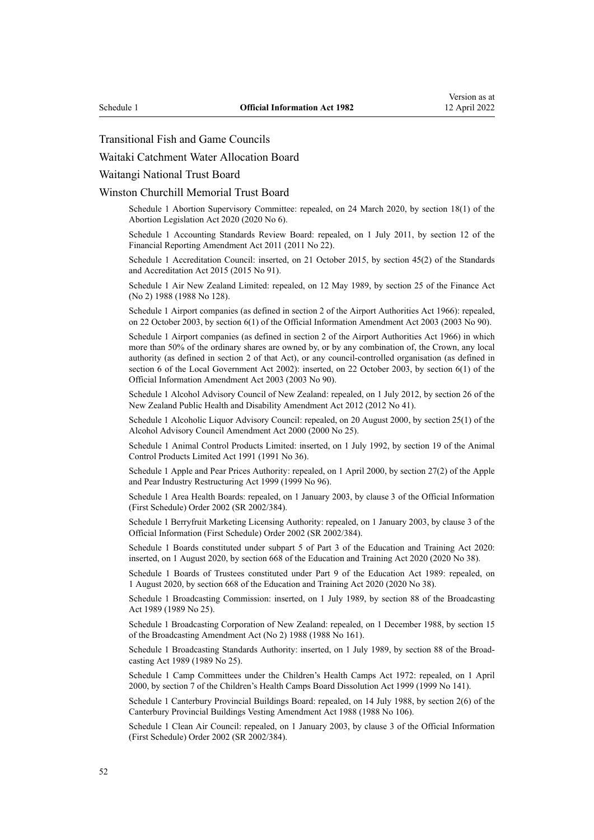#### Transitional Fish and Game Councils

Waitaki Catchment Water Allocation Board

Waitangi National Trust Board

Winston Churchill Memorial Trust Board

Schedule 1 Abortion Supervisory Committee: repealed, on 24 March 2020, by [section 18\(1\)](http://legislation.govt.nz/pdflink.aspx?id=LMS237625) of the Abortion Legislation Act 2020 (2020 No 6).

Schedule 1 Accounting Standards Review Board: repealed, on 1 July 2011, by [section 12](http://legislation.govt.nz/pdflink.aspx?id=DLM3701759) of the Financial Reporting Amendment Act 2011 (2011 No 22).

Schedule 1 Accreditation Council: inserted, on 21 October 2015, by [section 45\(2\)](http://legislation.govt.nz/pdflink.aspx?id=DLM5947001) of the Standards and Accreditation Act 2015 (2015 No 91).

Schedule 1 Air New Zealand Limited: repealed, on 12 May 1989, by [section 25](http://legislation.govt.nz/pdflink.aspx?id=DLM136188) of the Finance Act (No 2) 1988 (1988 No 128).

Schedule 1 Airport companies (as defined in section 2 of the Airport Authorities Act 1966): repealed, on 22 October 2003, by [section 6\(1\)](http://legislation.govt.nz/pdflink.aspx?id=DLM218149) of the Official Information Amendment Act 2003 (2003 No 90).

Schedule 1 Airport companies (as defined in section 2 of the Airport Authorities Act 1966) in which more than 50% of the ordinary shares are owned by, or by any combination of, the Crown, any local authority (as defined in section 2 of that Act), or any council-controlled organisation (as defined in section 6 of the Local Government Act 2002): inserted, on 22 October 2003, by [section 6\(1\)](http://legislation.govt.nz/pdflink.aspx?id=DLM218149) of the Official Information Amendment Act 2003 (2003 No 90).

Schedule 1 Alcohol Advisory Council of New Zealand: repealed, on 1 July 2012, by [section 26](http://legislation.govt.nz/pdflink.aspx?id=DLM4484110) of the New Zealand Public Health and Disability Amendment Act 2012 (2012 No 41).

Schedule 1 Alcoholic Liquor Advisory Council: repealed, on 20 August 2000, by [section 25\(1\)](http://legislation.govt.nz/pdflink.aspx?id=DLM63085) of the Alcohol Advisory Council Amendment Act 2000 (2000 No 25).

Schedule 1 Animal Control Products Limited: inserted, on 1 July 1992, by [section 19](http://legislation.govt.nz/pdflink.aspx?id=DLM229571) of the Animal Control Products Limited Act 1991 (1991 No 36).

Schedule 1 Apple and Pear Prices Authority: repealed, on 1 April 2000, by section 27(2) of the Apple and Pear Industry Restructuring Act 1999 (1999 No 96).

Schedule 1 Area Health Boards: repealed, on 1 January 2003, by [clause 3](http://legislation.govt.nz/pdflink.aspx?id=DLM171038) of the Official Information (First Schedule) Order 2002 (SR 2002/384).

Schedule 1 Berryfruit Marketing Licensing Authority: repealed, on 1 January 2003, by [clause 3](http://legislation.govt.nz/pdflink.aspx?id=DLM171038) of the Official Information (First Schedule) Order 2002 (SR 2002/384).

Schedule 1 Boards constituted under subpart 5 of Part 3 of the Education and Training Act 2020: inserted, on 1 August 2020, by [section 668](http://legislation.govt.nz/pdflink.aspx?id=LMS367713) of the Education and Training Act 2020 (2020 No 38).

Schedule 1 Boards of Trustees constituted under Part 9 of the Education Act 1989: repealed, on 1 August 2020, by [section 668](http://legislation.govt.nz/pdflink.aspx?id=LMS367713) of the Education and Training Act 2020 (2020 No 38).

Schedule 1 Broadcasting Commission: inserted, on 1 July 1989, by [section 88](http://legislation.govt.nz/pdflink.aspx?id=DLM158930) of the Broadcasting Act 1989 (1989 No 25).

Schedule 1 Broadcasting Corporation of New Zealand: repealed, on 1 December 1988, by section 15 of the Broadcasting Amendment Act (No 2) 1988 (1988 No 161).

Schedule 1 Broadcasting Standards Authority: inserted, on 1 July 1989, by [section 88](http://legislation.govt.nz/pdflink.aspx?id=DLM158930) of the Broadcasting Act 1989 (1989 No 25).

Schedule 1 Camp Committees under the Children's Health Camps Act 1972: repealed, on 1 April 2000, by [section 7](http://legislation.govt.nz/pdflink.aspx?id=DLM49649) of the Children's Health Camps Board Dissolution Act 1999 (1999 No 141).

Schedule 1 Canterbury Provincial Buildings Board: repealed, on 14 July 1988, by section 2(6) of the Canterbury Provincial Buildings Vesting Amendment Act 1988 (1988 No 106).

Schedule 1 Clean Air Council: repealed, on 1 January 2003, by [clause 3](http://legislation.govt.nz/pdflink.aspx?id=DLM171038) of the Official Information (First Schedule) Order 2002 (SR 2002/384).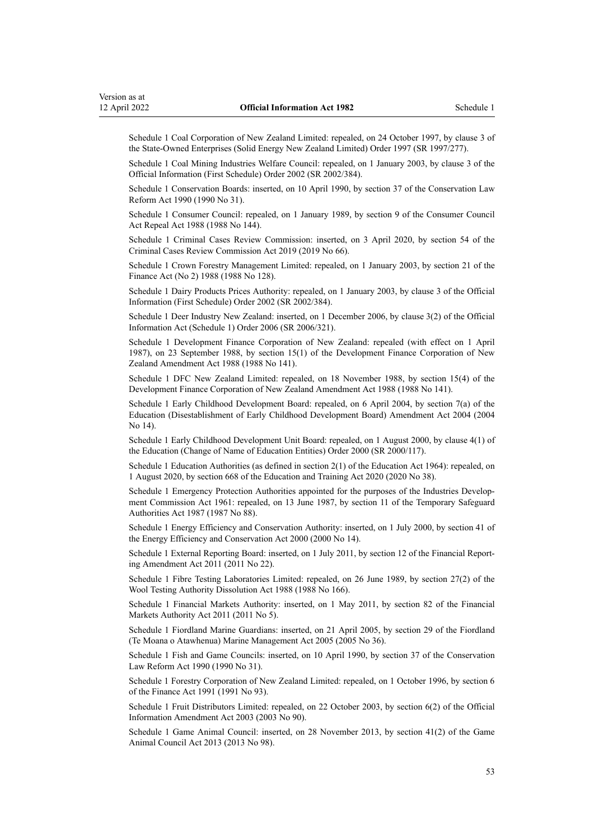Schedule 1 Coal Corporation of New Zealand Limited: repealed, on 24 October 1997, by [clause 3](http://legislation.govt.nz/pdflink.aspx?id=DLM239992) of the State-Owned Enterprises (Solid Energy New Zealand Limited) Order 1997 (SR 1997/277).

Schedule 1 Coal Mining Industries Welfare Council: repealed, on 1 January 2003, by [clause 3](http://legislation.govt.nz/pdflink.aspx?id=DLM171038) of the Official Information (First Schedule) Order 2002 (SR 2002/384).

Schedule 1 Conservation Boards: inserted, on 10 April 1990, by [section 37](http://legislation.govt.nz/pdflink.aspx?id=DLM208750) of the Conservation Law Reform Act 1990 (1990 No 31).

Schedule 1 Consumer Council: repealed, on 1 January 1989, by [section 9](http://legislation.govt.nz/pdflink.aspx?id=DLM136750) of the Consumer Council Act Repeal Act 1988 (1988 No 144).

Schedule 1 Criminal Cases Review Commission: inserted, on 3 April 2020, by [section 54](http://legislation.govt.nz/pdflink.aspx?id=LMS90680) of the Criminal Cases Review Commission Act 2019 (2019 No 66).

Schedule 1 Crown Forestry Management Limited: repealed, on 1 January 2003, by [section 21](http://legislation.govt.nz/pdflink.aspx?id=DLM136177) of the Finance Act (No 2) 1988 (1988 No 128).

Schedule 1 Dairy Products Prices Authority: repealed, on 1 January 2003, by [clause 3](http://legislation.govt.nz/pdflink.aspx?id=DLM171038) of the Official Information (First Schedule) Order 2002 (SR 2002/384).

Schedule 1 Deer Industry New Zealand: inserted, on 1 December 2006, by [clause 3\(2\)](http://legislation.govt.nz/pdflink.aspx?id=DLM413362) of the Official Information Act (Schedule 1) Order 2006 (SR 2006/321).

Schedule 1 Development Finance Corporation of New Zealand: repealed (with effect on 1 April 1987), on 23 September 1988, by [section 15\(1\)](http://legislation.govt.nz/pdflink.aspx?id=DLM136728) of the Development Finance Corporation of New Zealand Amendment Act 1988 (1988 No 141).

Schedule 1 DFC New Zealand Limited: repealed, on 18 November 1988, by [section 15\(4\)](http://legislation.govt.nz/pdflink.aspx?id=DLM136728) of the Development Finance Corporation of New Zealand Amendment Act 1988 (1988 No 141).

Schedule 1 Early Childhood Development Board: repealed, on 6 April 2004, by [section 7\(a\)](http://legislation.govt.nz/pdflink.aspx?id=DLM241067) of the Education (Disestablishment of Early Childhood Development Board) Amendment Act 2004 (2004 No 14).

Schedule 1 Early Childhood Development Unit Board: repealed, on 1 August 2000, by [clause 4\(1\)](http://legislation.govt.nz/pdflink.aspx?id=DLM6021) of the Education (Change of Name of Education Entities) Order 2000 (SR 2000/117).

Schedule 1 Education Authorities (as defined in section 2(1) of the Education Act 1964): repealed, on 1 August 2020, by [section 668](http://legislation.govt.nz/pdflink.aspx?id=LMS367713) of the Education and Training Act 2020 (2020 No 38).

Schedule 1 Emergency Protection Authorities appointed for the purposes of the Industries Development Commission Act 1961: repealed, on 13 June 1987, by [section 11](http://legislation.govt.nz/pdflink.aspx?id=DLM117368) of the Temporary Safeguard Authorities Act 1987 (1987 No 88).

Schedule 1 Energy Efficiency and Conservation Authority: inserted, on 1 July 2000, by [section 41](http://legislation.govt.nz/pdflink.aspx?id=DLM55735) of the Energy Efficiency and Conservation Act 2000 (2000 No 14).

Schedule 1 External Reporting Board: inserted, on 1 July 2011, by [section 12](http://legislation.govt.nz/pdflink.aspx?id=DLM3701759) of the Financial Reporting Amendment Act 2011 (2011 No 22).

Schedule 1 Fibre Testing Laboratories Limited: repealed, on 26 June 1989, by section 27(2) of the Wool Testing Authority Dissolution Act 1988 (1988 No 166).

Schedule 1 Financial Markets Authority: inserted, on 1 May 2011, by [section 82](http://legislation.govt.nz/pdflink.aspx?id=DLM3231793) of the Financial Markets Authority Act 2011 (2011 No 5).

Schedule 1 Fiordland Marine Guardians: inserted, on 21 April 2005, by [section 29](http://legislation.govt.nz/pdflink.aspx?id=DLM341276) of the Fiordland (Te Moana o Atawhenua) Marine Management Act 2005 (2005 No 36).

Schedule 1 Fish and Game Councils: inserted, on 10 April 1990, by [section 37](http://legislation.govt.nz/pdflink.aspx?id=DLM208750) of the Conservation Law Reform Act 1990 (1990 No 31).

Schedule 1 Forestry Corporation of New Zealand Limited: repealed, on 1 October 1996, by [section 6](http://legislation.govt.nz/pdflink.aspx?id=DLM248292) of the Finance Act 1991 (1991 No 93).

Schedule 1 Fruit Distributors Limited: repealed, on 22 October 2003, by [section 6\(2\)](http://legislation.govt.nz/pdflink.aspx?id=DLM218149) of the Official Information Amendment Act 2003 (2003 No 90).

Schedule 1 Game Animal Council: inserted, on 28 November 2013, by [section 41\(2\)](http://legislation.govt.nz/pdflink.aspx?id=DLM4105502) of the Game Animal Council Act 2013 (2013 No 98).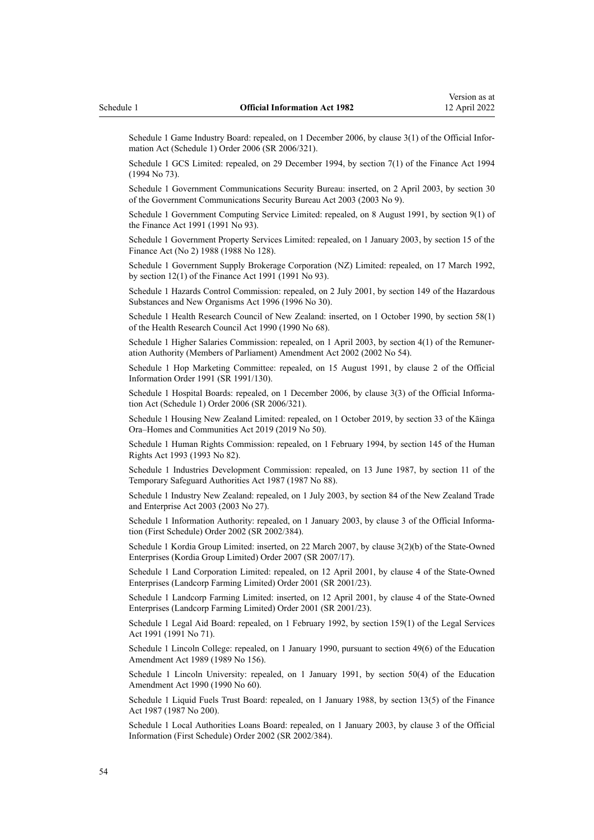Schedule 1 Game Industry Board: repealed, on 1 December 2006, by [clause 3\(1\)](http://legislation.govt.nz/pdflink.aspx?id=DLM413362) of the Official Information Act (Schedule 1) Order 2006 (SR 2006/321).

Schedule 1 GCS Limited: repealed, on 29 December 1994, by [section 7\(1\)](http://legislation.govt.nz/pdflink.aspx?id=DLM332899) of the Finance Act 1994 (1994 No 73).

Schedule 1 Government Communications Security Bureau: inserted, on 2 April 2003, by [section 30](http://legislation.govt.nz/pdflink.aspx?id=DLM187861) of the Government Communications Security Bureau Act 2003 (2003 No 9).

Schedule 1 Government Computing Service Limited: repealed, on 8 August 1991, by [section 9\(1\)](http://legislation.govt.nz/pdflink.aspx?id=DLM248701) of the Finance Act 1991 (1991 No 93).

Schedule 1 Government Property Services Limited: repealed, on 1 January 2003, by [section 15](http://legislation.govt.nz/pdflink.aspx?id=DLM136163) of the Finance Act (No 2) 1988 (1988 No 128).

Schedule 1 Government Supply Brokerage Corporation (NZ) Limited: repealed, on 17 March 1992, by [section 12\(1\)](http://legislation.govt.nz/pdflink.aspx?id=DLM248708) of the Finance Act 1991 (1991 No 93).

Schedule 1 Hazards Control Commission: repealed, on 2 July 2001, by [section 149](http://legislation.govt.nz/pdflink.aspx?id=DLM385160) of the Hazardous Substances and New Organisms Act 1996 (1996 No 30).

Schedule 1 Health Research Council of New Zealand: inserted, on 1 October 1990, by [section 58\(1\)](http://legislation.govt.nz/pdflink.aspx?id=DLM213348) of the Health Research Council Act 1990 (1990 No 68).

Schedule 1 Higher Salaries Commission: repealed, on 1 April 2003, by [section 4\(1\)](http://legislation.govt.nz/pdflink.aspx?id=DLM167443) of the Remuneration Authority (Members of Parliament) Amendment Act 2002 (2002 No 54).

Schedule 1 Hop Marketing Committee: repealed, on 15 August 1991, by [clause 2](http://legislation.govt.nz/pdflink.aspx?id=DLM147886) of the Official Information Order 1991 (SR 1991/130).

Schedule 1 Hospital Boards: repealed, on 1 December 2006, by [clause 3\(3\)](http://legislation.govt.nz/pdflink.aspx?id=DLM413362) of the Official Information Act (Schedule 1) Order 2006 (SR 2006/321).

Schedule 1 Housing New Zealand Limited: repealed, on 1 October 2019, by [section 33](http://legislation.govt.nz/pdflink.aspx?id=LMS191136) of the Kāinga Ora–Homes and Communities Act 2019 (2019 No 50).

Schedule 1 Human Rights Commission: repealed, on 1 February 1994, by [section 145](http://legislation.govt.nz/pdflink.aspx?id=DLM305710) of the Human Rights Act 1993 (1993 No 82).

Schedule 1 Industries Development Commission: repealed, on 13 June 1987, by [section 11](http://legislation.govt.nz/pdflink.aspx?id=DLM117368) of the Temporary Safeguard Authorities Act 1987 (1987 No 88).

Schedule 1 Industry New Zealand: repealed, on 1 July 2003, by [section 84](http://legislation.govt.nz/pdflink.aspx?id=DLM197801) of the New Zealand Trade and Enterprise Act 2003 (2003 No 27).

Schedule 1 Information Authority: repealed, on 1 January 2003, by [clause 3](http://legislation.govt.nz/pdflink.aspx?id=DLM171038) of the Official Information (First Schedule) Order 2002 (SR 2002/384).

Schedule 1 Kordia Group Limited: inserted, on 22 March 2007, by [clause 3\(2\)\(b\)](http://legislation.govt.nz/pdflink.aspx?id=DLM426134) of the State-Owned Enterprises (Kordia Group Limited) Order 2007 (SR 2007/17).

Schedule 1 Land Corporation Limited: repealed, on 12 April 2001, by [clause 4](http://legislation.govt.nz/pdflink.aspx?id=DLM21620) of the State-Owned Enterprises (Landcorp Farming Limited) Order 2001 (SR 2001/23).

Schedule 1 Landcorp Farming Limited: inserted, on 12 April 2001, by [clause 4](http://legislation.govt.nz/pdflink.aspx?id=DLM21620) of the State-Owned Enterprises (Landcorp Farming Limited) Order 2001 (SR 2001/23).

Schedule 1 Legal Aid Board: repealed, on 1 February 1992, by section 159(1) of the Legal Services Act 1991 (1991 No 71).

Schedule 1 Lincoln College: repealed, on 1 January 1990, pursuant to section 49(6) of the Education Amendment Act 1989 (1989 No 156).

Schedule 1 Lincoln University: repealed, on 1 January 1991, by [section 50\(4\)](http://legislation.govt.nz/pdflink.aspx?id=DLM212679) of the Education Amendment Act 1990 (1990 No 60).

Schedule 1 Liquid Fuels Trust Board: repealed, on 1 January 1988, by [section 13\(5\)](http://legislation.govt.nz/pdflink.aspx?id=DLM125692) of the Finance Act 1987 (1987 No 200).

Schedule 1 Local Authorities Loans Board: repealed, on 1 January 2003, by [clause 3](http://legislation.govt.nz/pdflink.aspx?id=DLM171038) of the Official Information (First Schedule) Order 2002 (SR 2002/384).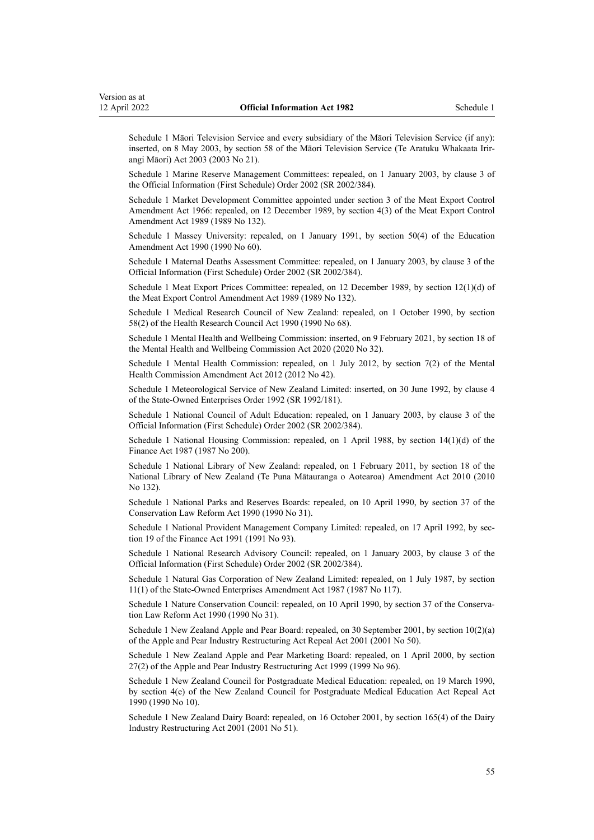Schedule 1 Māori Television Service and every subsidiary of the Māori Television Service (if any): inserted, on 8 May 2003, by [section 58](http://legislation.govt.nz/pdflink.aspx?id=DLM194562) of the Māori Television Service (Te Aratuku Whakaata Irirangi Māori) Act 2003 (2003 No 21).

Schedule 1 Marine Reserve Management Committees: repealed, on 1 January 2003, by [clause 3](http://legislation.govt.nz/pdflink.aspx?id=DLM171038) of the Official Information (First Schedule) Order 2002 (SR 2002/384).

Schedule 1 Market Development Committee appointed under section 3 of the Meat Export Control Amendment Act 1966: repealed, on 12 December 1989, by section 4(3) of the Meat Export Control Amendment Act 1989 (1989 No 132).

Schedule 1 Massey University: repealed, on 1 January 1991, by [section 50\(4\)](http://legislation.govt.nz/pdflink.aspx?id=DLM212679) of the Education Amendment Act 1990 (1990 No 60).

Schedule 1 Maternal Deaths Assessment Committee: repealed, on 1 January 2003, by [clause 3](http://legislation.govt.nz/pdflink.aspx?id=DLM171038) of the Official Information (First Schedule) Order 2002 (SR 2002/384).

Schedule 1 Meat Export Prices Committee: repealed, on 12 December 1989, by section 12(1)(d) of the Meat Export Control Amendment Act 1989 (1989 No 132).

Schedule 1 Medical Research Council of New Zealand: repealed, on 1 October 1990, by [section](http://legislation.govt.nz/pdflink.aspx?id=DLM213348) [58\(2\)](http://legislation.govt.nz/pdflink.aspx?id=DLM213348) of the Health Research Council Act 1990 (1990 No 68).

Schedule 1 Mental Health and Wellbeing Commission: inserted, on 9 February 2021, by [section 18](http://legislation.govt.nz/pdflink.aspx?id=LMS281195) of the Mental Health and Wellbeing Commission Act 2020 (2020 No 32).

Schedule 1 Mental Health Commission: repealed, on 1 July 2012, by [section 7\(2\)](http://legislation.govt.nz/pdflink.aspx?id=DLM4484313) of the Mental Health Commission Amendment Act 2012 (2012 No 42).

Schedule 1 Meteorological Service of New Zealand Limited: inserted, on 30 June 1992, by [clause 4](http://legislation.govt.nz/pdflink.aspx?id=DLM165478) of the State-Owned Enterprises Order 1992 (SR 1992/181).

Schedule 1 National Council of Adult Education: repealed, on 1 January 2003, by [clause 3](http://legislation.govt.nz/pdflink.aspx?id=DLM171038) of the Official Information (First Schedule) Order 2002 (SR 2002/384).

Schedule 1 National Housing Commission: repealed, on 1 April 1988, by [section 14\(1\)\(d\)](http://legislation.govt.nz/pdflink.aspx?id=DLM125694) of the Finance Act 1987 (1987 No 200).

Schedule 1 National Library of New Zealand: repealed, on 1 February 2011, by [section 18](http://legislation.govt.nz/pdflink.aspx?id=DLM3430033) of the National Library of New Zealand (Te Puna Mātauranga o Aotearoa) Amendment Act 2010 (2010 No 132).

Schedule 1 National Parks and Reserves Boards: repealed, on 10 April 1990, by [section 37](http://legislation.govt.nz/pdflink.aspx?id=DLM208750) of the Conservation Law Reform Act 1990 (1990 No 31).

Schedule 1 National Provident Management Company Limited: repealed, on 17 April 1992, by sec[tion 19](http://legislation.govt.nz/pdflink.aspx?id=DLM248722) of the Finance Act 1991 (1991 No 93).

Schedule 1 National Research Advisory Council: repealed, on 1 January 2003, by [clause 3](http://legislation.govt.nz/pdflink.aspx?id=DLM171038) of the Official Information (First Schedule) Order 2002 (SR 2002/384).

Schedule 1 Natural Gas Corporation of New Zealand Limited: repealed, on 1 July 1987, by section 11(1) of the State-Owned Enterprises Amendment Act 1987 (1987 No 117).

Schedule 1 Nature Conservation Council: repealed, on 10 April 1990, by [section 37](http://legislation.govt.nz/pdflink.aspx?id=DLM208750) of the Conservation Law Reform Act 1990 (1990 No 31).

Schedule 1 New Zealand Apple and Pear Board: repealed, on 30 September 2001, by [section 10\(2\)\(a\)](http://legislation.govt.nz/pdflink.aspx?id=DLM106744) of the Apple and Pear Industry Restructuring Act Repeal Act 2001 (2001 No 50).

Schedule 1 New Zealand Apple and Pear Marketing Board: repealed, on 1 April 2000, by section 27(2) of the Apple and Pear Industry Restructuring Act 1999 (1999 No 96).

Schedule 1 New Zealand Council for Postgraduate Medical Education: repealed, on 19 March 1990, by [section 4\(e\)](http://legislation.govt.nz/pdflink.aspx?id=DLM203557) of the New Zealand Council for Postgraduate Medical Education Act Repeal Act 1990 (1990 No 10).

Schedule 1 New Zealand Dairy Board: repealed, on 16 October 2001, by [section 165\(4\)](http://legislation.govt.nz/pdflink.aspx?id=DLM110110) of the Dairy Industry Restructuring Act 2001 (2001 No 51).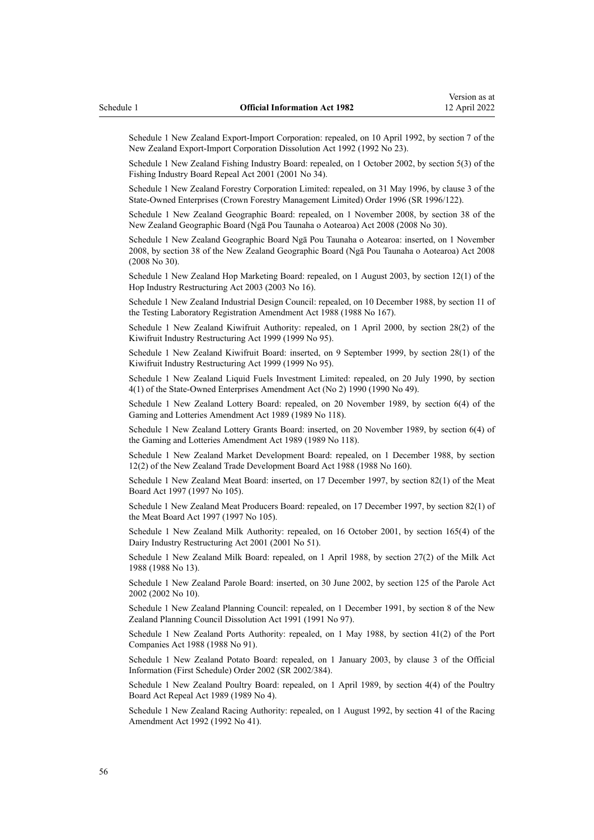Schedule 1 New Zealand Export-Import Corporation: repealed, on 10 April 1992, by [section 7](http://legislation.govt.nz/pdflink.aspx?id=DLM261053) of the New Zealand Export-Import Corporation Dissolution Act 1992 (1992 No 23).

Schedule 1 New Zealand Fishing Industry Board: repealed, on 1 October 2002, by [section 5\(3\)](http://legislation.govt.nz/pdflink.aspx?id=DLM92784) of the Fishing Industry Board Repeal Act 2001 (2001 No 34).

Schedule 1 New Zealand Forestry Corporation Limited: repealed, on 31 May 1996, by [clause 3](http://legislation.govt.nz/pdflink.aspx?id=DLM211617) of the State-Owned Enterprises (Crown Forestry Management Limited) Order 1996 (SR 1996/122).

Schedule 1 New Zealand Geographic Board: repealed, on 1 November 2008, by [section 38](http://legislation.govt.nz/pdflink.aspx?id=DLM1065526) of the New Zealand Geographic Board (Ngā Pou Taunaha o Aotearoa) Act 2008 (2008 No 30).

Schedule 1 New Zealand Geographic Board Ngā Pou Taunaha o Aotearoa: inserted, on 1 November 2008, by [section 38](http://legislation.govt.nz/pdflink.aspx?id=DLM1065526) of the New Zealand Geographic Board (Ngā Pou Taunaha o Aotearoa) Act 2008 (2008 No 30).

Schedule 1 New Zealand Hop Marketing Board: repealed, on 1 August 2003, by [section 12\(1\)](http://legislation.govt.nz/pdflink.aspx?id=DLM189905) of the Hop Industry Restructuring Act 2003 (2003 No 16).

Schedule 1 New Zealand Industrial Design Council: repealed, on 10 December 1988, by [section 11](http://legislation.govt.nz/pdflink.aspx?id=DLM138778) of the Testing Laboratory Registration Amendment Act 1988 (1988 No 167).

Schedule 1 New Zealand Kiwifruit Authority: repealed, on 1 April 2000, by [section 28\(2\)](http://legislation.govt.nz/pdflink.aspx?id=DLM38644) of the Kiwifruit Industry Restructuring Act 1999 (1999 No 95).

Schedule 1 New Zealand Kiwifruit Board: inserted, on 9 September 1999, by [section 28\(1\)](http://legislation.govt.nz/pdflink.aspx?id=DLM38644) of the Kiwifruit Industry Restructuring Act 1999 (1999 No 95).

Schedule 1 New Zealand Liquid Fuels Investment Limited: repealed, on 20 July 1990, by [section](http://legislation.govt.nz/pdflink.aspx?id=DLM210987) [4\(1\)](http://legislation.govt.nz/pdflink.aspx?id=DLM210987) of the State-Owned Enterprises Amendment Act (No 2) 1990 (1990 No 49).

Schedule 1 New Zealand Lottery Board: repealed, on 20 November 1989, by section 6(4) of the Gaming and Lotteries Amendment Act 1989 (1989 No 118).

Schedule 1 New Zealand Lottery Grants Board: inserted, on 20 November 1989, by section 6(4) of the Gaming and Lotteries Amendment Act 1989 (1989 No 118).

Schedule 1 New Zealand Market Development Board: repealed, on 1 December 1988, by section 12(2) of the New Zealand Trade Development Board Act 1988 (1988 No 160).

Schedule 1 New Zealand Meat Board: inserted, on 17 December 1997, by section 82(1) of the Meat Board Act 1997 (1997 No 105).

Schedule 1 New Zealand Meat Producers Board: repealed, on 17 December 1997, by section 82(1) of the Meat Board Act 1997 (1997 No 105).

Schedule 1 New Zealand Milk Authority: repealed, on 16 October 2001, by [section 165\(4\)](http://legislation.govt.nz/pdflink.aspx?id=DLM110110) of the Dairy Industry Restructuring Act 2001 (2001 No 51).

Schedule 1 New Zealand Milk Board: repealed, on 1 April 1988, by section 27(2) of the Milk Act 1988 (1988 No 13).

Schedule 1 New Zealand Parole Board: inserted, on 30 June 2002, by [section 125](http://legislation.govt.nz/pdflink.aspx?id=DLM140118) of the Parole Act 2002 (2002 No 10).

Schedule 1 New Zealand Planning Council: repealed, on 1 December 1991, by [section 8](http://legislation.govt.nz/pdflink.aspx?id=DLM248774) of the New Zealand Planning Council Dissolution Act 1991 (1991 No 97).

Schedule 1 New Zealand Ports Authority: repealed, on 1 May 1988, by [section 41\(2\)](http://legislation.govt.nz/pdflink.aspx?id=DLM132506) of the Port Companies Act 1988 (1988 No 91).

Schedule 1 New Zealand Potato Board: repealed, on 1 January 2003, by [clause 3](http://legislation.govt.nz/pdflink.aspx?id=DLM171038) of the Official Information (First Schedule) Order 2002 (SR 2002/384).

Schedule 1 New Zealand Poultry Board: repealed, on 1 April 1989, by [section 4\(4\)](http://legislation.govt.nz/pdflink.aspx?id=DLM143214) of the Poultry Board Act Repeal Act 1989 (1989 No 4).

Schedule 1 New Zealand Racing Authority: repealed, on 1 August 1992, by section 41 of the Racing Amendment Act 1992 (1992 No 41).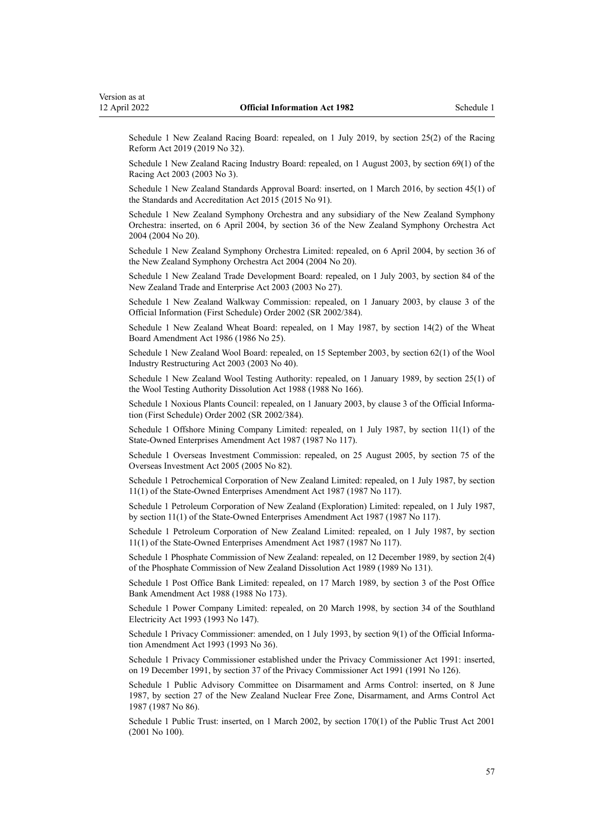Schedule 1 New Zealand Racing Board: repealed, on 1 July 2019, by [section 25\(2\)](http://legislation.govt.nz/pdflink.aspx?id=LMS201275) of the Racing Reform Act 2019 (2019 No 32).

Schedule 1 New Zealand Racing Industry Board: repealed, on 1 August 2003, by [section 69\(1\)](http://legislation.govt.nz/pdflink.aspx?id=DLM185072) of the Racing Act 2003 (2003 No 3).

Schedule 1 New Zealand Standards Approval Board: inserted, on 1 March 2016, by [section 45\(1\)](http://legislation.govt.nz/pdflink.aspx?id=DLM5947001) of the Standards and Accreditation Act 2015 (2015 No 91).

Schedule 1 New Zealand Symphony Orchestra and any subsidiary of the New Zealand Symphony Orchestra: inserted, on 6 April 2004, by [section 36](http://legislation.govt.nz/pdflink.aspx?id=DLM243147) of the New Zealand Symphony Orchestra Act 2004 (2004 No 20).

Schedule 1 New Zealand Symphony Orchestra Limited: repealed, on 6 April 2004, by [section 36](http://legislation.govt.nz/pdflink.aspx?id=DLM243147) of the New Zealand Symphony Orchestra Act 2004 (2004 No 20).

Schedule 1 New Zealand Trade Development Board: repealed, on 1 July 2003, by [section 84](http://legislation.govt.nz/pdflink.aspx?id=DLM197801) of the New Zealand Trade and Enterprise Act 2003 (2003 No 27).

Schedule 1 New Zealand Walkway Commission: repealed, on 1 January 2003, by [clause 3](http://legislation.govt.nz/pdflink.aspx?id=DLM171038) of the Official Information (First Schedule) Order 2002 (SR 2002/384).

Schedule 1 New Zealand Wheat Board: repealed, on 1 May 1987, by [section 14\(2\)](http://legislation.govt.nz/pdflink.aspx?id=DLM92896) of the Wheat Board Amendment Act 1986 (1986 No 25).

Schedule 1 New Zealand Wool Board: repealed, on 15 September 2003, by [section 62\(1\)](http://legislation.govt.nz/pdflink.aspx?id=DLM201327) of the Wool Industry Restructuring Act 2003 (2003 No 40).

Schedule 1 New Zealand Wool Testing Authority: repealed, on 1 January 1989, by section 25(1) of the Wool Testing Authority Dissolution Act 1988 (1988 No 166).

Schedule 1 Noxious Plants Council: repealed, on 1 January 2003, by [clause 3](http://legislation.govt.nz/pdflink.aspx?id=DLM171038) of the Official Information (First Schedule) Order 2002 (SR 2002/384).

Schedule 1 Offshore Mining Company Limited: repealed, on 1 July 1987, by section 11(1) of the State-Owned Enterprises Amendment Act 1987 (1987 No 117).

Schedule 1 Overseas Investment Commission: repealed, on 25 August 2005, by [section 75](http://legislation.govt.nz/pdflink.aspx?id=DLM358540) of the Overseas Investment Act 2005 (2005 No 82).

Schedule 1 Petrochemical Corporation of New Zealand Limited: repealed, on 1 July 1987, by section 11(1) of the State-Owned Enterprises Amendment Act 1987 (1987 No 117).

Schedule 1 Petroleum Corporation of New Zealand (Exploration) Limited: repealed, on 1 July 1987, by section 11(1) of the State-Owned Enterprises Amendment Act 1987 (1987 No 117).

Schedule 1 Petroleum Corporation of New Zealand Limited: repealed, on 1 July 1987, by section 11(1) of the State-Owned Enterprises Amendment Act 1987 (1987 No 117).

Schedule 1 Phosphate Commission of New Zealand: repealed, on 12 December 1989, by [section 2\(4\)](http://legislation.govt.nz/pdflink.aspx?id=DLM194296) of the Phosphate Commission of New Zealand Dissolution Act 1989 (1989 No 131).

Schedule 1 Post Office Bank Limited: repealed, on 17 March 1989, by [section 3](http://legislation.govt.nz/pdflink.aspx?id=DLM139230) of the Post Office Bank Amendment Act 1988 (1988 No 173).

Schedule 1 Power Company Limited: repealed, on 20 March 1998, by [section 34](http://legislation.govt.nz/pdflink.aspx?id=DLM328929) of the Southland Electricity Act 1993 (1993 No 147).

Schedule 1 Privacy Commissioner: amended, on 1 July 1993, by [section 9\(1\)](http://legislation.govt.nz/pdflink.aspx?id=DLM299194) of the Official Information Amendment Act 1993 (1993 No 36).

Schedule 1 Privacy Commissioner established under the Privacy Commissioner Act 1991: inserted, on 19 December 1991, by section 37 of the Privacy Commissioner Act 1991 (1991 No 126).

Schedule 1 Public Advisory Committee on Disarmament and Arms Control: inserted, on 8 June 1987, by [section 27](http://legislation.govt.nz/pdflink.aspx?id=DLM115176) of the New Zealand Nuclear Free Zone, Disarmament, and Arms Control Act 1987 (1987 No 86).

Schedule 1 Public Trust: inserted, on 1 March 2002, by [section 170\(1\)](http://legislation.govt.nz/pdflink.aspx?id=DLM124529) of the Public Trust Act 2001 (2001 No 100).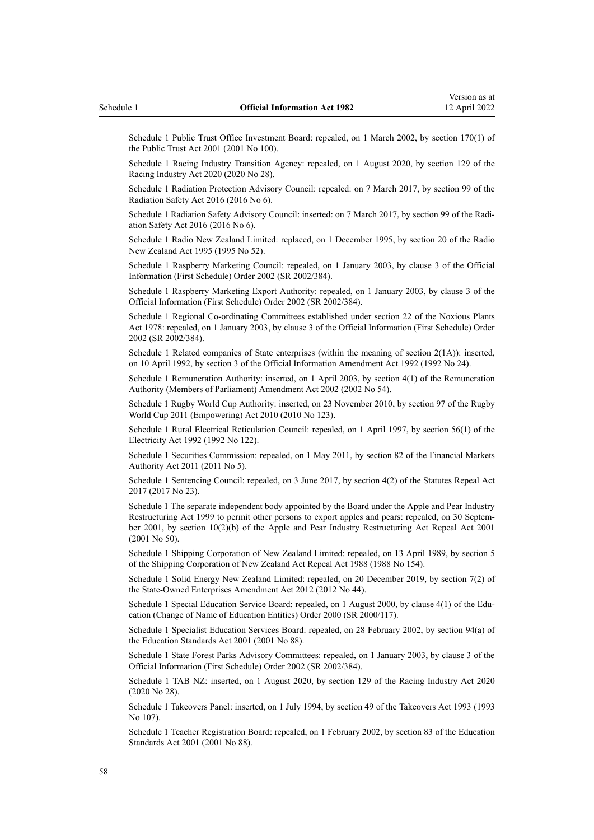Schedule 1 Public Trust Office Investment Board: repealed, on 1 March 2002, by [section 170\(1\)](http://legislation.govt.nz/pdflink.aspx?id=DLM124529) of the Public Trust Act 2001 (2001 No 100).

Schedule 1 Racing Industry Transition Agency: repealed, on 1 August 2020, by [section 129](http://legislation.govt.nz/pdflink.aspx?id=LMS292230) of the Racing Industry Act 2020 (2020 No 28).

Schedule 1 Radiation Protection Advisory Council: repealed: on 7 March 2017, by [section 99](http://legislation.govt.nz/pdflink.aspx?id=DLM6339763) of the Radiation Safety Act 2016 (2016 No 6).

Schedule 1 Radiation Safety Advisory Council: inserted: on 7 March 2017, by [section 99](http://legislation.govt.nz/pdflink.aspx?id=DLM6339763) of the Radiation Safety Act 2016 (2016 No 6).

Schedule 1 Radio New Zealand Limited: replaced, on 1 December 1995, by [section 20](http://legislation.govt.nz/pdflink.aspx?id=DLM368655) of the Radio New Zealand Act 1995 (1995 No 52).

Schedule 1 Raspberry Marketing Council: repealed, on 1 January 2003, by [clause 3](http://legislation.govt.nz/pdflink.aspx?id=DLM171038) of the Official Information (First Schedule) Order 2002 (SR 2002/384).

Schedule 1 Raspberry Marketing Export Authority: repealed, on 1 January 2003, by [clause 3](http://legislation.govt.nz/pdflink.aspx?id=DLM171038) of the Official Information (First Schedule) Order 2002 (SR 2002/384).

Schedule 1 Regional Co-ordinating Committees established under section 22 of the Noxious Plants Act 1978: repealed, on 1 January 2003, by [clause 3](http://legislation.govt.nz/pdflink.aspx?id=DLM171038) of the Official Information (First Schedule) Order 2002 (SR 2002/384).

Schedule 1 Related companies of State enterprises (within the meaning of section 2(1A)): inserted, on 10 April 1992, by section 3 of the Official Information Amendment Act 1992 (1992 No 24).

Schedule 1 Remuneration Authority: inserted, on 1 April 2003, by [section 4\(1\)](http://legislation.govt.nz/pdflink.aspx?id=DLM167443) of the Remuneration Authority (Members of Parliament) Amendment Act 2002 (2002 No 54).

Schedule 1 Rugby World Cup Authority: inserted, on 23 November 2010, by [section 97](http://legislation.govt.nz/pdflink.aspx?id=DLM2902455) of the Rugby World Cup 2011 (Empowering) Act 2010 (2010 No 123).

Schedule 1 Rural Electrical Reticulation Council: repealed, on 1 April 1997, by [section 56\(1\)](http://legislation.govt.nz/pdflink.aspx?id=DLM282825) of the Electricity Act 1992 (1992 No 122).

Schedule 1 Securities Commission: repealed, on 1 May 2011, by [section 82](http://legislation.govt.nz/pdflink.aspx?id=DLM3231793) of the Financial Markets Authority Act 2011 (2011 No 5).

Schedule 1 Sentencing Council: repealed, on 3 June 2017, by [section 4\(2\)](http://legislation.govt.nz/pdflink.aspx?id=DLM6807613) of the Statutes Repeal Act 2017 (2017 No 23).

Schedule 1 The separate independent body appointed by the Board under the Apple and Pear Industry Restructuring Act 1999 to permit other persons to export apples and pears: repealed, on 30 September 2001, by [section 10\(2\)\(b\)](http://legislation.govt.nz/pdflink.aspx?id=DLM106744) of the Apple and Pear Industry Restructuring Act Repeal Act 2001 (2001 No 50).

Schedule 1 Shipping Corporation of New Zealand Limited: repealed, on 13 April 1989, by [section 5](http://legislation.govt.nz/pdflink.aspx?id=DLM136764) of the Shipping Corporation of New Zealand Act Repeal Act 1988 (1988 No 154).

Schedule 1 Solid Energy New Zealand Limited: repealed, on 20 December 2019, by [section 7\(2\)](http://legislation.govt.nz/pdflink.aspx?id=DLM4326324) of the State-Owned Enterprises Amendment Act 2012 (2012 No 44).

Schedule 1 Special Education Service Board: repealed, on 1 August 2000, by [clause 4\(1\)](http://legislation.govt.nz/pdflink.aspx?id=DLM6021) of the Education (Change of Name of Education Entities) Order 2000 (SR 2000/117).

Schedule 1 Specialist Education Services Board: repealed, on 28 February 2002, by [section 94\(a\)](http://legislation.govt.nz/pdflink.aspx?id=DLM119207) of the Education Standards Act 2001 (2001 No 88).

Schedule 1 State Forest Parks Advisory Committees: repealed, on 1 January 2003, by [clause 3](http://legislation.govt.nz/pdflink.aspx?id=DLM171038) of the Official Information (First Schedule) Order 2002 (SR 2002/384).

Schedule 1 TAB NZ: inserted, on 1 August 2020, by [section 129](http://legislation.govt.nz/pdflink.aspx?id=LMS292230) of the Racing Industry Act 2020 (2020 No 28).

Schedule 1 Takeovers Panel: inserted, on 1 July 1994, by [section 49](http://legislation.govt.nz/pdflink.aspx?id=DLM326769) of the Takeovers Act 1993 (1993 No 107).

Schedule 1 Teacher Registration Board: repealed, on 1 February 2002, by [section 83](http://legislation.govt.nz/pdflink.aspx?id=DLM118875) of the Education Standards Act 2001 (2001 No 88).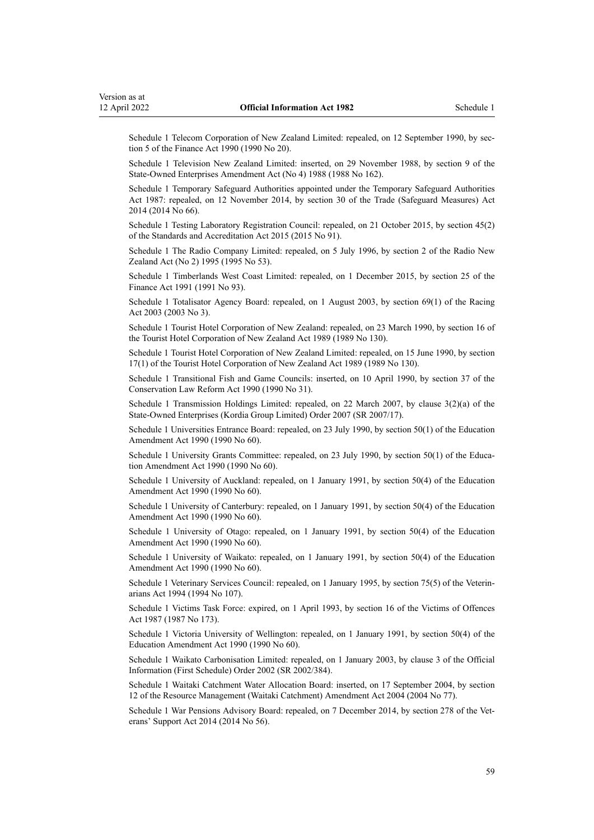Schedule 1 Telecom Corporation of New Zealand Limited: repealed, on 12 September 1990, by sec[tion 5](http://legislation.govt.nz/pdflink.aspx?id=DLM203568) of the Finance Act 1990 (1990 No 20).

Schedule 1 Television New Zealand Limited: inserted, on 29 November 1988, by section 9 of the State-Owned Enterprises Amendment Act (No 4) 1988 (1988 No 162).

Schedule 1 Temporary Safeguard Authorities appointed under the Temporary Safeguard Authorities Act 1987: repealed, on 12 November 2014, by [section 30](http://legislation.govt.nz/pdflink.aspx?id=DLM1587490) of the Trade (Safeguard Measures) Act 2014 (2014 No 66).

Schedule 1 Testing Laboratory Registration Council: repealed, on 21 October 2015, by [section 45\(2\)](http://legislation.govt.nz/pdflink.aspx?id=DLM5947001) of the Standards and Accreditation Act 2015 (2015 No 91).

Schedule 1 The Radio Company Limited: repealed, on 5 July 1996, by [section 2](http://legislation.govt.nz/pdflink.aspx?id=DLM368674) of the Radio New Zealand Act (No 2) 1995 (1995 No 53).

Schedule 1 Timberlands West Coast Limited: repealed, on 1 December 2015, by [section 25](http://legislation.govt.nz/pdflink.aspx?id=DLM248735) of the Finance Act 1991 (1991 No 93).

Schedule 1 Totalisator Agency Board: repealed, on 1 August 2003, by [section 69\(1\)](http://legislation.govt.nz/pdflink.aspx?id=DLM185072) of the Racing Act 2003 (2003 No 3).

Schedule 1 Tourist Hotel Corporation of New Zealand: repealed, on 23 March 1990, by [section 16](http://legislation.govt.nz/pdflink.aspx?id=DLM194274) of the Tourist Hotel Corporation of New Zealand Act 1989 (1989 No 130).

Schedule 1 Tourist Hotel Corporation of New Zealand Limited: repealed, on 15 June 1990, by [section](http://legislation.govt.nz/pdflink.aspx?id=DLM194277) [17\(1\)](http://legislation.govt.nz/pdflink.aspx?id=DLM194277) of the Tourist Hotel Corporation of New Zealand Act 1989 (1989 No 130).

Schedule 1 Transitional Fish and Game Councils: inserted, on 10 April 1990, by [section 37](http://legislation.govt.nz/pdflink.aspx?id=DLM208750) of the Conservation Law Reform Act 1990 (1990 No 31).

Schedule 1 Transmission Holdings Limited: repealed, on 22 March 2007, by [clause 3\(2\)\(a\)](http://legislation.govt.nz/pdflink.aspx?id=DLM426134) of the State-Owned Enterprises (Kordia Group Limited) Order 2007 (SR 2007/17).

Schedule 1 Universities Entrance Board: repealed, on 23 July 1990, by [section 50\(1\)](http://legislation.govt.nz/pdflink.aspx?id=DLM212679) of the Education Amendment Act 1990 (1990 No 60).

Schedule 1 University Grants Committee: repealed, on 23 July 1990, by [section 50\(1\)](http://legislation.govt.nz/pdflink.aspx?id=DLM212679) of the Education Amendment Act 1990 (1990 No 60).

Schedule 1 University of Auckland: repealed, on 1 January 1991, by [section 50\(4\)](http://legislation.govt.nz/pdflink.aspx?id=DLM212679) of the Education Amendment Act 1990 (1990 No 60).

Schedule 1 University of Canterbury: repealed, on 1 January 1991, by [section 50\(4\)](http://legislation.govt.nz/pdflink.aspx?id=DLM212679) of the Education Amendment Act 1990 (1990 No 60).

Schedule 1 University of Otago: repealed, on 1 January 1991, by [section 50\(4\)](http://legislation.govt.nz/pdflink.aspx?id=DLM212679) of the Education Amendment Act 1990 (1990 No 60).

Schedule 1 University of Waikato: repealed, on 1 January 1991, by [section 50\(4\)](http://legislation.govt.nz/pdflink.aspx?id=DLM212679) of the Education Amendment Act 1990 (1990 No 60).

Schedule 1 Veterinary Services Council: repealed, on 1 January 1995, by section 75(5) of the Veterinarians Act 1994 (1994 No 107).

Schedule 1 Victims Task Force: expired, on 1 April 1993, by section 16 of the Victims of Offences Act 1987 (1987 No 173).

Schedule 1 Victoria University of Wellington: repealed, on 1 January 1991, by [section 50\(4\)](http://legislation.govt.nz/pdflink.aspx?id=DLM212679) of the Education Amendment Act 1990 (1990 No 60).

Schedule 1 Waikato Carbonisation Limited: repealed, on 1 January 2003, by [clause 3](http://legislation.govt.nz/pdflink.aspx?id=DLM171038) of the Official Information (First Schedule) Order 2002 (SR 2002/384).

Schedule 1 Waitaki Catchment Water Allocation Board: inserted, on 17 September 2004, by [section](http://legislation.govt.nz/pdflink.aspx?id=DLM310997) [12](http://legislation.govt.nz/pdflink.aspx?id=DLM310997) of the Resource Management (Waitaki Catchment) Amendment Act 2004 (2004 No 77).

Schedule 1 War Pensions Advisory Board: repealed, on 7 December 2014, by [section 278](http://legislation.govt.nz/pdflink.aspx?id=DLM5546587) of the Veterans' Support Act 2014 (2014 No 56).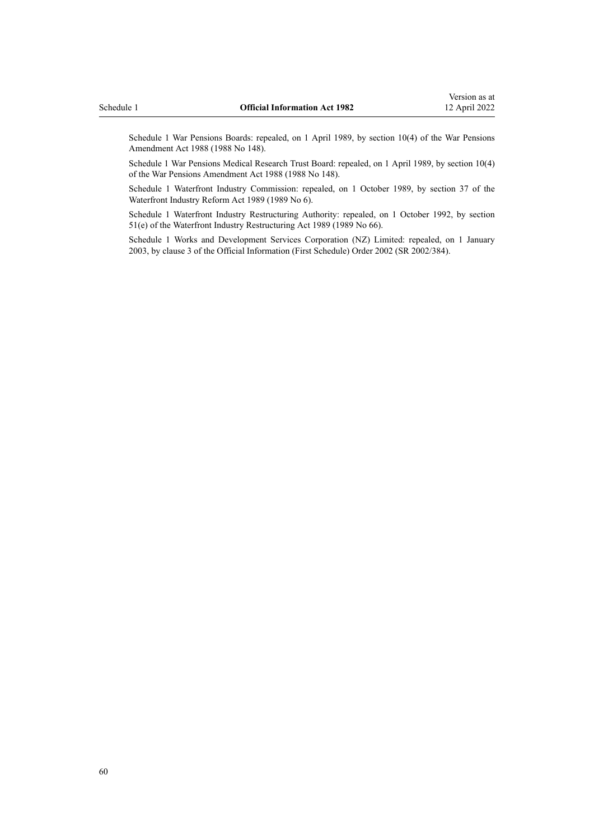Schedule 1 War Pensions Boards: repealed, on 1 April 1989, by section 10(4) of the War Pensions Amendment Act 1988 (1988 No 148).

Schedule 1 War Pensions Medical Research Trust Board: repealed, on 1 April 1989, by section 10(4) of the War Pensions Amendment Act 1988 (1988 No 148).

Schedule 1 Waterfront Industry Commission: repealed, on 1 October 1989, by [section 37](http://legislation.govt.nz/pdflink.aspx?id=DLM143281) of the Waterfront Industry Reform Act 1989 (1989 No 6).

Schedule 1 Waterfront Industry Restructuring Authority: repealed, on 1 October 1992, by [section](http://legislation.govt.nz/pdflink.aspx?id=DLM169930) [51\(e\)](http://legislation.govt.nz/pdflink.aspx?id=DLM169930) of the Waterfront Industry Restructuring Act 1989 (1989 No 66).

Schedule 1 Works and Development Services Corporation (NZ) Limited: repealed, on 1 January 2003, by [clause 3](http://legislation.govt.nz/pdflink.aspx?id=DLM171038) of the Official Information (First Schedule) Order 2002 (SR 2002/384).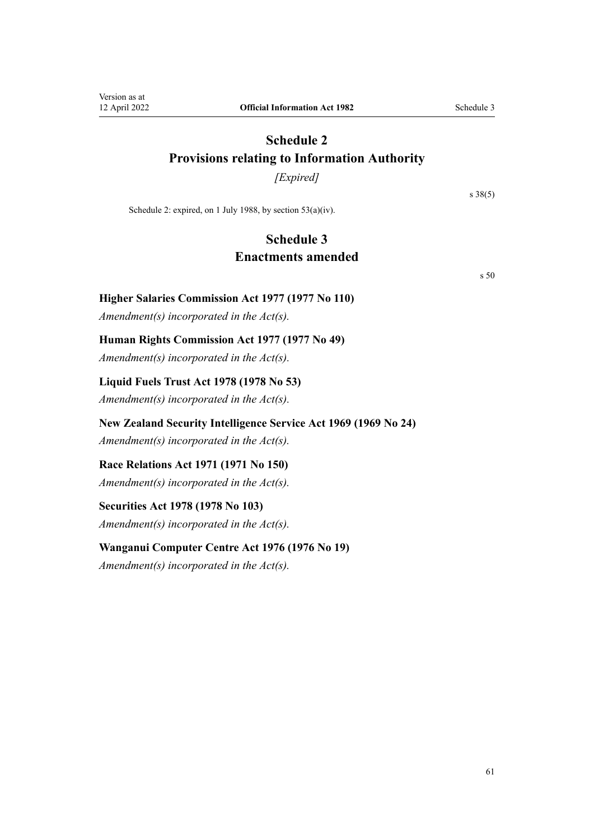## <span id="page-60-0"></span>**Schedule 2 Provisions relating to Information Authority**

*[Expired]*

[s 38\(5\)](#page-44-0)

Schedule 2: expired, on 1 July 1988, by [section 53\(a\)\(iv\).](#page-48-0)

## **Schedule 3 Enactments amended**

[s 50](#page-47-0)

### **Higher Salaries Commission Act 1977 (1977 No 110)**

*Amendment(s) incorporated in the [Act\(s\).](http://legislation.govt.nz/pdflink.aspx?id=DLM16452)*

## **Human Rights Commission Act 1977 (1977 No 49)**

*Amendment(s) incorporated in the Act(s).*

### **Liquid Fuels Trust Act 1978 (1978 No 53)**

*Amendment(s) incorporated in the Act(s).*

## **New Zealand Security Intelligence Service Act 1969 (1969 No 24)**

*Amendment(s) incorporated in the [Act\(s\).](http://legislation.govt.nz/pdflink.aspx?id=DLM391611)*

## **Race Relations Act 1971 (1971 No 150)**

*Amendment(s) incorporated in the [Act\(s\).](http://legislation.govt.nz/pdflink.aspx?id=DLM399726)*

## **Securities Act 1978 (1978 No 103)**

*Amendment(s) incorporated in the [Act\(s\).](http://legislation.govt.nz/pdflink.aspx?id=DLM28103)*

## **Wanganui Computer Centre Act 1976 (1976 No 19)**

*Amendment(s) incorporated in the Act(s).*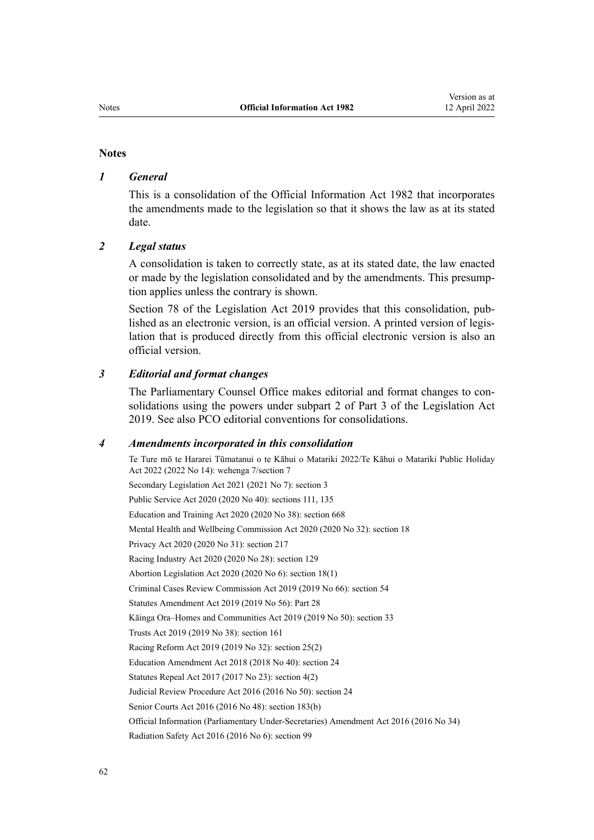#### **Notes**

#### *1 General*

This is a consolidation of the Official Information Act 1982 that incorporates the amendments made to the legislation so that it shows the law as at its stated date.

#### *2 Legal status*

A consolidation is taken to correctly state, as at its stated date, the law enacted or made by the legislation consolidated and by the amendments. This presump‐ tion applies unless the contrary is shown.

[Section 78](http://legislation.govt.nz/pdflink.aspx?id=DLM7298365) of the Legislation Act 2019 provides that this consolidation, published as an electronic version, is an official version. A printed version of legis‐ lation that is produced directly from this official electronic version is also an official version.

#### *3 Editorial and format changes*

The Parliamentary Counsel Office makes editorial and format changes to consolidations using the powers under [subpart 2](http://legislation.govt.nz/pdflink.aspx?id=DLM7298371) of Part 3 of the Legislation Act 2019. See also [PCO editorial conventions for consolidations](http://www.pco.govt.nz/editorial-conventions/).

#### *4 Amendments incorporated in this consolidation*

Te Ture mō te Hararei Tūmatanui o te Kāhui o Matariki 2022/Te Kāhui o Matariki Public Holiday Act 2022 (2022 No 14): [wehenga 7/](http://legislation.govt.nz/pdflink.aspx?id=LMS557838)[section 7](http://legislation.govt.nz/pdflink.aspx?id=LMS557848) Secondary Legislation Act 2021 (2021 No 7): [section 3](http://legislation.govt.nz/pdflink.aspx?id=LMS268932) Public Service Act 2020 (2020 No 40): [sections 111,](http://legislation.govt.nz/pdflink.aspx?id=LMS358148) [135](http://legislation.govt.nz/pdflink.aspx?id=LMS176959) Education and Training Act 2020 (2020 No 38): [section 668](http://legislation.govt.nz/pdflink.aspx?id=LMS367713) Mental Health and Wellbeing Commission Act 2020 (2020 No 32): [section 18](http://legislation.govt.nz/pdflink.aspx?id=LMS281195) Privacy Act 2020 (2020 No 31): [section 217](http://legislation.govt.nz/pdflink.aspx?id=LMS23706) Racing Industry Act 2020 (2020 No 28): [section 129](http://legislation.govt.nz/pdflink.aspx?id=LMS292230) Abortion Legislation Act 2020 (2020 No 6): [section 18\(1\)](http://legislation.govt.nz/pdflink.aspx?id=LMS237625) Criminal Cases Review Commission Act 2019 (2019 No 66): [section 54](http://legislation.govt.nz/pdflink.aspx?id=LMS90680) Statutes Amendment Act 2019 (2019 No 56): [Part 28](http://legislation.govt.nz/pdflink.aspx?id=LMS59033) Kāinga Ora–Homes and Communities Act 2019 (2019 No 50): [section 33](http://legislation.govt.nz/pdflink.aspx?id=LMS191136) Trusts Act 2019 (2019 No 38): [section 161](http://legislation.govt.nz/pdflink.aspx?id=DLM7383110) Racing Reform Act 2019 (2019 No 32): [section 25\(2\)](http://legislation.govt.nz/pdflink.aspx?id=LMS201275) Education Amendment Act 2018 (2018 No 40): [section 24](http://legislation.govt.nz/pdflink.aspx?id=LMS8587) Statutes Repeal Act 2017 (2017 No 23): [section 4\(2\)](http://legislation.govt.nz/pdflink.aspx?id=DLM6807613) Judicial Review Procedure Act 2016 (2016 No 50): [section 24](http://legislation.govt.nz/pdflink.aspx?id=DLM6942157) Senior Courts Act 2016 (2016 No 48): [section 183\(b\)](http://legislation.govt.nz/pdflink.aspx?id=DLM5759564) [Official Information \(Parliamentary Under-Secretaries\) Amendment Act 2016](http://legislation.govt.nz/pdflink.aspx?id=DLM6545600) (2016 No 34) Radiation Safety Act 2016 (2016 No 6): [section 99](http://legislation.govt.nz/pdflink.aspx?id=DLM6339763)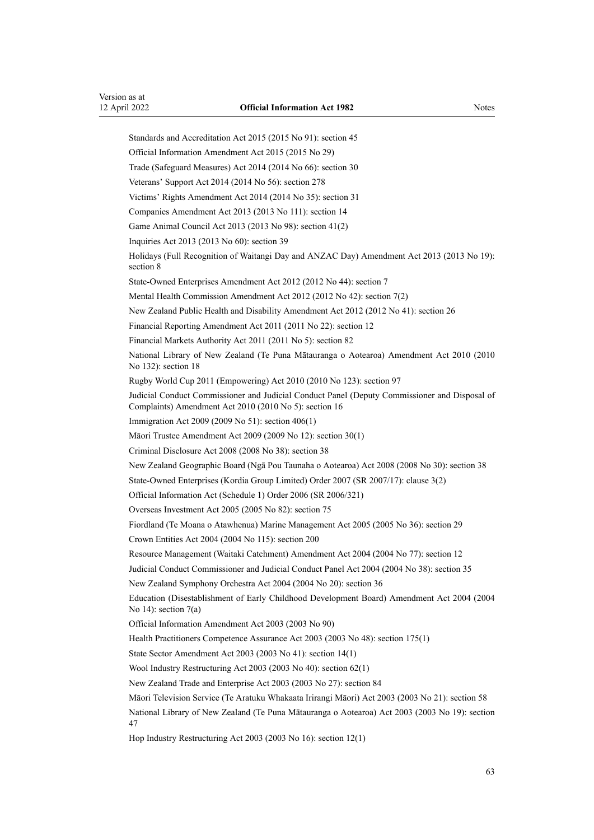Standards and Accreditation Act 2015 (2015 No 91): [section 45](http://legislation.govt.nz/pdflink.aspx?id=DLM5947001) [Official Information Amendment Act 2015](http://legislation.govt.nz/pdflink.aspx?id=DLM6403857) (2015 No 29) Trade (Safeguard Measures) Act 2014 (2014 No 66): [section 30](http://legislation.govt.nz/pdflink.aspx?id=DLM1587490) Veterans' Support Act 2014 (2014 No 56): [section 278](http://legislation.govt.nz/pdflink.aspx?id=DLM5546587) Victims' Rights Amendment Act 2014 (2014 No 35): [section 31](http://legislation.govt.nz/pdflink.aspx?id=DLM3942803) Companies Amendment Act 2013 (2013 No 111): [section 14](http://legislation.govt.nz/pdflink.aspx?id=DLM5620822) Game Animal Council Act 2013 (2013 No 98): [section 41\(2\)](http://legislation.govt.nz/pdflink.aspx?id=DLM4105502) Inquiries Act 2013 (2013 No 60): [section 39](http://legislation.govt.nz/pdflink.aspx?id=DLM1566190) Holidays (Full Recognition of Waitangi Day and ANZAC Day) Amendment Act 2013 (2013 No 19): [section 8](http://legislation.govt.nz/pdflink.aspx?id=DLM4929207) State-Owned Enterprises Amendment Act 2012 (2012 No 44): [section 7](http://legislation.govt.nz/pdflink.aspx?id=DLM4326324) Mental Health Commission Amendment Act 2012 (2012 No 42): [section 7\(2\)](http://legislation.govt.nz/pdflink.aspx?id=DLM4484313) New Zealand Public Health and Disability Amendment Act 2012 (2012 No 41): [section 26](http://legislation.govt.nz/pdflink.aspx?id=DLM4484110) Financial Reporting Amendment Act 2011 (2011 No 22): [section 12](http://legislation.govt.nz/pdflink.aspx?id=DLM3701759) Financial Markets Authority Act 2011 (2011 No 5): [section 82](http://legislation.govt.nz/pdflink.aspx?id=DLM3231793) National Library of New Zealand (Te Puna Mātauranga o Aotearoa) Amendment Act 2010 (2010 No 132): [section 18](http://legislation.govt.nz/pdflink.aspx?id=DLM3430033) Rugby World Cup 2011 (Empowering) Act 2010 (2010 No 123): [section 97](http://legislation.govt.nz/pdflink.aspx?id=DLM2902455) Judicial Conduct Commissioner and Judicial Conduct Panel (Deputy Commissioner and Disposal of Complaints) Amendment Act 2010 (2010 No 5): [section 16](http://legislation.govt.nz/pdflink.aspx?id=DLM1216636) Immigration Act 2009 (2009 No 51): [section 406\(1\)](http://legislation.govt.nz/pdflink.aspx?id=DLM1441347) Māori Trustee Amendment Act 2009 (2009 No 12): [section 30\(1\)](http://legislation.govt.nz/pdflink.aspx?id=DLM1583888) Criminal Disclosure Act 2008 (2008 No 38): [section 38](http://legislation.govt.nz/pdflink.aspx?id=DLM1378898) New Zealand Geographic Board (Ngā Pou Taunaha o Aotearoa) Act 2008 (2008 No 30): [section 38](http://legislation.govt.nz/pdflink.aspx?id=DLM1065526) State-Owned Enterprises (Kordia Group Limited) Order 2007 (SR 2007/17): [clause 3\(2\)](http://legislation.govt.nz/pdflink.aspx?id=DLM426134) [Official Information Act \(Schedule 1\) Order 2006](http://legislation.govt.nz/pdflink.aspx?id=DLM413354) (SR 2006/321) Overseas Investment Act 2005 (2005 No 82): [section 75](http://legislation.govt.nz/pdflink.aspx?id=DLM358540) Fiordland (Te Moana o Atawhenua) Marine Management Act 2005 (2005 No 36): [section 29](http://legislation.govt.nz/pdflink.aspx?id=DLM341276) Crown Entities Act 2004 (2004 No 115): [section 200](http://legislation.govt.nz/pdflink.aspx?id=DLM331111) Resource Management (Waitaki Catchment) Amendment Act 2004 (2004 No 77): [section 12](http://legislation.govt.nz/pdflink.aspx?id=DLM310997) Judicial Conduct Commissioner and Judicial Conduct Panel Act 2004 (2004 No 38): [section 35](http://legislation.govt.nz/pdflink.aspx?id=DLM293718) New Zealand Symphony Orchestra Act 2004 (2004 No 20): [section 36](http://legislation.govt.nz/pdflink.aspx?id=DLM243453) Education (Disestablishment of Early Childhood Development Board) Amendment Act 2004 (2004 No 14): section  $7(a)$ [Official Information Amendment Act 2003](http://legislation.govt.nz/pdflink.aspx?id=DLM218138) (2003 No 90) Health Practitioners Competence Assurance Act 2003 (2003 No 48): [section 175\(1\)](http://legislation.govt.nz/pdflink.aspx?id=DLM205009) State Sector Amendment Act 2003 (2003 No 41): [section 14\(1\)](http://legislation.govt.nz/pdflink.aspx?id=DLM201378) Wool Industry Restructuring Act 2003 (2003 No 40): [section 62\(1\)](http://legislation.govt.nz/pdflink.aspx?id=DLM201327) New Zealand Trade and Enterprise Act 2003 (2003 No 27): [section 84](http://legislation.govt.nz/pdflink.aspx?id=DLM197801) Māori Television Service (Te Aratuku Whakaata Irirangi Māori) Act 2003 (2003 No 21): [section 58](http://legislation.govt.nz/pdflink.aspx?id=DLM194562) National Library of New Zealand (Te Puna Mātauranga o Aotearoa) Act 2003 (2003 No 19): [section](http://legislation.govt.nz/pdflink.aspx?id=DLM192277) [47](http://legislation.govt.nz/pdflink.aspx?id=DLM192277) Hop Industry Restructuring Act 2003 (2003 No 16): [section 12\(1\)](http://legislation.govt.nz/pdflink.aspx?id=DLM189905)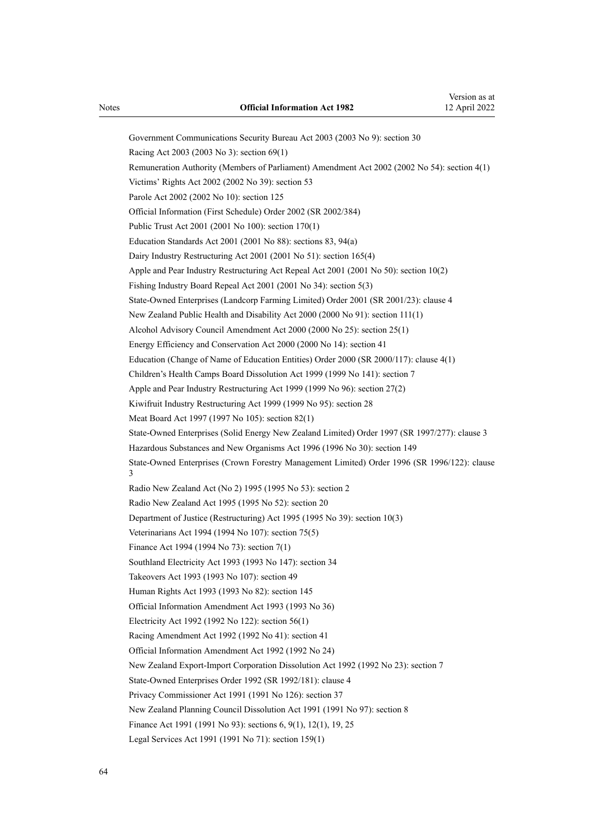Government Communications Security Bureau Act 2003 (2003 No 9): [section 30](http://legislation.govt.nz/pdflink.aspx?id=DLM187861) Racing Act 2003 (2003 No 3): [section 69\(1\)](http://legislation.govt.nz/pdflink.aspx?id=DLM185072) Remuneration Authority (Members of Parliament) Amendment Act 2002 (2002 No 54): [section 4\(1\)](http://legislation.govt.nz/pdflink.aspx?id=DLM167443) Victims' Rights Act 2002 (2002 No 39): [section 53](http://legislation.govt.nz/pdflink.aspx?id=DLM158562) Parole Act 2002 (2002 No 10): [section 125](http://legislation.govt.nz/pdflink.aspx?id=DLM140118) [Official Information \(First Schedule\) Order 2002](http://legislation.govt.nz/pdflink.aspx?id=DLM171032) (SR 2002/384) Public Trust Act 2001 (2001 No 100): [section 170\(1\)](http://legislation.govt.nz/pdflink.aspx?id=DLM124529) Education Standards Act 2001 (2001 No 88): [sections 83,](http://legislation.govt.nz/pdflink.aspx?id=DLM118875) [94\(a\)](http://legislation.govt.nz/pdflink.aspx?id=DLM119207) Dairy Industry Restructuring Act 2001 (2001 No 51): [section 165\(4\)](http://legislation.govt.nz/pdflink.aspx?id=DLM110110) Apple and Pear Industry Restructuring Act Repeal Act 2001 (2001 No 50): [section 10\(2\)](http://legislation.govt.nz/pdflink.aspx?id=DLM106744) Fishing Industry Board Repeal Act 2001 (2001 No 34): [section 5\(3\)](http://legislation.govt.nz/pdflink.aspx?id=DLM92784) State-Owned Enterprises (Landcorp Farming Limited) Order 2001 (SR 2001/23): [clause 4](http://legislation.govt.nz/pdflink.aspx?id=DLM21620) New Zealand Public Health and Disability Act 2000 (2000 No 91): [section 111\(1\)](http://legislation.govt.nz/pdflink.aspx?id=DLM81644) Alcohol Advisory Council Amendment Act 2000 (2000 No 25): [section 25\(1\)](http://legislation.govt.nz/pdflink.aspx?id=DLM63085) Energy Efficiency and Conservation Act 2000 (2000 No 14): [section 41](http://legislation.govt.nz/pdflink.aspx?id=DLM55735) Education (Change of Name of Education Entities) Order 2000 (SR 2000/117): [clause 4\(1\)](http://legislation.govt.nz/pdflink.aspx?id=DLM6021) Children's Health Camps Board Dissolution Act 1999 (1999 No 141)[: section 7](http://legislation.govt.nz/pdflink.aspx?id=DLM49649) Apple and Pear Industry Restructuring Act 1999 (1999 No 96): section 27(2) Kiwifruit Industry Restructuring Act 1999 (1999 No 95): [section 28](http://legislation.govt.nz/pdflink.aspx?id=DLM38644) Meat Board Act 1997 (1997 No 105): section 82(1) State-Owned Enterprises (Solid Energy New Zealand Limited) Order 1997 (SR 1997/277): [clause 3](http://legislation.govt.nz/pdflink.aspx?id=DLM239992) Hazardous Substances and New Organisms Act 1996 (1996 No 30): [section 149](http://legislation.govt.nz/pdflink.aspx?id=DLM385160) State-Owned Enterprises (Crown Forestry Management Limited) Order 1996 (SR 1996/122): [clause](http://legislation.govt.nz/pdflink.aspx?id=DLM211617) [3](http://legislation.govt.nz/pdflink.aspx?id=DLM211617) Radio New Zealand Act (No 2) 1995 (1995 No 53): [section 2](http://legislation.govt.nz/pdflink.aspx?id=DLM368674) Radio New Zealand Act 1995 (1995 No 52): [section 20](http://legislation.govt.nz/pdflink.aspx?id=DLM368655) Department of Justice (Restructuring) Act 1995 (1995 No 39): [section 10\(3\)](http://legislation.govt.nz/pdflink.aspx?id=DLM367235) Veterinarians Act 1994 (1994 No 107): section 75(5) Finance Act 1994 (1994 No 73): [section 7\(1\)](http://legislation.govt.nz/pdflink.aspx?id=DLM332899) Southland Electricity Act 1993 (1993 No 147): [section 34](http://legislation.govt.nz/pdflink.aspx?id=DLM328929) Takeovers Act 1993 (1993 No 107): [section 49](http://legislation.govt.nz/pdflink.aspx?id=DLM326769) Human Rights Act 1993 (1993 No 82): [section 145](http://legislation.govt.nz/pdflink.aspx?id=DLM305710) [Official Information Amendment Act 1993](http://legislation.govt.nz/pdflink.aspx?id=DLM299181) (1993 No 36) Electricity Act 1992 (1992 No 122): [section 56\(1\)](http://legislation.govt.nz/pdflink.aspx?id=DLM282825) Racing Amendment Act 1992 (1992 No 41): section 41 Official Information Amendment Act 1992 (1992 No 24) New Zealand Export-Import Corporation Dissolution Act 1992 (1992 No 23): [section 7](http://legislation.govt.nz/pdflink.aspx?id=DLM261053) State-Owned Enterprises Order 1992 (SR 1992/181): [clause 4](http://legislation.govt.nz/pdflink.aspx?id=DLM165478) Privacy Commissioner Act 1991 (1991 No 126): section 37 New Zealand Planning Council Dissolution Act 1991 (1991 No 97): [section 8](http://legislation.govt.nz/pdflink.aspx?id=DLM248774) Finance Act 1991 (1991 No 93): [sections 6](http://legislation.govt.nz/pdflink.aspx?id=DLM248292), [9\(1\),](http://legislation.govt.nz/pdflink.aspx?id=DLM248701) [12\(1\),](http://legislation.govt.nz/pdflink.aspx?id=DLM248708) [19](http://legislation.govt.nz/pdflink.aspx?id=DLM248722), [25](http://legislation.govt.nz/pdflink.aspx?id=DLM248735) Legal Services Act 1991 (1991 No 71): section 159(1)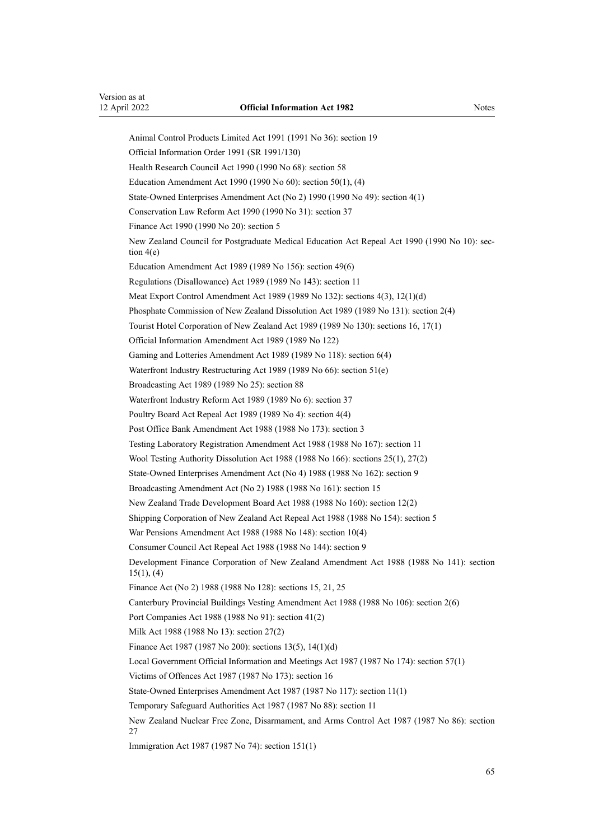Animal Control Products Limited Act 1991 (1991 No 36): [section 19](http://legislation.govt.nz/pdflink.aspx?id=DLM229571)

Finance Act 1990 (1990 No 20): [section 5](http://legislation.govt.nz/pdflink.aspx?id=DLM203568)

[tion 4\(e\)](http://legislation.govt.nz/pdflink.aspx?id=DLM203557)

[Official Information Order 1991](http://legislation.govt.nz/pdflink.aspx?id=DLM147881) (SR 1991/130) Health Research Council Act 1990 (1990 No 68): [section 58](http://legislation.govt.nz/pdflink.aspx?id=DLM213348) Education Amendment Act 1990 (1990 No 60): [section 50\(1\), \(4\)](http://legislation.govt.nz/pdflink.aspx?id=DLM212679) State-Owned Enterprises Amendment Act (No 2) 1990 (1990 No 49): [section 4\(1\)](http://legislation.govt.nz/pdflink.aspx?id=DLM210987) Conservation Law Reform Act 1990 (1990 No 31): [section 37](http://legislation.govt.nz/pdflink.aspx?id=DLM208750) New Zealand Council for Postgraduate Medical Education Act Repeal Act 1990 (1990 No 10): [sec‐](http://legislation.govt.nz/pdflink.aspx?id=DLM203557) Education Amendment Act 1989 (1989 No 156): [section 49\(6\)](http://legislation.govt.nz/pdflink.aspx?id=DLM199357) Regulations (Disallowance) Act 1989 (1989 No 143): [section 11](http://legislation.govt.nz/pdflink.aspx?id=DLM195558) Meat Export Control Amendment Act 1989 (1989 No 132): sections 4(3), 12(1)(d) Phosphate Commission of New Zealand Dissolution Act 1989 (1989 No 131): [section 2\(4\)](http://legislation.govt.nz/pdflink.aspx?id=DLM194296) Tourist Hotel Corporation of New Zealand Act 1989 (1989 No 130): [sections 16,](http://legislation.govt.nz/pdflink.aspx?id=DLM194274) [17\(1\)](http://legislation.govt.nz/pdflink.aspx?id=DLM194277) [Official Information Amendment Act 1989](http://legislation.govt.nz/pdflink.aspx?id=DLM194211) (1989 No 122) Gaming and Lotteries Amendment Act 1989 (1989 No 118): section 6(4) Waterfront Industry Restructuring Act 1989 (1989 No 66): [section 51\(e\)](http://legislation.govt.nz/pdflink.aspx?id=DLM169930) Broadcasting Act 1989 (1989 No 25): [section 88](http://legislation.govt.nz/pdflink.aspx?id=DLM158930) Waterfront Industry Reform Act 1989 (1989 No 6): [section 37](http://legislation.govt.nz/pdflink.aspx?id=DLM143281)

Poultry Board Act Repeal Act 1989 (1989 No 4): [section 4\(4\)](http://legislation.govt.nz/pdflink.aspx?id=DLM143214)

Post Office Bank Amendment Act 1988 (1988 No 173): [section 3](http://legislation.govt.nz/pdflink.aspx?id=DLM139230)

Testing Laboratory Registration Amendment Act 1988 (1988 No 167): [section 11](http://legislation.govt.nz/pdflink.aspx?id=DLM138778)

Wool Testing Authority Dissolution Act 1988 (1988 No 166): sections 25(1), 27(2)

State-Owned Enterprises Amendment Act (No 4) 1988 (1988 No 162): section 9

Broadcasting Amendment Act (No 2) 1988 (1988 No 161): section 15

New Zealand Trade Development Board Act 1988 (1988 No 160): section 12(2)

Shipping Corporation of New Zealand Act Repeal Act 1988 (1988 No 154): [section 5](http://legislation.govt.nz/pdflink.aspx?id=DLM136764)

War Pensions Amendment Act 1988 (1988 No 148): section 10(4)

Consumer Council Act Repeal Act 1988 (1988 No 144): [section 9](http://legislation.govt.nz/pdflink.aspx?id=DLM136750)

Development Finance Corporation of New Zealand Amendment Act 1988 (1988 No 141): [section](http://legislation.govt.nz/pdflink.aspx?id=DLM136728) [15\(1\), \(4\)](http://legislation.govt.nz/pdflink.aspx?id=DLM136728)

Finance Act (No 2) 1988 (1988 No 128): [sections 15](http://legislation.govt.nz/pdflink.aspx?id=DLM136163), [21,](http://legislation.govt.nz/pdflink.aspx?id=DLM136177) [25](http://legislation.govt.nz/pdflink.aspx?id=DLM136188)

Canterbury Provincial Buildings Vesting Amendment Act 1988 (1988 No 106): section 2(6)

Port Companies Act 1988 (1988 No 91): [section 41\(2\)](http://legislation.govt.nz/pdflink.aspx?id=DLM132506)

Milk Act 1988 (1988 No 13): section 27(2)

Finance Act 1987 (1987 No 200): [sections 13\(5\),](http://legislation.govt.nz/pdflink.aspx?id=DLM125692) [14\(1\)\(d\)](http://legislation.govt.nz/pdflink.aspx?id=DLM125694)

Local Government Official Information and Meetings Act 1987 (1987 No 174): [section 57\(1\)](http://legislation.govt.nz/pdflink.aspx?id=DLM123614)

Victims of Offences Act 1987 (1987 No 173): section 16

State-Owned Enterprises Amendment Act 1987 (1987 No 117): section 11(1)

Temporary Safeguard Authorities Act 1987 (1987 No 88): [section 11](http://legislation.govt.nz/pdflink.aspx?id=DLM117368)

New Zealand Nuclear Free Zone, Disarmament, and Arms Control Act 1987 (1987 No 86): [section](http://legislation.govt.nz/pdflink.aspx?id=DLM115176) [27](http://legislation.govt.nz/pdflink.aspx?id=DLM115176)

Immigration Act 1987 (1987 No 74): [section 151\(1\)](http://legislation.govt.nz/pdflink.aspx?id=DLM114322)